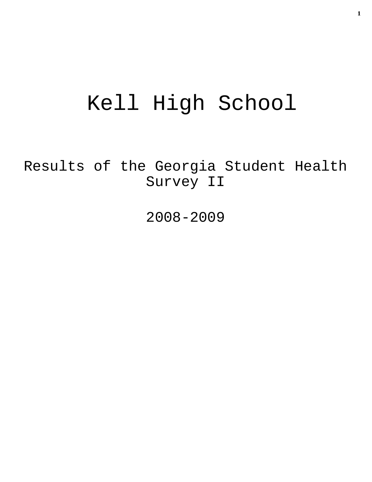# Kell High School

Results of the Georgia Student Health Survey II

2008-2009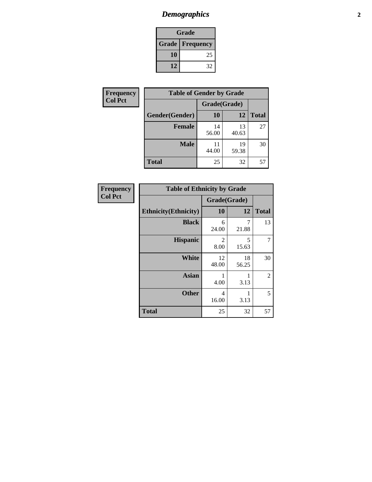# *Demographics* **2**

| Grade                    |    |  |  |  |
|--------------------------|----|--|--|--|
| <b>Grade   Frequency</b> |    |  |  |  |
| 10                       | 25 |  |  |  |
| 12                       | 32 |  |  |  |

| <b>Frequency</b> | <b>Table of Gender by Grade</b> |              |             |              |  |
|------------------|---------------------------------|--------------|-------------|--------------|--|
| <b>Col Pct</b>   |                                 | Grade(Grade) |             |              |  |
|                  | Gender(Gender)                  | <b>10</b>    | 12          | <b>Total</b> |  |
|                  | <b>Female</b>                   | 14<br>56.00  | 13<br>40.63 | 27           |  |
|                  | <b>Male</b>                     | 11<br>44.00  | 19<br>59.38 | 30           |  |
|                  | <b>Total</b>                    | 25           | 32          | 57           |  |

| <b>Frequency</b><br>Col Pct |
|-----------------------------|
|                             |

| <b>Table of Ethnicity by Grade</b> |              |             |              |  |  |  |
|------------------------------------|--------------|-------------|--------------|--|--|--|
|                                    | Grade(Grade) |             |              |  |  |  |
| <b>Ethnicity</b> (Ethnicity)       | 10           | 12          | <b>Total</b> |  |  |  |
| <b>Black</b>                       | 6<br>24.00   | 7<br>21.88  | 13           |  |  |  |
| <b>Hispanic</b>                    | 2<br>8.00    | 5<br>15.63  | 7            |  |  |  |
| White                              | 12<br>48.00  | 18<br>56.25 | 30           |  |  |  |
| <b>Asian</b>                       | 1<br>4.00    | 3.13        | 2            |  |  |  |
| <b>Other</b>                       | 4<br>16.00   | 1<br>3.13   | 5            |  |  |  |
| <b>Total</b>                       | 25           | 32          | 57           |  |  |  |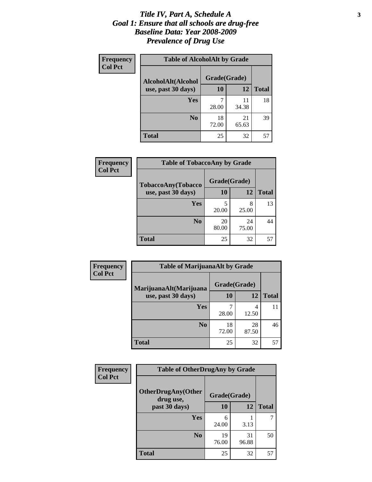#### *Title IV, Part A, Schedule A* **3** *Goal 1: Ensure that all schools are drug-free Baseline Data: Year 2008-2009 Prevalence of Drug Use*

| Frequency<br><b>Col Pct</b> | <b>Table of AlcoholAlt by Grade</b> |              |             |              |  |
|-----------------------------|-------------------------------------|--------------|-------------|--------------|--|
|                             | AlcoholAlt(Alcohol                  | Grade(Grade) |             |              |  |
|                             | use, past 30 days)                  | 10           | 12          | <b>Total</b> |  |
|                             | Yes                                 | 28.00        | 11<br>34.38 | 18           |  |
|                             | N <sub>0</sub>                      | 18<br>72.00  | 21<br>65.63 | 39           |  |
|                             | <b>Total</b>                        | 25           | 32          | 57           |  |

| Frequency      | <b>Table of TobaccoAny by Grade</b> |              |             |              |  |
|----------------|-------------------------------------|--------------|-------------|--------------|--|
| <b>Col Pct</b> | TobaccoAny(Tobacco                  | Grade(Grade) |             |              |  |
|                | use, past 30 days)                  | 10           | 12          | <b>Total</b> |  |
|                | Yes                                 | 5<br>20.00   | 8<br>25.00  | 13           |  |
|                | N <sub>0</sub>                      | 20<br>80.00  | 24<br>75.00 |              |  |
|                | Total                               | 25           | 32          | 57           |  |

| Frequency<br><b>Col Pct</b> | <b>Table of MarijuanaAlt by Grade</b> |              |             |              |  |
|-----------------------------|---------------------------------------|--------------|-------------|--------------|--|
|                             | MarijuanaAlt(Marijuana                | Grade(Grade) |             |              |  |
|                             | use, past 30 days)                    | 10           | <b>12</b>   | <b>Total</b> |  |
|                             | <b>Yes</b>                            | 28.00        | 12.50       | 11           |  |
|                             | N <sub>0</sub>                        | 18<br>72.00  | 28<br>87.50 | 46           |  |
|                             | <b>Total</b>                          | 25           | 32          | 57           |  |

| Frequency<br><b>Col Pct</b> | <b>Table of OtherDrugAny by Grade</b>  |              |             |              |  |
|-----------------------------|----------------------------------------|--------------|-------------|--------------|--|
|                             | <b>OtherDrugAny(Other</b><br>drug use, | Grade(Grade) |             |              |  |
|                             | past 30 days)                          | 10           | 12          | <b>Total</b> |  |
|                             | <b>Yes</b>                             | 6<br>24.00   | 3.13        | 7            |  |
|                             | N <sub>0</sub>                         | 19<br>76.00  | 31<br>96.88 | 50           |  |
|                             | <b>Total</b>                           | 25           | 32          | 57           |  |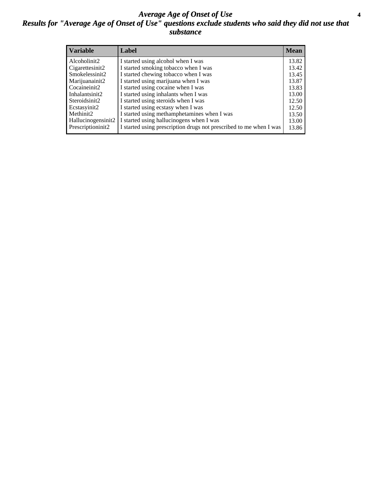#### *Average Age of Onset of Use* **4** *Results for "Average Age of Onset of Use" questions exclude students who said they did not use that substance*

| <b>Variable</b>    | Label                                                              | <b>Mean</b> |
|--------------------|--------------------------------------------------------------------|-------------|
| Alcoholinit2       | I started using alcohol when I was                                 | 13.82       |
| Cigarettesinit2    | I started smoking tobacco when I was                               | 13.42       |
| Smokelessinit2     | I started chewing tobacco when I was                               | 13.45       |
| Marijuanainit2     | I started using marijuana when I was                               | 13.87       |
| Cocaineinit2       | I started using cocaine when I was                                 | 13.83       |
| Inhalantsinit2     | I started using inhalants when I was                               | 13.00       |
| Steroidsinit2      | I started using steroids when I was                                | 12.50       |
| Ecstasyinit2       | I started using ecstasy when I was                                 | 12.50       |
| Methinit2          | I started using methamphetamines when I was                        | 13.50       |
| Hallucinogensinit2 | I started using hallucinogens when I was                           | 13.00       |
| Prescriptioninit2  | I started using prescription drugs not prescribed to me when I was | 13.86       |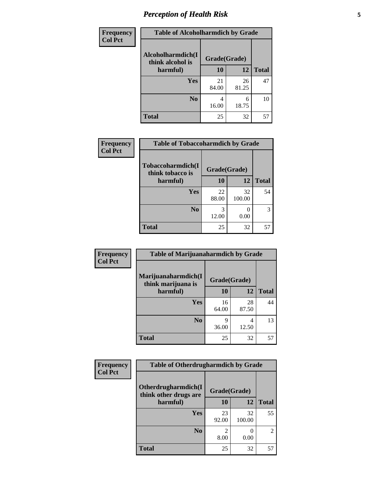# *Perception of Health Risk* **5**

| <b>Frequency</b> | <b>Table of Alcoholharmdich by Grade</b> |              |             |              |  |
|------------------|------------------------------------------|--------------|-------------|--------------|--|
| <b>Col Pct</b>   | Alcoholharmdich(I<br>think alcohol is    | Grade(Grade) |             |              |  |
|                  | harmful)                                 | 10           | 12          | <b>Total</b> |  |
|                  | <b>Yes</b>                               | 21<br>84.00  | 26<br>81.25 | 47           |  |
|                  | N <sub>0</sub>                           | 4<br>16.00   | 6<br>18.75  | 10           |  |
|                  | <b>Total</b>                             | 25           | 32          | 57           |  |

| Frequency      | <b>Table of Tobaccoharmdich by Grade</b> |              |              |              |  |
|----------------|------------------------------------------|--------------|--------------|--------------|--|
| <b>Col Pct</b> | Tobaccoharmdich(I<br>think tobacco is    | Grade(Grade) |              |              |  |
|                | harmful)                                 | 10           | 12           | <b>Total</b> |  |
|                | Yes                                      | 22<br>88.00  | 32<br>100.00 | 54           |  |
|                | N <sub>0</sub>                           | 12.00        | 0.00         | 3            |  |
|                | <b>Total</b>                             | 25           | 32           | 57           |  |

| Frequency      | <b>Table of Marijuanaharmdich by Grade</b> |              |             |              |  |
|----------------|--------------------------------------------|--------------|-------------|--------------|--|
| <b>Col Pct</b> | Marijuanaharmdich(I<br>think marijuana is  | Grade(Grade) |             |              |  |
|                | harmful)                                   | 10           | 12          | <b>Total</b> |  |
|                | Yes                                        | 16<br>64.00  | 28<br>87.50 | 44           |  |
|                | N <sub>0</sub>                             | 9<br>36.00   | 4<br>12.50  | 13           |  |
|                | <b>Total</b>                               | 25           | 32          | 57           |  |

| <b>Frequency</b> | <b>Table of Otherdrugharmdich by Grade</b>   |              |              |                |  |
|------------------|----------------------------------------------|--------------|--------------|----------------|--|
| <b>Col Pct</b>   | Otherdrugharmdich(I<br>think other drugs are | Grade(Grade) |              |                |  |
|                  | harmful)                                     | 10           | 12           | <b>Total</b>   |  |
|                  | <b>Yes</b>                                   | 23<br>92.00  | 32<br>100.00 | 55             |  |
|                  | N <sub>0</sub>                               | 8.00         | 0.00         | $\overline{c}$ |  |
|                  | <b>Total</b>                                 | 25           | 32           | 57             |  |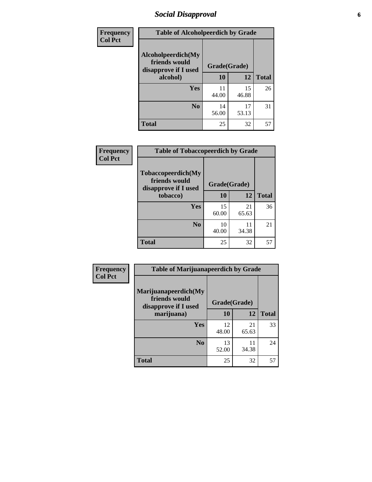# *Social Disapproval* **6**

| <b>Frequency</b> | <b>Table of Alcoholpeerdich by Grade</b>                    |              |             |              |  |
|------------------|-------------------------------------------------------------|--------------|-------------|--------------|--|
| <b>Col Pct</b>   | Alcoholpeerdich(My<br>friends would<br>disapprove if I used | Grade(Grade) |             |              |  |
|                  | alcohol)                                                    | 10           | 12          | <b>Total</b> |  |
|                  | Yes                                                         | 11<br>44.00  | 15<br>46.88 | 26           |  |
|                  | N <sub>0</sub>                                              | 14<br>56.00  | 17<br>53.13 | 31           |  |
|                  | <b>Total</b>                                                | 25           | 32          | 57           |  |

| <b>Frequency</b> |
|------------------|
| <b>Col Pct</b>   |

| <b>Table of Tobaccopeerdich by Grade</b>                    |              |             |              |  |  |
|-------------------------------------------------------------|--------------|-------------|--------------|--|--|
| Tobaccopeerdich(My<br>friends would<br>disapprove if I used | Grade(Grade) |             |              |  |  |
| tobacco)                                                    | 10           | 12          | <b>Total</b> |  |  |
| Yes                                                         | 15<br>60.00  | 21<br>65.63 | 36           |  |  |
| N <sub>0</sub>                                              | 10<br>40.00  | 11<br>34.38 | 21           |  |  |
| <b>Total</b>                                                | 25           | 32          | 57           |  |  |

| Frequency      | <b>Table of Marijuanapeerdich by Grade</b>                    |              |             |              |
|----------------|---------------------------------------------------------------|--------------|-------------|--------------|
| <b>Col Pct</b> | Marijuanapeerdich(My<br>friends would<br>disapprove if I used | Grade(Grade) |             |              |
|                | marijuana)                                                    | 10           | 12          | <b>Total</b> |
|                | <b>Yes</b>                                                    | 12<br>48.00  | 21<br>65.63 | 33           |
|                | N <sub>0</sub>                                                | 13<br>52.00  | 11<br>34.38 | 24           |
|                | <b>Total</b>                                                  | 25           | 32          | 57           |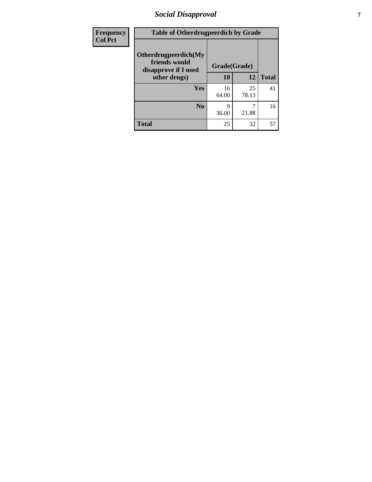# *Social Disapproval* **7**

| Frequency      | <b>Table of Otherdrugpeerdich by Grade</b>                    |              |             |              |  |
|----------------|---------------------------------------------------------------|--------------|-------------|--------------|--|
| <b>Col Pct</b> | Otherdrugpeerdich(My<br>friends would<br>disapprove if I used | Grade(Grade) |             |              |  |
|                | other drugs)                                                  | 10           | 12          | <b>Total</b> |  |
|                | Yes                                                           | 16<br>64.00  | 25<br>78.13 | 41           |  |
|                | N <sub>0</sub>                                                | 9<br>36.00   | 21.88       | 16           |  |
|                | <b>Total</b>                                                  | 25           | 32          | 57           |  |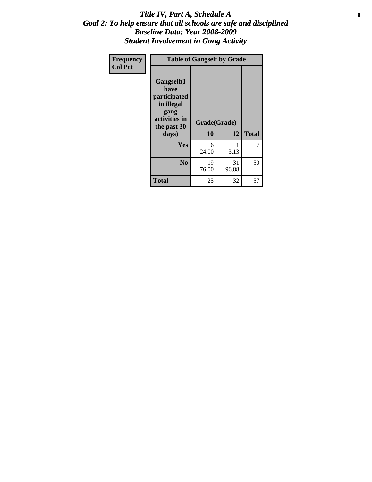#### Title IV, Part A, Schedule A **8** *Goal 2: To help ensure that all schools are safe and disciplined Baseline Data: Year 2008-2009 Student Involvement in Gang Activity*

| Frequency      | <b>Table of Gangself by Grade</b>                                                                 |                    |             |              |  |
|----------------|---------------------------------------------------------------------------------------------------|--------------------|-------------|--------------|--|
| <b>Col Pct</b> | Gangself(I<br>have<br>participated<br>in illegal<br>gang<br>activities in<br>the past 30<br>days) | Grade(Grade)<br>10 | 12          | <b>Total</b> |  |
|                | Yes                                                                                               | 6<br>24.00         | 1<br>3.13   | 7            |  |
|                | N <sub>0</sub>                                                                                    | 19<br>76.00        | 31<br>96.88 | 50           |  |
|                | <b>Total</b>                                                                                      | 25                 | 32          | 57           |  |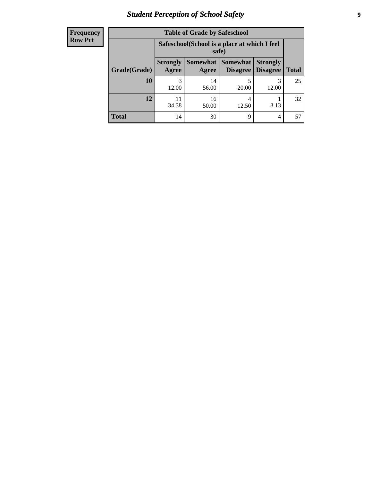# *Student Perception of School Safety* **9**

| <b>Frequency</b><br>Row Pct |
|-----------------------------|
|                             |

| <b>Table of Grade by Safeschool</b> |                          |                                                        |                               |                                    |              |
|-------------------------------------|--------------------------|--------------------------------------------------------|-------------------------------|------------------------------------|--------------|
|                                     |                          | Safeschool (School is a place at which I feel<br>safe) |                               |                                    |              |
| Grade(Grade)                        | <b>Strongly</b><br>Agree | Agree                                                  | Somewhat Somewhat<br>Disagree | <b>Strongly</b><br><b>Disagree</b> | <b>Total</b> |
| 10                                  | 3<br>12.00               | 14<br>56.00                                            | 20.00                         | 12.00                              | 25           |
| 12                                  | 34.38                    | 16<br>50.00                                            | 4<br>12.50                    | 3.13                               | 32           |
| <b>Total</b>                        | 14                       | 30                                                     | 9                             | 4                                  | 57           |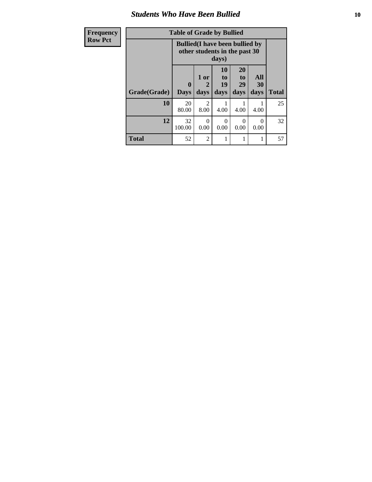#### *Students Who Have Been Bullied* **10**

| Frequency      | <b>Table of Grade by Bullied</b> |                                                                                  |                        |                               |                               |                   |              |
|----------------|----------------------------------|----------------------------------------------------------------------------------|------------------------|-------------------------------|-------------------------------|-------------------|--------------|
| <b>Row Pct</b> |                                  | <b>Bullied</b> (I have been bullied by<br>other students in the past 30<br>days) |                        |                               |                               |                   |              |
|                | Grade(Grade)                     | 0<br><b>Days</b>                                                                 | 1 or<br>days           | <b>10</b><br>to<br>19<br>days | <b>20</b><br>to<br>29<br>days | All<br>30<br>days | <b>Total</b> |
|                | 10                               | 20<br>80.00                                                                      | $\overline{2}$<br>8.00 | 4.00                          | 4.00                          | 4.00              | 25           |
|                | 12                               | 32<br>100.00                                                                     | $\theta$<br>0.00       | $\Omega$<br>0.00              | $\Omega$<br>0.00              | $\theta$<br>0.00  | 32           |
|                | <b>Total</b>                     | 52                                                                               | $\mathfrak{D}$         | 1                             |                               |                   | 57           |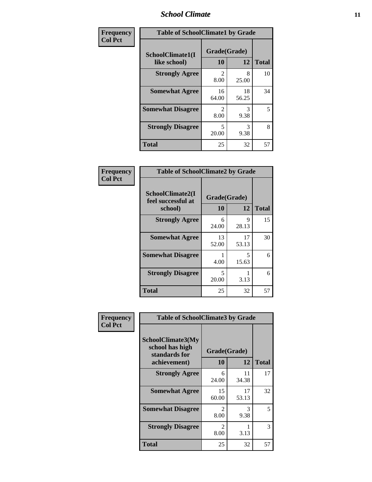#### *School Climate* **11**

| <b>Frequency</b> | <b>Table of SchoolClimate1 by Grade</b> |                        |             |              |  |
|------------------|-----------------------------------------|------------------------|-------------|--------------|--|
| <b>Col Pct</b>   | SchoolClimate1(I<br>like school)        | Grade(Grade)<br>10     | 12          | <b>Total</b> |  |
|                  | <b>Strongly Agree</b>                   | $\mathfrak{D}$<br>8.00 | 8<br>25.00  | 10           |  |
|                  | <b>Somewhat Agree</b>                   | 16<br>64.00            | 18<br>56.25 | 34           |  |
|                  | <b>Somewhat Disagree</b>                | $\mathfrak{D}$<br>8.00 | 3<br>9.38   | 5            |  |
|                  | <b>Strongly Disagree</b>                | 5<br>20.00             | 3<br>9.38   | 8            |  |
|                  | <b>Total</b>                            | 25                     | 32          | 57           |  |

| <b>Frequency</b> |
|------------------|
| <b>Col Pct</b>   |

| <b>Table of SchoolClimate2 by Grade</b>           |                    |             |              |  |  |
|---------------------------------------------------|--------------------|-------------|--------------|--|--|
| SchoolClimate2(I<br>feel successful at<br>school) | Grade(Grade)<br>10 | 12          | <b>Total</b> |  |  |
| <b>Strongly Agree</b>                             | 6<br>24.00         | 9<br>28.13  | 15           |  |  |
| <b>Somewhat Agree</b>                             | 13<br>52.00        | 17<br>53.13 | 30           |  |  |
| <b>Somewhat Disagree</b>                          | 4.00               | 5<br>15.63  | 6            |  |  |
| <b>Strongly Disagree</b>                          | 5<br>20.00         | 3.13        | 6            |  |  |
| <b>Total</b>                                      | 25                 | 32          | 57           |  |  |

| Frequency      | <b>Table of SchoolClimate3 by Grade</b>                                      |                                     |             |              |
|----------------|------------------------------------------------------------------------------|-------------------------------------|-------------|--------------|
| <b>Col Pct</b> | <b>SchoolClimate3(My</b><br>school has high<br>standards for<br>achievement) | Grade(Grade)<br><b>10</b>           | 12          | <b>Total</b> |
|                | <b>Strongly Agree</b>                                                        | 6<br>24.00                          | 11<br>34.38 | 17           |
|                | <b>Somewhat Agree</b>                                                        | 15<br>60.00                         | 17<br>53.13 | 32           |
|                | <b>Somewhat Disagree</b>                                                     | $\mathcal{D}_{\mathcal{L}}$<br>8.00 | 3<br>9.38   | 5            |
|                | <b>Strongly Disagree</b>                                                     | $\mathfrak{D}$<br>8.00              | 1<br>3.13   | 3            |
|                | Total                                                                        | 25                                  | 32          | 57           |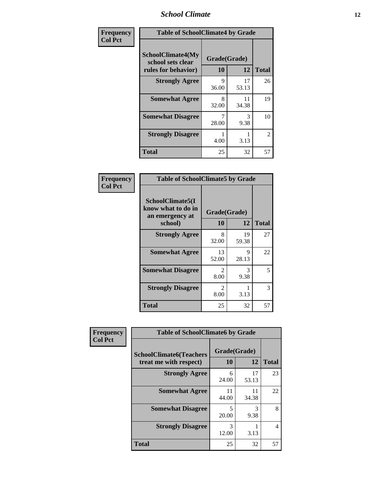#### *School Climate* **12**

| Frequency      | <b>Table of SchoolClimate4 by Grade</b>                              |                    |             |              |
|----------------|----------------------------------------------------------------------|--------------------|-------------|--------------|
| <b>Col Pct</b> | <b>SchoolClimate4(My</b><br>school sets clear<br>rules for behavior) | Grade(Grade)<br>10 | 12          | <b>Total</b> |
|                | <b>Strongly Agree</b>                                                | 9<br>36.00         | 17<br>53.13 | 26           |
|                | <b>Somewhat Agree</b>                                                | 8<br>32.00         | 11<br>34.38 | 19           |
|                | <b>Somewhat Disagree</b>                                             | 7<br>28.00         | 3<br>9.38   | 10           |
|                | <b>Strongly Disagree</b>                                             | 4.00               | 3.13        | 2            |
|                | Total                                                                | 25                 | 32          | 57           |

#### **Frequency Col Pct**

| <b>Table of SchoolClimate5 by Grade</b>                              |                        |             |              |  |  |
|----------------------------------------------------------------------|------------------------|-------------|--------------|--|--|
| SchoolClimate5(I<br>know what to do in<br>an emergency at<br>school) | Grade(Grade)<br>10     | 12          | <b>Total</b> |  |  |
| <b>Strongly Agree</b>                                                | 8<br>32.00             | 19<br>59.38 | 27           |  |  |
| <b>Somewhat Agree</b>                                                | 13<br>52.00            | 9<br>28.13  | 22           |  |  |
| <b>Somewhat Disagree</b>                                             | $\mathfrak{D}$<br>8.00 | 3<br>9.38   | 5            |  |  |
| <b>Strongly Disagree</b>                                             | 2<br>8.00              | 3.13        | 3            |  |  |
| Total                                                                | 25                     | 32          | 57           |  |  |

| Frequency      | <b>Table of SchoolClimate6 by Grade</b>                  |                           |             |              |  |
|----------------|----------------------------------------------------------|---------------------------|-------------|--------------|--|
| <b>Col Pct</b> | <b>SchoolClimate6(Teachers</b><br>treat me with respect) | Grade(Grade)<br><b>10</b> | 12          | <b>Total</b> |  |
|                | <b>Strongly Agree</b>                                    | 6<br>24.00                | 17<br>53.13 | 23           |  |
|                | <b>Somewhat Agree</b>                                    | 11<br>44.00               | 11<br>34.38 | 22           |  |
|                | <b>Somewhat Disagree</b>                                 | 5<br>20.00                | 3<br>9.38   | 8            |  |
|                | <b>Strongly Disagree</b>                                 | 3<br>12.00                | 3.13        | 4            |  |
|                | <b>Total</b>                                             | 25                        | 32          | 57           |  |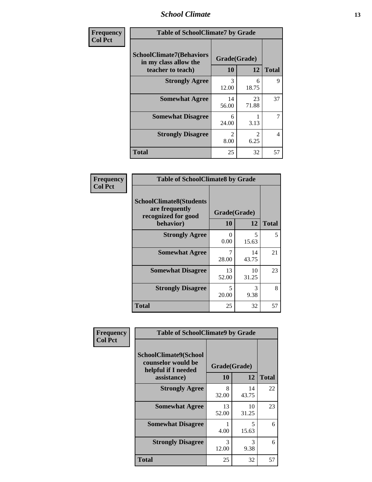#### *School Climate* **13**

| Frequency      | <b>Table of SchoolClimate7 by Grade</b>                                       |                           |                        |                |
|----------------|-------------------------------------------------------------------------------|---------------------------|------------------------|----------------|
| <b>Col Pct</b> | <b>SchoolClimate7(Behaviors</b><br>in my class allow the<br>teacher to teach) | Grade(Grade)<br><b>10</b> | 12                     | <b>Total</b>   |
|                | <b>Strongly Agree</b>                                                         | 3<br>12.00                | 6<br>18.75             | 9              |
|                | <b>Somewhat Agree</b>                                                         | 14<br>56.00               | 23<br>71.88            | 37             |
|                | <b>Somewhat Disagree</b>                                                      | 6<br>24.00                | 3.13                   | $\overline{7}$ |
|                | <b>Strongly Disagree</b>                                                      | $\mathfrak{D}$<br>8.00    | $\overline{2}$<br>6.25 | 4              |
|                | <b>Total</b>                                                                  | 25                        | 32                     | 57             |

| Frequency      | <b>Table of SchoolClimate8 by Grade</b>                                              |                    |             |              |
|----------------|--------------------------------------------------------------------------------------|--------------------|-------------|--------------|
| <b>Col Pct</b> | <b>SchoolClimate8(Students</b><br>are frequently<br>recognized for good<br>behavior) | Grade(Grade)<br>10 | 12          | <b>Total</b> |
|                | <b>Strongly Agree</b>                                                                | 0<br>0.00          | 5<br>15.63  | 5            |
|                | <b>Somewhat Agree</b>                                                                | 28.00              | 14<br>43.75 | 21           |
|                | <b>Somewhat Disagree</b>                                                             | 13<br>52.00        | 10<br>31.25 | 23           |
|                | <b>Strongly Disagree</b>                                                             | 5<br>20.00         | 3<br>9.38   | 8            |
|                | <b>Total</b>                                                                         | 25                 | 32          | 57           |

| <b>Frequency</b> | <b>Table of SchoolClimate9 by Grade</b>                                                  |                    |                       |              |
|------------------|------------------------------------------------------------------------------------------|--------------------|-----------------------|--------------|
| <b>Col Pct</b>   | <b>SchoolClimate9(School</b><br>counselor would be<br>helpful if I needed<br>assistance) | Grade(Grade)<br>10 | 12                    | <b>Total</b> |
|                  | <b>Strongly Agree</b>                                                                    | 8<br>32.00         | 14<br>43.75           | 22           |
|                  | <b>Somewhat Agree</b>                                                                    | 13<br>52.00        | 10<br>31.25           | 23           |
|                  | <b>Somewhat Disagree</b>                                                                 | 4.00               | 5<br>15.63            | 6            |
|                  | <b>Strongly Disagree</b>                                                                 | 3<br>12.00         | $\mathcal{R}$<br>9.38 | 6            |
|                  | <b>Total</b>                                                                             | 25                 | 32                    | 57           |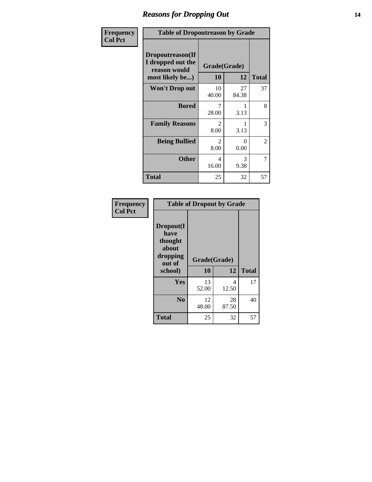### *Reasons for Dropping Out* **14**

| Frequency      | <b>Table of Dropoutreason by Grade</b>                                   |                        |                      |                |
|----------------|--------------------------------------------------------------------------|------------------------|----------------------|----------------|
| <b>Col Pct</b> | Dropoutreason(If<br>I dropped out the<br>reason would<br>most likely be) | Grade(Grade)<br>10     | 12                   | <b>Total</b>   |
|                | <b>Won't Drop out</b>                                                    | 10<br>40.00            | 27<br>84.38          | 37             |
|                | <b>Bored</b>                                                             | 7<br>28.00             | 3.13                 | 8              |
|                | <b>Family Reasons</b>                                                    | $\mathfrak{D}$<br>8.00 | 3.13                 | 3              |
|                | <b>Being Bullied</b>                                                     | 2<br>8.00              | $\mathbf{0}$<br>0.00 | $\overline{c}$ |
|                | <b>Other</b>                                                             | 4<br>16.00             | 3<br>9.38            | 7              |
|                | <b>Total</b>                                                             | 25                     | 32                   | 57             |

| Frequency<br><b>Col Pct</b> | <b>Table of Dropout by Grade</b>                                       |                    |              |    |  |
|-----------------------------|------------------------------------------------------------------------|--------------------|--------------|----|--|
|                             | Dropout(I<br>have<br>thought<br>about<br>dropping<br>out of<br>school) | Grade(Grade)<br>10 | <b>Total</b> |    |  |
|                             |                                                                        |                    | 12           |    |  |
|                             | Yes                                                                    | 13<br>52.00        | 4<br>12.50   | 17 |  |
|                             | N <sub>0</sub>                                                         | 12<br>48.00        | 28<br>87.50  | 40 |  |
|                             |                                                                        |                    |              |    |  |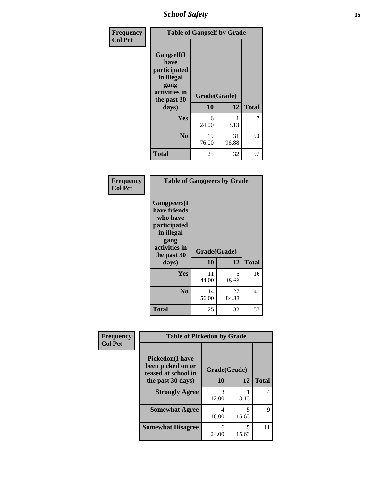*School Safety* **15**

| Frequency      | <b>Table of Gangself by Grade</b>                                                                 |                    |             |              |
|----------------|---------------------------------------------------------------------------------------------------|--------------------|-------------|--------------|
| <b>Col Pct</b> | Gangself(I<br>have<br>participated<br>in illegal<br>gang<br>activities in<br>the past 30<br>days) | Grade(Grade)<br>10 | 12          | <b>Total</b> |
|                | Yes                                                                                               | 6<br>24.00         | 1<br>3.13   | 7            |
|                | N <sub>0</sub>                                                                                    | 19<br>76.00        | 31<br>96.88 | 50           |
|                | <b>Total</b>                                                                                      | 25                 | 32          | 57           |

| Frequency<br><b>Col Pct</b> | <b>Table of Gangpeers by Grade</b>                                                                                             |                    |             |              |
|-----------------------------|--------------------------------------------------------------------------------------------------------------------------------|--------------------|-------------|--------------|
|                             | <b>Gangpeers</b> (I<br>have friends<br>who have<br>participated<br>in illegal<br>gang<br>activities in<br>the past 30<br>days) | Grade(Grade)<br>10 | 12          | <b>Total</b> |
|                             | <b>Yes</b>                                                                                                                     | 11<br>44.00        | 5<br>15.63  | 16           |
|                             | N <sub>0</sub>                                                                                                                 | 14<br>56.00        | 27<br>84.38 | 41           |
|                             | <b>Total</b>                                                                                                                   | 25                 | 32          | 57           |

| Frequency      |                                                                    | <b>Table of Pickedon by Grade</b> |            |              |  |  |  |  |  |
|----------------|--------------------------------------------------------------------|-----------------------------------|------------|--------------|--|--|--|--|--|
| <b>Col Pct</b> | <b>Pickedon(I have</b><br>been picked on or<br>teased at school in | Grade(Grade)                      |            |              |  |  |  |  |  |
|                | the past 30 days)                                                  | 10                                | 12         | <b>Total</b> |  |  |  |  |  |
|                | <b>Strongly Agree</b>                                              | 3<br>12.00                        | 3.13       | 4            |  |  |  |  |  |
|                | <b>Somewhat Agree</b>                                              | 4<br>16.00                        | 5<br>15.63 | 9            |  |  |  |  |  |
|                | <b>Somewhat Disagree</b>                                           | 6<br>24.00                        | 5<br>15.63 | 11           |  |  |  |  |  |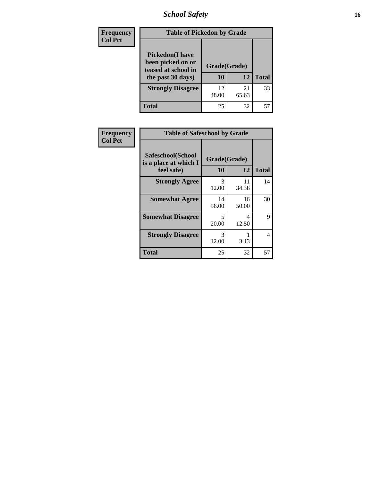# *School Safety* **16**

| <b>Frequency</b> | <b>Table of Pickedon by Grade</b>                                                        |                    |             |              |
|------------------|------------------------------------------------------------------------------------------|--------------------|-------------|--------------|
| <b>Col Pct</b>   | <b>Pickedon</b> (I have<br>been picked on or<br>teased at school in<br>the past 30 days) | Grade(Grade)<br>10 | 12          | <b>Total</b> |
|                  | <b>Strongly Disagree</b>                                                                 | 12<br>48.00        | 21<br>65.63 | 33           |
|                  | Total                                                                                    | 25                 | 32          |              |

| Frequency      |                                                          | <b>Table of Safeschool by Grade</b> |             |              |  |  |  |  |
|----------------|----------------------------------------------------------|-------------------------------------|-------------|--------------|--|--|--|--|
| <b>Col Pct</b> | Safeschool(School<br>is a place at which I<br>feel safe) | Grade(Grade)<br><b>10</b>           | 12          | <b>Total</b> |  |  |  |  |
|                | <b>Strongly Agree</b>                                    | 3<br>12.00                          | 11<br>34.38 | 14           |  |  |  |  |
|                | <b>Somewhat Agree</b>                                    | 14<br>56.00                         | 16<br>50.00 | 30           |  |  |  |  |
|                | <b>Somewhat Disagree</b>                                 | 5<br>20.00                          | 4<br>12.50  | 9            |  |  |  |  |
|                | <b>Strongly Disagree</b>                                 | 3<br>12.00                          | 3.13        | 4            |  |  |  |  |
|                | <b>Total</b>                                             | 25                                  | 32          | 57           |  |  |  |  |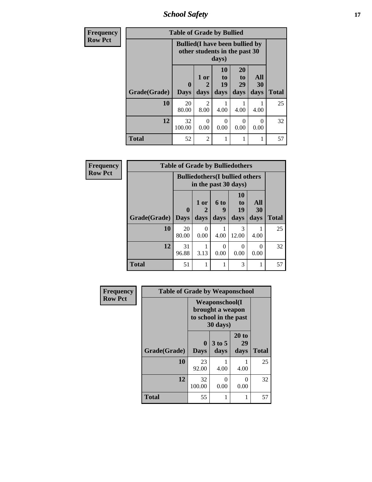*School Safety* **17**

| <b>Frequency</b> |              | <b>Table of Grade by Bullied</b> |                                                                                  |                               |                        |                       |              |  |  |  |  |
|------------------|--------------|----------------------------------|----------------------------------------------------------------------------------|-------------------------------|------------------------|-----------------------|--------------|--|--|--|--|
| <b>Row Pct</b>   |              |                                  | <b>Bullied</b> (I have been bullied by<br>other students in the past 30<br>days) |                               |                        |                       |              |  |  |  |  |
|                  | Grade(Grade) | $\mathbf{0}$<br><b>Days</b>      | 1 or<br>$\mathbf{2}$<br>days                                                     | <b>10</b><br>to<br>19<br>days | 20<br>to<br>29<br>days | All<br>30<br>days     | <b>Total</b> |  |  |  |  |
|                  | 10           | 20<br>80.00                      | $\mathfrak{D}$<br>8.00                                                           | 4.00                          | 4.00                   | 4.00                  | 25           |  |  |  |  |
|                  | 12           | 32<br>100.00                     | 0<br>0.00                                                                        | 0<br>0.00                     | $\Omega$<br>0.00       | $\mathcal{L}$<br>0.00 | 32           |  |  |  |  |
|                  | <b>Total</b> | 52                               | $\overline{2}$                                                                   | 1                             |                        |                       | 57           |  |  |  |  |

| Frequency      | <b>Table of Grade by Bulliedothers</b> |                             |                                |                                                                |                               |                   |              |  |  |
|----------------|----------------------------------------|-----------------------------|--------------------------------|----------------------------------------------------------------|-------------------------------|-------------------|--------------|--|--|
| <b>Row Pct</b> |                                        |                             |                                | <b>Bulliedothers</b> (I bullied others<br>in the past 30 days) |                               |                   |              |  |  |
|                | Grade(Grade)                           | $\mathbf{0}$<br><b>Days</b> | 1 or<br>$\overline{2}$<br>days | 6 to<br>q<br>days                                              | <b>10</b><br>to<br>19<br>days | All<br>30<br>days | <b>Total</b> |  |  |
|                | 10                                     | 20<br>80.00                 | $\Omega$<br>0.00               | 4.00                                                           | 3<br>12.00                    | 4.00              | 25           |  |  |
|                | 12                                     | 31<br>96.88                 | 3.13                           | 0<br>0.00                                                      | 0<br>0.00                     | ∩<br>0.00         | 32           |  |  |
|                | <b>Total</b>                           | 51                          | 1                              |                                                                | 3                             |                   | 57           |  |  |

| Frequency      | <b>Table of Grade by Weaponschool</b> |                  |                                                                                 |                     |              |  |  |  |  |
|----------------|---------------------------------------|------------------|---------------------------------------------------------------------------------|---------------------|--------------|--|--|--|--|
| <b>Row Pct</b> |                                       |                  | <b>Weaponschool</b> (I<br>brought a weapon<br>to school in the past<br>30 days) |                     |              |  |  |  |  |
|                | Grade(Grade)                          | 0<br><b>Days</b> | $3$ to 5<br>days                                                                | 20 to<br>29<br>days | <b>Total</b> |  |  |  |  |
|                | 10                                    | 23<br>92.00      | 4.00                                                                            | 4.00                | 25           |  |  |  |  |
|                | 12                                    | 32<br>100.00     | 0<br>0.00                                                                       | 0<br>0.00           | 32           |  |  |  |  |
|                | <b>Total</b>                          | 55               | 1                                                                               |                     | 57           |  |  |  |  |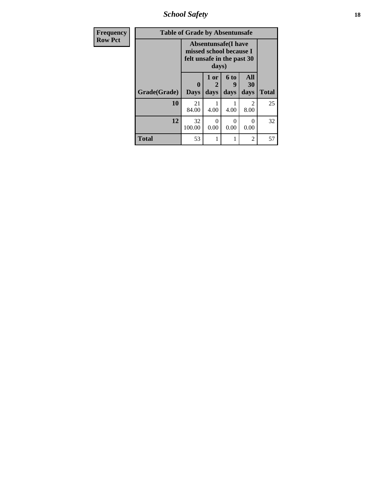*School Safety* **18**

| <b>Frequency</b> | <b>Table of Grade by Absentunsafe</b> |                                                                                     |           |           |                        |              |  |
|------------------|---------------------------------------|-------------------------------------------------------------------------------------|-----------|-----------|------------------------|--------------|--|
| <b>Row Pct</b>   |                                       | <b>Absentunsafe(I have</b><br>missed school because I<br>felt unsafe in the past 30 |           |           |                        |              |  |
|                  |                                       | $\bf{0}$                                                                            | 1 or<br>2 | 6 to<br>9 | All<br>30              |              |  |
|                  | Grade(Grade)                          | <b>Days</b>                                                                         | days      | days      | days                   | <b>Total</b> |  |
|                  | 10                                    | 21<br>84.00                                                                         | 4.00      | 4.00      | $\mathfrak{D}$<br>8.00 | 25           |  |
|                  | 12                                    | 32<br>100.00                                                                        | 0<br>0.00 | 0.00      | 0<br>0.00              | 32           |  |
|                  | <b>Total</b>                          | 53                                                                                  |           |           | $\overline{2}$         | 57           |  |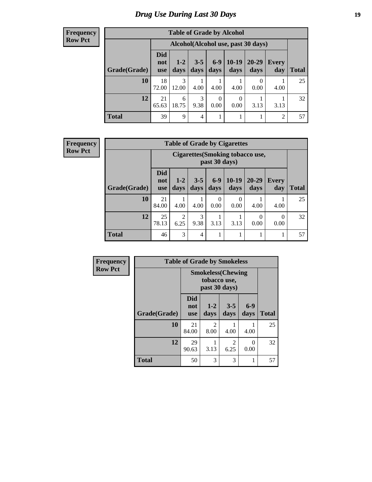# *Drug Use During Last 30 Days* **19**

#### **Frequency Row Pct**

| <b>Table of Grade by Alcohol</b> |                          |                                    |                 |                  |                  |                   |                |       |  |  |
|----------------------------------|--------------------------|------------------------------------|-----------------|------------------|------------------|-------------------|----------------|-------|--|--|
|                                  |                          | Alcohol(Alcohol use, past 30 days) |                 |                  |                  |                   |                |       |  |  |
| Grade(Grade)                     | <b>Did</b><br>not<br>use | $1-2$<br>days                      | $3 - 5$<br>days | $6-9$<br>days    | $10-19$<br>days  | $20 - 29$<br>days | Every<br>day   | Total |  |  |
| 10                               | 18<br>72.00              | 3<br>12.00                         | 4.00            | 4.00             | 4.00             | 0<br>0.00         | 4.00           | 25    |  |  |
| 12                               | 21<br>65.63              | 6<br>18.75                         | 3<br>9.38       | $\theta$<br>0.00 | $\theta$<br>0.00 | 3.13              | 3.13           | 32    |  |  |
| <b>Total</b>                     | 39                       | 9                                  | 4               |                  |                  |                   | $\overline{2}$ | 57    |  |  |

#### **Frequency Row Pct**

| <b>Table of Grade by Cigarettes</b> |                                 |                                                   |                 |                  |                 |                   |                  |       |  |  |
|-------------------------------------|---------------------------------|---------------------------------------------------|-----------------|------------------|-----------------|-------------------|------------------|-------|--|--|
|                                     |                                 | Cigarettes (Smoking tobacco use,<br>past 30 days) |                 |                  |                 |                   |                  |       |  |  |
| Grade(Grade)                        | <b>Did</b><br>not<br><b>use</b> | $1 - 2$<br>days                                   | $3 - 5$<br>days | $6 - 9$<br>days  | $10-19$<br>days | $20 - 29$<br>days | Every<br>day     | Total |  |  |
| 10                                  | 21<br>84.00                     | 4.00                                              | 4.00            | $\theta$<br>0.00 | 0<br>0.00       | 4.00              | 4.00             | 25    |  |  |
| 12                                  | 25<br>78.13                     | $\overline{c}$<br>6.25                            | 3<br>9.38       | 3.13             | 3.13            | 0<br>0.00         | $\Omega$<br>0.00 | 32    |  |  |
| <b>Total</b>                        | 46                              | 3                                                 | $\overline{4}$  |                  | 1               |                   |                  | 57    |  |  |

| <b>Frequency</b> | <b>Table of Grade by Smokeless</b> |                          |                                                            |                        |               |              |  |  |
|------------------|------------------------------------|--------------------------|------------------------------------------------------------|------------------------|---------------|--------------|--|--|
| <b>Row Pct</b>   |                                    |                          | <b>Smokeless</b> (Chewing<br>tobacco use,<br>past 30 days) |                        |               |              |  |  |
|                  | Grade(Grade)                       | Did<br>not<br><b>use</b> | $1 - 2$<br>days                                            | $3 - 5$<br>days        | $6-9$<br>days | <b>Total</b> |  |  |
|                  | 10                                 | 21<br>84.00              | 2<br>8.00                                                  | 4.00                   | 4.00          | 25           |  |  |
|                  | 12                                 | 29<br>90.63              | 3.13                                                       | $\overline{2}$<br>6.25 | 0<br>0.00     | 32           |  |  |
|                  | <b>Total</b>                       | 50                       | 3                                                          | 3                      | 1             | 57           |  |  |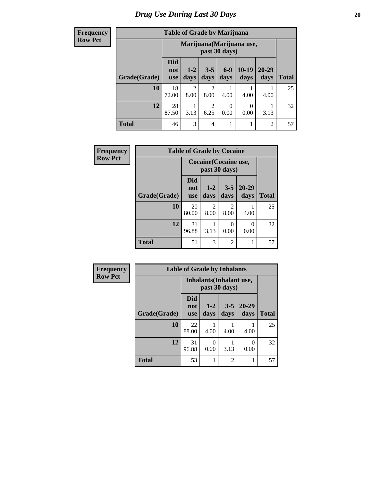**Frequency Row Pct**

| <b>Table of Grade by Marijuana</b> |                          |                                            |                        |                  |               |                   |              |  |  |
|------------------------------------|--------------------------|--------------------------------------------|------------------------|------------------|---------------|-------------------|--------------|--|--|
|                                    |                          | Marijuana (Marijuana use,<br>past 30 days) |                        |                  |               |                   |              |  |  |
| Grade(Grade)                       | <b>Did</b><br>not<br>use | $1 - 2$<br>days                            | $3 - 5$<br>days        | $6-9$<br>days    | 10-19<br>days | $20 - 29$<br>days | <b>Total</b> |  |  |
| 10                                 | 18<br>72.00              | $\overline{2}$<br>8.00                     | 2<br>8.00              | 4.00             | 4.00          | 4.00              | 25           |  |  |
| 12                                 | 28<br>87.50              | 3.13                                       | $\overline{c}$<br>6.25 | $\Omega$<br>0.00 | 0<br>0.00     | 3.13              | 32           |  |  |
| <b>Total</b>                       | 46                       | 3                                          | $\overline{4}$         |                  | 1             | $\mathfrak{D}$    | 57           |  |  |

| Frequency      | <b>Table of Grade by Cocaine</b> |                                 |                                        |                        |                   |              |  |  |
|----------------|----------------------------------|---------------------------------|----------------------------------------|------------------------|-------------------|--------------|--|--|
| <b>Row Pct</b> |                                  |                                 | Cocaine (Cocaine use,<br>past 30 days) |                        |                   |              |  |  |
|                | Grade(Grade)                     | <b>Did</b><br>not<br><b>use</b> | $1 - 2$<br>days                        | $3 - 5$<br>days        | $20 - 29$<br>days | <b>Total</b> |  |  |
|                | 10                               | 20<br>80.00                     | 2<br>8.00                              | $\mathfrak{D}$<br>8.00 | 4.00              | 25           |  |  |
|                | 12                               | 31<br>96.88                     | 3.13                                   | 0<br>0.00              | 0<br>0.00         | 32           |  |  |
|                | <b>Total</b>                     | 51                              | 3                                      | 2                      |                   | 57           |  |  |

| <b>Frequency</b> | <b>Table of Grade by Inhalants</b> |                          |                 |                 |                   |              |
|------------------|------------------------------------|--------------------------|-----------------|-----------------|-------------------|--------------|
| <b>Row Pct</b>   |                                    | Inhalants (Inhalant use, |                 |                 |                   |              |
|                  | Grade(Grade)                       | Did<br>not<br><b>use</b> | $1 - 2$<br>days | $3 - 5$<br>days | $20 - 29$<br>days | <b>Total</b> |
|                  | 10                                 | 22<br>88.00              | 4.00            | 4.00            | 4.00              | 25           |
|                  | 12                                 | 31<br>96.88              | 0<br>0.00       | 3.13            | 0<br>0.00         | 32           |
|                  | <b>Total</b>                       | 53                       | 1               | $\overline{c}$  | 1                 | 57           |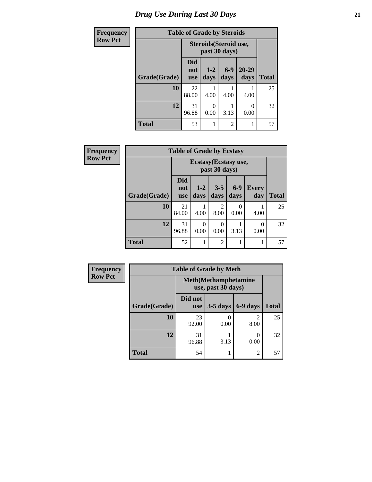# *Drug Use During Last 30 Days* **21**

| <b>Frequency</b> | <b>Table of Grade by Steroids</b> |                                         |                 |                |                   |              |
|------------------|-----------------------------------|-----------------------------------------|-----------------|----------------|-------------------|--------------|
| <b>Row Pct</b>   |                                   | Steroids (Steroid use,<br>past 30 days) |                 |                |                   |              |
|                  | Grade(Grade)                      | Did<br>not<br><b>use</b>                | $1 - 2$<br>days | $6-9$<br>days  | $20 - 29$<br>days | <b>Total</b> |
|                  | 10                                | 22<br>88.00                             | 4.00            | 4.00           | 4.00              | 25           |
|                  | 12                                | 31<br>96.88                             | 0<br>0.00       | 3.13           | $\Omega$<br>0.00  | 32           |
|                  | <b>Total</b>                      | 53                                      | 1               | $\overline{2}$ | 1                 | 57           |

| <b>Frequency</b> | <b>Table of Grade by Ecstasy</b> |                                        |                  |                  |               |                     |              |
|------------------|----------------------------------|----------------------------------------|------------------|------------------|---------------|---------------------|--------------|
| <b>Row Pct</b>   |                                  | Ecstasy (Ecstasy use,<br>past 30 days) |                  |                  |               |                     |              |
|                  | Grade(Grade)                     | <b>Did</b><br>not<br><b>use</b>        | $1-2$<br>days    | $3 - 5$<br>days  | $6-9$<br>days | <b>Every</b><br>day | <b>Total</b> |
|                  | 10                               | 21<br>84.00                            | 4.00             | 2<br>8.00        | 0<br>0.00     | 4.00                | 25           |
|                  | 12                               | 31<br>96.88                            | $\Omega$<br>0.00 | $\theta$<br>0.00 | 3.13          | 0<br>0.00           | 32           |
|                  | <b>Total</b>                     | 52                                     |                  | $\overline{c}$   | 1             |                     | 57           |

| <b>Frequency</b> | <b>Table of Grade by Meth</b>                      |                       |            |                        |              |  |
|------------------|----------------------------------------------------|-----------------------|------------|------------------------|--------------|--|
| <b>Row Pct</b>   | <b>Meth</b> (Methamphetamine<br>use, past 30 days) |                       |            |                        |              |  |
|                  | Grade(Grade)                                       | Did not<br><b>use</b> | $3-5$ days | 6-9 days               | <b>Total</b> |  |
|                  | 10                                                 | 23<br>92.00           | 0.00       | $\mathfrak{D}$<br>8.00 | 25           |  |
|                  | 12                                                 | 31<br>96.88           | 3.13       | 0<br>0.00              | 32           |  |
|                  | <b>Total</b>                                       | 54                    |            | $\overline{c}$         | 57           |  |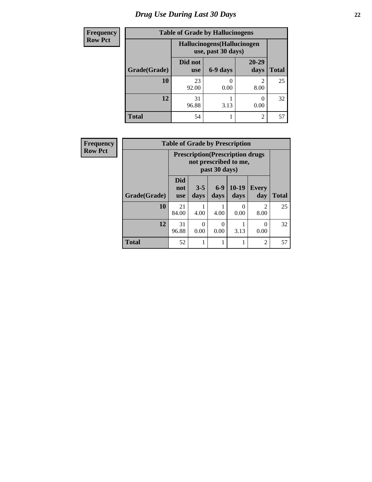# *Drug Use During Last 30 Days* **22**

| <b>Frequency</b> | <b>Table of Grade by Hallucinogens</b> |                                                   |          |                   |              |  |
|------------------|----------------------------------------|---------------------------------------------------|----------|-------------------|--------------|--|
| <b>Row Pct</b>   |                                        | Hallucinogens (Hallucinogen<br>use, past 30 days) |          |                   |              |  |
|                  | Grade(Grade)                           | Did not<br><b>use</b>                             | 6-9 days | $20 - 29$<br>days | <b>Total</b> |  |
|                  | 10                                     | 23<br>92.00                                       | 0.00     | っ<br>8.00         | 25           |  |
|                  | 12                                     | 31<br>96.88                                       | 3.13     | 0.00              | 32           |  |
|                  | <b>Total</b>                           | 54                                                |          | $\mathfrak{D}$    | 57           |  |

| <b>Frequency</b> | <b>Table of Grade by Prescription</b> |                                                                                    |                 |                  |                 |                        |              |  |
|------------------|---------------------------------------|------------------------------------------------------------------------------------|-----------------|------------------|-----------------|------------------------|--------------|--|
| <b>Row Pct</b>   |                                       | <b>Prescription</b> (Prescription drugs)<br>not prescribed to me,<br>past 30 days) |                 |                  |                 |                        |              |  |
|                  | Grade(Grade)                          | <b>Did</b><br>not<br><b>use</b>                                                    | $3 - 5$<br>days | $6-9$<br>days    | $10-19$<br>days | <b>Every</b><br>day    | <b>Total</b> |  |
|                  | 10                                    | 21<br>84.00                                                                        | 4.00            | 4.00             | 0<br>0.00       | $\mathfrak{D}$<br>8.00 | 25           |  |
|                  | 12                                    | 31<br>96.88                                                                        | 0<br>0.00       | $\Omega$<br>0.00 | 3.13            | ∩<br>0.00              | 32           |  |
|                  | <b>Total</b>                          | 52                                                                                 |                 |                  | 1               | $\overline{2}$         | 57           |  |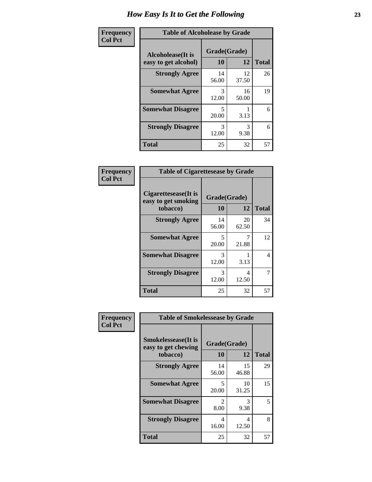| Frequency      | <b>Table of Alcoholease by Grade</b>              |                    |             |              |  |
|----------------|---------------------------------------------------|--------------------|-------------|--------------|--|
| <b>Col Pct</b> | <b>Alcoholease</b> (It is<br>easy to get alcohol) | Grade(Grade)<br>10 | 12          | <b>Total</b> |  |
|                | <b>Strongly Agree</b>                             | 14<br>56.00        | 12<br>37.50 | 26           |  |
|                | <b>Somewhat Agree</b>                             | 3<br>12.00         | 16<br>50.00 | 19           |  |
|                | <b>Somewhat Disagree</b>                          | 5<br>20.00         | 3.13        | 6            |  |
|                | <b>Strongly Disagree</b>                          | 3<br>12.00         | 3<br>9.38   | 6            |  |
|                | <b>Total</b>                                      | 25                 | 32          | 57           |  |

| Frequency<br>Col Pct |  |
|----------------------|--|

| <b>Table of Cigarettesease by Grade</b>                 |                    |             |              |  |  |  |
|---------------------------------------------------------|--------------------|-------------|--------------|--|--|--|
| Cigarettesease(It is<br>easy to get smoking<br>tobacco) | Grade(Grade)<br>10 | 12          | <b>Total</b> |  |  |  |
| <b>Strongly Agree</b>                                   | 14<br>56.00        | 20<br>62.50 | 34           |  |  |  |
| <b>Somewhat Agree</b>                                   | 5<br>20.00         | 21.88       | 12           |  |  |  |
| <b>Somewhat Disagree</b>                                | 3<br>12.00         | 3.13        | 4            |  |  |  |
| <b>Strongly Disagree</b>                                | 3<br>12.00         | 4<br>12.50  | 7            |  |  |  |
| <b>Total</b>                                            | 25                 | 32          | 57           |  |  |  |

| Frequency      | <b>Table of Smokelessease by Grade</b>                         |                          |             |              |  |
|----------------|----------------------------------------------------------------|--------------------------|-------------|--------------|--|
| <b>Col Pct</b> | <b>Smokelessease</b> (It is<br>easy to get chewing<br>tobacco) | Grade(Grade)<br>10<br>12 |             | <b>Total</b> |  |
|                | <b>Strongly Agree</b>                                          | 14<br>56.00              | 15<br>46.88 | 29           |  |
|                | <b>Somewhat Agree</b>                                          | 5<br>20.00               | 10<br>31.25 | 15           |  |
|                | <b>Somewhat Disagree</b>                                       | $\mathfrak{D}$<br>8.00   | 3<br>9.38   | 5.           |  |
|                | <b>Strongly Disagree</b>                                       | 4<br>16.00               | 4<br>12.50  | 8            |  |
|                | <b>Total</b>                                                   | 25                       | 32          | 57           |  |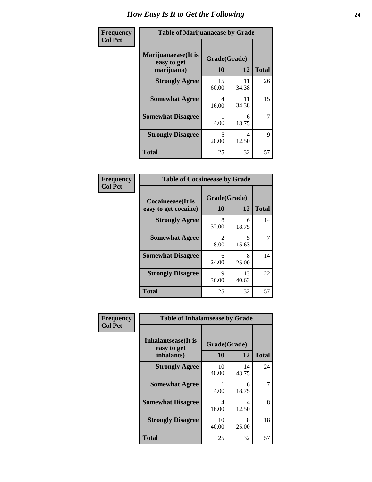| Frequency      | <b>Table of Marijuanaease by Grade</b>           |                                   |             |              |  |
|----------------|--------------------------------------------------|-----------------------------------|-------------|--------------|--|
| <b>Col Pct</b> | Marijuanaease(It is<br>easy to get<br>marijuana) | Grade(Grade)<br><b>10</b>         | 12          | <b>Total</b> |  |
|                | <b>Strongly Agree</b>                            | 15<br>60.00                       | 11<br>34.38 | 26           |  |
|                | <b>Somewhat Agree</b>                            | 4<br>16.00                        | 11<br>34.38 | 15           |  |
|                | <b>Somewhat Disagree</b>                         | 4.00                              | 6<br>18.75  | 7            |  |
|                | <b>Strongly Disagree</b>                         | $\overline{\phantom{0}}$<br>20.00 | 4<br>12.50  | 9            |  |
|                | <b>Total</b>                                     | 25                                | 32          | 57           |  |

#### **Frequency Col Pct**

| <b>Table of Cocaineease by Grade</b>              |                    |              |    |  |  |  |
|---------------------------------------------------|--------------------|--------------|----|--|--|--|
| <b>Cocaineease</b> (It is<br>easy to get cocaine) | Grade(Grade)<br>10 | <b>Total</b> |    |  |  |  |
| <b>Strongly Agree</b>                             | 8<br>32.00         | 6<br>18.75   | 14 |  |  |  |
| <b>Somewhat Agree</b>                             | 2<br>8.00          | 5<br>15.63   | 7  |  |  |  |
| <b>Somewhat Disagree</b>                          | 6<br>24.00         | 8<br>25.00   | 14 |  |  |  |
| <b>Strongly Disagree</b>                          | 9<br>36.00         | 13<br>40.63  | 22 |  |  |  |
| <b>Total</b>                                      | 25                 | 32           | 57 |  |  |  |

| Frequency      | <b>Table of Inhalantsease by Grade</b>                   |                    |              |    |
|----------------|----------------------------------------------------------|--------------------|--------------|----|
| <b>Col Pct</b> | <b>Inhalantsease</b> (It is<br>easy to get<br>inhalants) | Grade(Grade)<br>10 | <b>Total</b> |    |
|                | <b>Strongly Agree</b>                                    | 10<br>40.00        | 14<br>43.75  | 24 |
|                | <b>Somewhat Agree</b>                                    | 4.00               | 6<br>18.75   |    |
|                | <b>Somewhat Disagree</b>                                 | 4<br>16.00         | 4<br>12.50   | 8  |
|                | <b>Strongly Disagree</b>                                 | 10<br>40.00        | 8<br>25.00   | 18 |
|                | <b>Total</b>                                             | 25                 | 32           | 57 |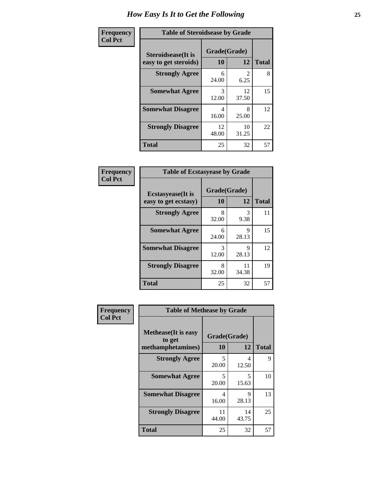| Frequency      | <b>Table of Steroidsease by Grade</b>               |                    |                                     |    |  |  |  |  |  |
|----------------|-----------------------------------------------------|--------------------|-------------------------------------|----|--|--|--|--|--|
| <b>Col Pct</b> | <b>Steroidsease</b> (It is<br>easy to get steroids) | Grade(Grade)<br>10 | <b>Total</b>                        |    |  |  |  |  |  |
|                | <b>Strongly Agree</b>                               | 6<br>24.00         | $\mathcal{D}_{\mathcal{L}}$<br>6.25 | 8  |  |  |  |  |  |
|                | <b>Somewhat Agree</b>                               | 3<br>12.00         | 12<br>37.50                         | 15 |  |  |  |  |  |
|                | <b>Somewhat Disagree</b>                            | 4<br>16.00         | 8<br>25.00                          | 12 |  |  |  |  |  |
|                | <b>Strongly Disagree</b>                            | 12<br>48.00        | 10<br>31.25                         | 22 |  |  |  |  |  |
|                | <b>Total</b>                                        | 25                 | 32                                  | 57 |  |  |  |  |  |

| Frequency      | <b>Table of Ecstasyease by Grade</b>              |                    |             |              |  |  |  |  |  |  |  |
|----------------|---------------------------------------------------|--------------------|-------------|--------------|--|--|--|--|--|--|--|
| <b>Col Pct</b> | <b>Ecstasyease</b> (It is<br>easy to get ecstasy) | Grade(Grade)<br>10 | 12          | <b>Total</b> |  |  |  |  |  |  |  |
|                | <b>Strongly Agree</b>                             | 8<br>32.00         | 3<br>9.38   | 11           |  |  |  |  |  |  |  |
|                | <b>Somewhat Agree</b>                             | 6<br>24.00         | 9<br>28.13  | 15           |  |  |  |  |  |  |  |
|                | <b>Somewhat Disagree</b>                          | 3<br>12.00         | 9<br>28.13  | 12           |  |  |  |  |  |  |  |
|                | <b>Strongly Disagree</b>                          | 8<br>32.00         | 11<br>34.38 | 19           |  |  |  |  |  |  |  |
|                | <b>Total</b>                                      | 25                 | 32          | 57           |  |  |  |  |  |  |  |

| <b>Frequency</b> | <b>Table of Methease by Grade</b>     |              |             |  |  |  |  |  |  |  |  |
|------------------|---------------------------------------|--------------|-------------|--|--|--|--|--|--|--|--|
| <b>Col Pct</b>   |                                       |              |             |  |  |  |  |  |  |  |  |
|                  | <b>Methease</b> (It is easy<br>to get | Grade(Grade) |             |  |  |  |  |  |  |  |  |
|                  | methamphetamines)                     | 10           | 12          |  |  |  |  |  |  |  |  |
|                  | <b>Strongly Agree</b>                 | 5<br>20.00   | 4<br>12.50  |  |  |  |  |  |  |  |  |
|                  | <b>Somewhat Agree</b>                 | 5<br>20.00   | 5<br>15.63  |  |  |  |  |  |  |  |  |
|                  | <b>Somewhat Disagree</b>              | 4<br>16.00   | 9<br>28.13  |  |  |  |  |  |  |  |  |
|                  | <b>Strongly Disagree</b>              | 11<br>44.00  | 14<br>43.75 |  |  |  |  |  |  |  |  |

**10 12 Total**

9

10

13

25

**Total** 25 32 57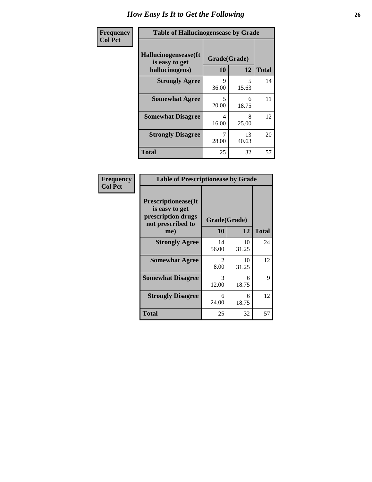| <b>Frequency</b> | <b>Table of Hallucinogensease by Grade</b>               |                                   |             |              |  |  |  |  |  |  |
|------------------|----------------------------------------------------------|-----------------------------------|-------------|--------------|--|--|--|--|--|--|
| <b>Col Pct</b>   | Hallucinogensease(It<br>is easy to get<br>hallucinogens) | Grade(Grade)<br>10                | 12          | <b>Total</b> |  |  |  |  |  |  |
|                  | <b>Strongly Agree</b>                                    | Q<br>36.00                        | 5<br>15.63  | 14           |  |  |  |  |  |  |
|                  | <b>Somewhat Agree</b>                                    | $\overline{\phantom{0}}$<br>20.00 | 6<br>18.75  | 11           |  |  |  |  |  |  |
|                  | <b>Somewhat Disagree</b>                                 | 4<br>16.00                        | 8<br>25.00  | 12           |  |  |  |  |  |  |
|                  | <b>Strongly Disagree</b>                                 | 28.00                             | 13<br>40.63 | 20           |  |  |  |  |  |  |
|                  | <b>Total</b>                                             | 25                                | 32          | 57           |  |  |  |  |  |  |

| Frequency<br>Col Pct |
|----------------------|
|                      |

| <b>Table of Prescriptionease by Grade</b>                                                |                       |              |              |  |  |  |  |  |  |  |
|------------------------------------------------------------------------------------------|-----------------------|--------------|--------------|--|--|--|--|--|--|--|
| <b>Prescriptionease</b> (It<br>is easy to get<br>prescription drugs<br>not prescribed to |                       | Grade(Grade) |              |  |  |  |  |  |  |  |
| me)                                                                                      | 10                    | 12           | <b>Total</b> |  |  |  |  |  |  |  |
| <b>Strongly Agree</b>                                                                    | 14<br>56.00           | 10<br>31.25  | 24           |  |  |  |  |  |  |  |
| <b>Somewhat Agree</b>                                                                    | $\mathcal{L}$<br>8.00 | 10<br>31.25  | 12           |  |  |  |  |  |  |  |
| <b>Somewhat Disagree</b>                                                                 | 3<br>12.00            | 6<br>18.75   | Q            |  |  |  |  |  |  |  |
| <b>Strongly Disagree</b>                                                                 | 6<br>24.00            | 6<br>18.75   | 12           |  |  |  |  |  |  |  |
| Total                                                                                    | 25                    | 32           | 57           |  |  |  |  |  |  |  |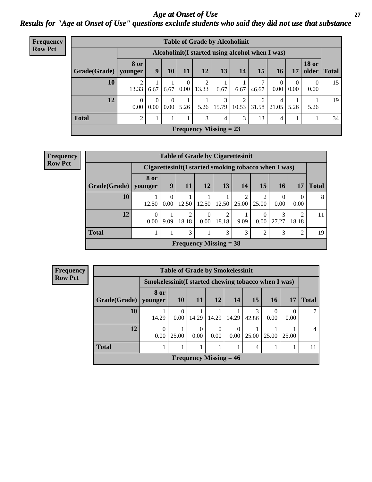#### *Age at Onset of Use* **27** *Results for "Age at Onset of Use" questions exclude students who said they did not use that substance*

| Frequency      | <b>Table of Grade by Alcoholinit</b> |                        |                  |                      |                            |            |                                                  |            |            |            |           |                       |              |
|----------------|--------------------------------------|------------------------|------------------|----------------------|----------------------------|------------|--------------------------------------------------|------------|------------|------------|-----------|-----------------------|--------------|
| <b>Row Pct</b> |                                      |                        |                  |                      |                            |            | Alcoholinit (I started using alcohol when I was) |            |            |            |           |                       |              |
|                | Grade(Grade)                         | <b>8 or</b><br>younger | 9                | 10                   | 11                         | 12         | 13                                               | 14         | 15         | 16         | 17        | <b>18 or</b><br>older | <b>Total</b> |
|                | 10                                   | 13.33                  | 6.67             | 6.67                 | $\overline{0}$<br>$0.00\,$ | 2<br>13.33 | 6.67                                             | 6.67       | 46.67      | 0<br>0.00  | 0<br>0.00 | $\theta$<br>0.00      | 15           |
|                | 12                                   | $\Omega$<br>0.00       | $\Omega$<br>0.00 | $\Omega$<br>$0.00\,$ | 5.26                       | 5.26       | 3<br>15.79                                       | 2<br>10.53 | 6<br>31.58 | 4<br>21.05 | 5.26      | 5.26                  | 19           |
|                | <b>Total</b>                         | $\overline{2}$         | 1                |                      |                            | 3          | 4                                                | 3          | 13         | 4          |           |                       | 34           |
|                |                                      |                        |                  |                      |                            |            | Frequency Missing $= 23$                         |            |            |            |           |                       |              |

| Frequency      |              |                  | <b>Table of Grade by Cigarettesinit</b> |                                                      |                 |            |       |                  |            |                  |              |
|----------------|--------------|------------------|-----------------------------------------|------------------------------------------------------|-----------------|------------|-------|------------------|------------|------------------|--------------|
| <b>Row Pct</b> |              |                  |                                         | Cigarettesinit(I started smoking tobacco when I was) |                 |            |       |                  |            |                  |              |
|                | Grade(Grade) | 8 or<br>younger  | 9                                       | 11                                                   | 12              | 13         | 14    | 15               | 16         | 17               | <b>Total</b> |
|                | 10           | 12.50            | $\theta$<br>0.00                        | 12.50                                                | $12.50$   12.50 |            | 25.00 | 2<br>25.00       | 0.00       | $\Omega$<br>0.00 | 8            |
|                | 12           | $\theta$<br>0.00 | 9.09                                    | 2<br>18.18                                           | 0.00            | 2<br>18.18 | 9.09  | $\Omega$<br>0.00 | 3<br>27.27 | 2<br>18.18       | 11           |
|                | <b>Total</b> |                  |                                         | 3                                                    |                 | 3          | 3     | 2                | 3          | $\overline{2}$   | 19           |
|                |              |                  |                                         | <b>Frequency Missing = 38</b>                        |                 |            |       |                  |            |                  |              |

| Frequency      | <b>Table of Grade by Smokelessinit</b> |                                                     |           |           |                               |       |                |                  |       |              |  |
|----------------|----------------------------------------|-----------------------------------------------------|-----------|-----------|-------------------------------|-------|----------------|------------------|-------|--------------|--|
| <b>Row Pct</b> |                                        | Smokelessinit(I started chewing tobacco when I was) |           |           |                               |       |                |                  |       |              |  |
|                | Grade(Grade)                           | 8 or<br>younger                                     | <b>10</b> | <b>11</b> | 12                            | 14    | 15             | <b>16</b>        | 17    | <b>Total</b> |  |
|                | 10                                     | 14.29                                               | $0.00-1$  | 14.29     | 14.29                         | 14.29 | 3<br>42.86     | $\Omega$<br>0.00 | 0.00  |              |  |
|                | 12                                     | $\theta$<br>0.00                                    | 25.00     | 0<br>0.00 | $\Omega$<br>0.00              | 0.00  | 25.00          | 25.00            | 25.00 |              |  |
|                | <b>Total</b>                           |                                                     |           |           |                               |       | $\overline{4}$ |                  |       | 11           |  |
|                |                                        |                                                     |           |           | <b>Frequency Missing = 46</b> |       |                |                  |       |              |  |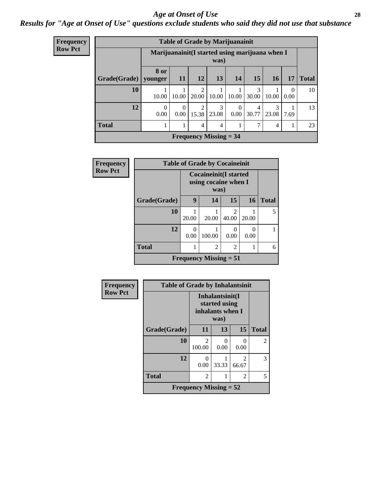#### *Age at Onset of Use* **28**

### *Results for "Age at Onset of Use" questions exclude students who said they did not use that substance*

| <b>Frequency</b> | <b>Table of Grade by Marijuanainit</b> |                  |                                                         |                               |                |                  |            |            |                  |              |  |  |
|------------------|----------------------------------------|------------------|---------------------------------------------------------|-------------------------------|----------------|------------------|------------|------------|------------------|--------------|--|--|
| <b>Row Pct</b>   |                                        |                  | Marijuanainit (I started using marijuana when I<br>was) |                               |                |                  |            |            |                  |              |  |  |
|                  | Grade(Grade)                           | 8 or<br>younger  | <b>11</b>                                               | 12                            | 13             | 14               | 15         | <b>16</b>  | 17               | <b>Total</b> |  |  |
|                  | 10                                     | 10.00            | 10.00                                                   | 2<br>20.00                    | 10.00          | 10.00            | 3<br>30.00 | 10.00      | $\Omega$<br>0.00 | 10           |  |  |
|                  | 12                                     | $\Omega$<br>0.00 | $\Omega$<br>0.00                                        | $\overline{2}$<br>15.38       | 3<br>23.08     | $\Omega$<br>0.00 | 4<br>30.77 | 3<br>23.08 | 7.69             | 13           |  |  |
|                  | <b>Total</b>                           |                  |                                                         | 4                             | $\overline{4}$ |                  | 7          | 4          | -1               | 23           |  |  |
|                  |                                        |                  |                                                         | <b>Frequency Missing = 34</b> |                |                  |            |            |                  |              |  |  |

| <b>Frequency</b> | <b>Table of Grade by Cocaineinit</b>       |                  |                                                               |                         |           |              |  |  |  |  |
|------------------|--------------------------------------------|------------------|---------------------------------------------------------------|-------------------------|-----------|--------------|--|--|--|--|
| <b>Row Pct</b>   |                                            |                  | <b>Cocaineinit</b> (I started<br>using cocaine when I<br>was) |                         |           |              |  |  |  |  |
|                  | Grade(Grade)                               | 9                | 14                                                            | 15                      | 16        | <b>Total</b> |  |  |  |  |
|                  | 10                                         | 20.00            | 20.00                                                         | $\mathfrak{D}$<br>40.00 | 20.00     |              |  |  |  |  |
|                  | 12                                         | $\Omega$<br>0.00 | 100.00                                                        | 0.00                    | 0<br>0.00 |              |  |  |  |  |
|                  | <b>Total</b>                               |                  | $\overline{2}$                                                | $\overline{c}$          |           | 6            |  |  |  |  |
|                  | <b>Frequency Missing <math>= 51</math></b> |                  |                                                               |                         |           |              |  |  |  |  |

| Frequency      | <b>Table of Grade by Inhalantsinit</b> |                               |                                                              |                         |                |  |
|----------------|----------------------------------------|-------------------------------|--------------------------------------------------------------|-------------------------|----------------|--|
| <b>Row Pct</b> |                                        |                               | Inhalantsinit(I<br>started using<br>inhalants when I<br>was) |                         |                |  |
|                | Grade(Grade)                           | 11                            | 13                                                           | 15                      | <b>Total</b>   |  |
|                | 10                                     | 2<br>100.00                   | 0<br>0.00                                                    | 0.00                    | $\overline{2}$ |  |
|                | 12                                     | $\mathbf{0}$<br>0.00          | 33.33                                                        | $\mathfrak{D}$<br>66.67 | 3              |  |
|                | <b>Total</b>                           | 2                             | 1                                                            | 2                       | 5              |  |
|                |                                        | <b>Frequency Missing = 52</b> |                                                              |                         |                |  |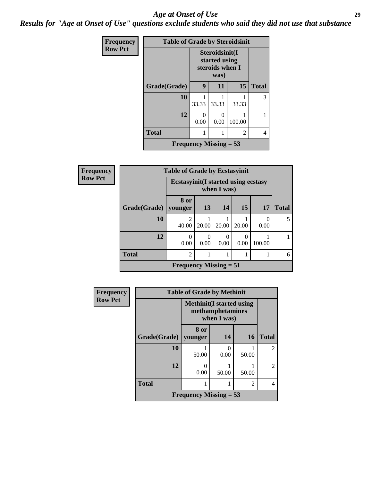#### *Age at Onset of Use* **29**

*Results for "Age at Onset of Use" questions exclude students who said they did not use that substance*

| Frequency      | <b>Table of Grade by Steroidsinit</b> |                                                    |       |        |              |  |
|----------------|---------------------------------------|----------------------------------------------------|-------|--------|--------------|--|
| <b>Row Pct</b> |                                       | Steroidsinit(I<br>started using<br>steroids when I |       |        |              |  |
|                | Grade(Grade)                          | 9                                                  | 11    | 15     | <b>Total</b> |  |
|                | 10                                    | 33.33                                              | 33.33 | 33.33  | 3            |  |
|                | 12                                    | $\Omega$<br>0.00                                   | 0.00  | 100.00 |              |  |
|                | <b>Total</b>                          |                                                    |       | 2      | 4            |  |
|                |                                       | <b>Frequency Missing = 53</b>                      |       |        |              |  |

| <b>Frequency</b> | <b>Table of Grade by Ecstasyinit</b> |                                                           |       |           |                  |                  |              |  |
|------------------|--------------------------------------|-----------------------------------------------------------|-------|-----------|------------------|------------------|--------------|--|
| <b>Row Pct</b>   |                                      | <b>Ecstasyinit(I started using ecstasy</b><br>when I was) |       |           |                  |                  |              |  |
|                  | Grade(Grade)   younger               | 8 or                                                      | 13    | 14        | 15               | 17               | <b>Total</b> |  |
|                  | 10                                   | $\mathfrak{D}$<br>40.00                                   | 20.00 | 20.00     | 20.00            | $\theta$<br>0.00 | 5            |  |
|                  | 12                                   | 0<br>0.00                                                 | 0.00  | 0<br>0.00 | $\Omega$<br>0.00 | 100.00           |              |  |
|                  | <b>Total</b>                         | $\overline{2}$                                            |       |           |                  |                  | 6            |  |
|                  |                                      | Frequency Missing $= 51$                                  |       |           |                  |                  |              |  |

| <b>Frequency</b> | <b>Table of Grade by Methinit</b>                                   |                 |           |       |                             |  |
|------------------|---------------------------------------------------------------------|-----------------|-----------|-------|-----------------------------|--|
| <b>Row Pct</b>   | <b>Methinit</b> (I started using<br>methamphetamines<br>when I was) |                 |           |       |                             |  |
|                  | Grade(Grade)                                                        | 8 or<br>vounger | 14        | 16    | <b>Total</b>                |  |
|                  | 10                                                                  | 50.00           | 0<br>0.00 | 50.00 | $\mathfrak{D}$              |  |
|                  | 12                                                                  | 0.00            | 50.00     | 50.00 | $\mathcal{D}_{\mathcal{L}}$ |  |
|                  | <b>Total</b>                                                        |                 |           | 2     |                             |  |
|                  | <b>Frequency Missing = 53</b>                                       |                 |           |       |                             |  |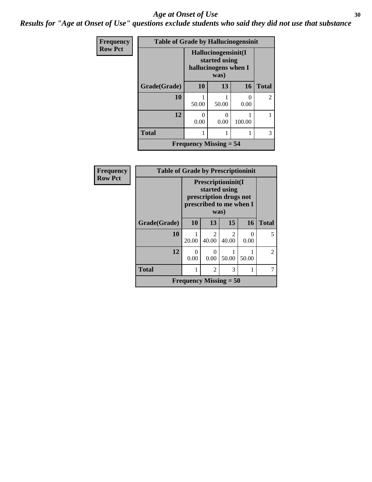#### Age at Onset of Use **30**

*Results for "Age at Onset of Use" questions exclude students who said they did not use that substance*

| Frequency      | <b>Table of Grade by Hallucinogensinit</b> |                                                              |                           |                           |                |
|----------------|--------------------------------------------|--------------------------------------------------------------|---------------------------|---------------------------|----------------|
| <b>Row Pct</b> |                                            | Hallucinogensinit(I<br>started using<br>hallucinogens when I |                           |                           |                |
|                | Grade(Grade)                               | 10                                                           | 13                        | <b>16</b>                 | <b>Total</b>   |
|                | 10                                         | 50.00                                                        | 50.00                     | $\mathbf{\Omega}$<br>0.00 | $\overline{2}$ |
|                | 12                                         | 0.00                                                         | $\mathbf{\Omega}$<br>0.00 | 100.00                    |                |
|                | <b>Total</b>                               |                                                              |                           |                           | 3              |
|                |                                            | <b>Frequency Missing = 54</b>                                |                           |                           |                |

| Frequency      | <b>Table of Grade by Prescriptioninit</b> |       |                               |                                                                                                  |                       |              |  |
|----------------|-------------------------------------------|-------|-------------------------------|--------------------------------------------------------------------------------------------------|-----------------------|--------------|--|
| <b>Row Pct</b> |                                           |       |                               | Prescriptioninit(I<br>started using<br>prescription drugs not<br>prescribed to me when I<br>was) |                       |              |  |
|                | Grade(Grade)                              | 10    | 13                            | 15                                                                                               | 16                    | <b>Total</b> |  |
|                | 10                                        | 20.00 | $\mathfrak{D}$<br>40.00       | $\mathfrak{D}$<br>40.00                                                                          | $\mathcal{O}$<br>0.00 | 5            |  |
|                | 12                                        | 0.00  | $\Omega$<br>0.00              | 50.00                                                                                            | 50.00                 | 2            |  |
|                | <b>Total</b>                              |       | $\mathfrak{D}$                | 3                                                                                                | 1                     | 7            |  |
|                |                                           |       | <b>Frequency Missing = 50</b> |                                                                                                  |                       |              |  |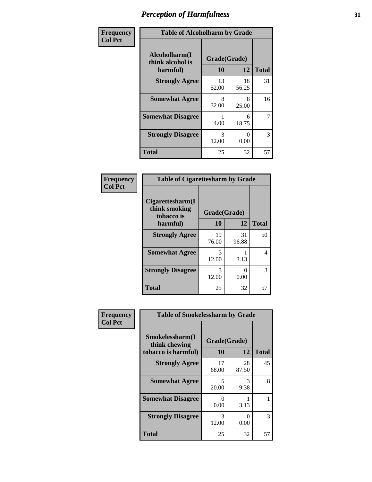| Frequency      | <b>Table of Alcoholharm by Grade</b>          |                    |                           |              |  |
|----------------|-----------------------------------------------|--------------------|---------------------------|--------------|--|
| <b>Col Pct</b> | Alcoholharm(I<br>think alcohol is<br>harmful) | Grade(Grade)<br>10 | 12                        | <b>Total</b> |  |
|                | <b>Strongly Agree</b>                         | 13<br>52.00        | 18<br>56.25               | 31           |  |
|                | <b>Somewhat Agree</b>                         | 8<br>32.00         | 8<br>25.00                | 16           |  |
|                | <b>Somewhat Disagree</b>                      | 4.00               | 6<br>18.75                | 7            |  |
|                | <b>Strongly Disagree</b>                      | 3<br>12.00         | $\mathbf{\Omega}$<br>0.00 | 3            |  |
|                | <b>Total</b>                                  | 25                 | 32                        | 57           |  |

#### **Frequency Col Pct**

| <b>Table of Cigarettesharm by Grade</b>         |              |             |              |  |  |
|-------------------------------------------------|--------------|-------------|--------------|--|--|
| Cigarettesharm(I<br>think smoking<br>tobacco is | Grade(Grade) |             |              |  |  |
| harmful)                                        | 10           | 12          | <b>Total</b> |  |  |
| <b>Strongly Agree</b>                           | 19<br>76.00  | 31<br>96.88 | 50           |  |  |
| <b>Somewhat Agree</b>                           | 3<br>12.00   | 3.13        | 4            |  |  |
| <b>Strongly Disagree</b>                        | 3<br>12.00   | 0.00        | 3            |  |  |
| <b>Total</b>                                    | 25           | 32          | 57           |  |  |

| Frequency      | <b>Table of Smokelessharm by Grade</b> |              |             |              |  |  |
|----------------|----------------------------------------|--------------|-------------|--------------|--|--|
| <b>Col Pct</b> | Smokelessharm(I<br>think chewing       | Grade(Grade) |             |              |  |  |
|                | tobacco is harmful)                    | 10           | 12          | <b>Total</b> |  |  |
|                | <b>Strongly Agree</b>                  | 17<br>68.00  | 28<br>87.50 | 45           |  |  |
|                | <b>Somewhat Agree</b>                  | 5<br>20.00   | 3<br>9.38   | 8            |  |  |
|                | <b>Somewhat Disagree</b>               | 0<br>0.00    | 3.13        |              |  |  |
|                | <b>Strongly Disagree</b>               | 3<br>12.00   | 0<br>0.00   | 3            |  |  |
|                | <b>Total</b>                           | 25           | 32          | 57           |  |  |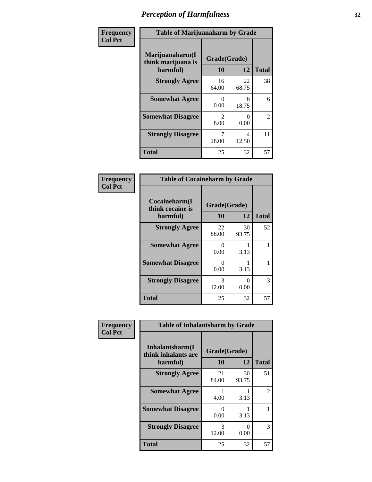| Frequency      | <b>Table of Marijuanaharm by Grade</b>            |                        |                  |                |  |
|----------------|---------------------------------------------------|------------------------|------------------|----------------|--|
| <b>Col Pct</b> | Marijuanaharm(I<br>think marijuana is<br>harmful) | Grade(Grade)<br>10     | 12               | <b>Total</b>   |  |
|                | <b>Strongly Agree</b>                             | 16<br>64.00            | 22<br>68.75      | 38             |  |
|                | <b>Somewhat Agree</b>                             | $\mathbf{0}$<br>0.00   | 6<br>18.75       | 6              |  |
|                | <b>Somewhat Disagree</b>                          | $\mathfrak{D}$<br>8.00 | $\Omega$<br>0.00 | $\overline{2}$ |  |
|                | <b>Strongly Disagree</b>                          | 7<br>28.00             | 4<br>12.50       | 11             |  |
|                | <b>Total</b>                                      | 25                     | 32               | 57             |  |

#### **Frequency Col Pct**

| <b>Table of Cocaineharm by Grade</b>          |                           |              |    |  |  |  |
|-----------------------------------------------|---------------------------|--------------|----|--|--|--|
| Cocaineharm(I<br>think cocaine is<br>harmful) | Grade(Grade)<br>10        | <b>Total</b> |    |  |  |  |
| <b>Strongly Agree</b>                         | 22<br>88.00               | 30<br>93.75  | 52 |  |  |  |
| <b>Somewhat Agree</b>                         | 0<br>0.00                 | 3.13         |    |  |  |  |
| <b>Somewhat Disagree</b>                      | $\mathbf{\Omega}$<br>0.00 | 3.13         |    |  |  |  |
| <b>Strongly Disagree</b>                      | 3<br>12.00                | 0<br>0.00    | 3  |  |  |  |
| Total                                         | 25                        | 32           | 57 |  |  |  |

| Frequency      | <b>Table of Inhalantsharm by Grade</b>             |                           |             |              |  |
|----------------|----------------------------------------------------|---------------------------|-------------|--------------|--|
| <b>Col Pct</b> | Inhalantsharm(I<br>think inhalants are<br>harmful) | Grade(Grade)<br><b>10</b> | 12          | <b>Total</b> |  |
|                | <b>Strongly Agree</b>                              | 21<br>84.00               | 30<br>93.75 | 51           |  |
|                | <b>Somewhat Agree</b>                              | 4.00                      | 3.13        | 2            |  |
|                | <b>Somewhat Disagree</b>                           | 0<br>0.00                 | 3.13        |              |  |
|                | <b>Strongly Disagree</b>                           | 3<br>12.00                | 0<br>0.00   | 3            |  |
|                | <b>Total</b>                                       | 25                        | 32          | 57           |  |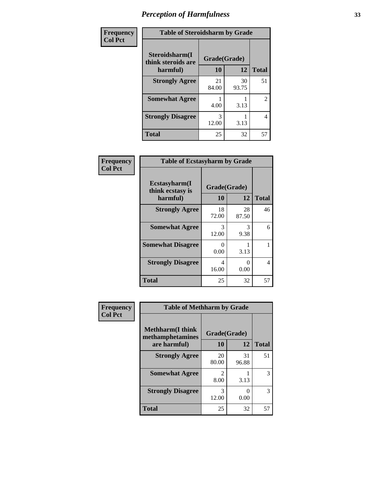| Frequency      | <b>Table of Steroidsharm by Grade</b> |              |             |                |
|----------------|---------------------------------------|--------------|-------------|----------------|
| <b>Col Pct</b> | Steroidsharm(I<br>think steroids are  | Grade(Grade) |             |                |
|                | harmful)                              | 10           | 12          | <b>Total</b>   |
|                | <b>Strongly Agree</b>                 | 21<br>84.00  | 30<br>93.75 | 51             |
|                | <b>Somewhat Agree</b>                 | 4.00         | 3.13        | $\overline{2}$ |
|                | <b>Strongly Disagree</b>              | 3<br>12.00   | 3.13        | 4              |
|                | <b>Total</b>                          | 25           | 32          | 57             |

| Frequency      | <b>Table of Ecstasyharm by Grade</b>          |                    |                           |              |
|----------------|-----------------------------------------------|--------------------|---------------------------|--------------|
| <b>Col Pct</b> | Ecstasyharm(I<br>think ecstasy is<br>harmful) | Grade(Grade)<br>10 | 12                        | <b>Total</b> |
|                | <b>Strongly Agree</b>                         | 18<br>72.00        | 28<br>87.50               | 46           |
|                | <b>Somewhat Agree</b>                         | 3<br>12.00         | 3<br>9.38                 | 6            |
|                | <b>Somewhat Disagree</b>                      | 0<br>0.00          | 3.13                      |              |
|                | <b>Strongly Disagree</b>                      | 4<br>16.00         | $\mathbf{\Omega}$<br>0.00 | 4            |
|                | <b>Total</b>                                  | 25                 | 32                        | 57           |

| Frequency      | <b>Table of Methharm by Grade</b>            |                                     |             |              |
|----------------|----------------------------------------------|-------------------------------------|-------------|--------------|
| <b>Col Pct</b> | <b>Methharm</b> (I think<br>methamphetamines | Grade(Grade)                        |             |              |
|                | are harmful)                                 | 10                                  | 12          | <b>Total</b> |
|                | <b>Strongly Agree</b>                        | 20<br>80.00                         | 31<br>96.88 | 51           |
|                | <b>Somewhat Agree</b>                        | $\mathcal{D}_{\mathcal{L}}$<br>8.00 | 3.13        | 3            |
|                | <b>Strongly Disagree</b>                     | 3<br>12.00                          | 0.00        | 3            |
|                | <b>Total</b>                                 | 25                                  | 32          | 57           |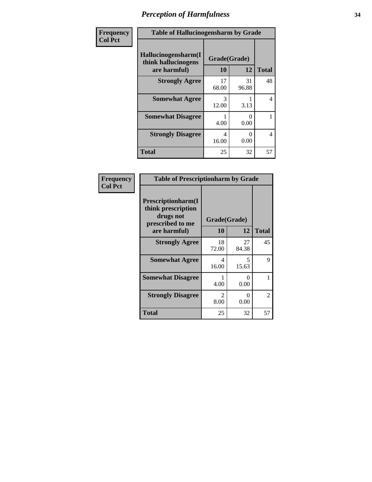| Frequency      | <b>Table of Hallucinogensharm by Grade</b>                 |                    |             |              |
|----------------|------------------------------------------------------------|--------------------|-------------|--------------|
| <b>Col Pct</b> | Hallucinogensharm(I<br>think hallucinogens<br>are harmful) | Grade(Grade)<br>10 | 12          | <b>Total</b> |
|                | <b>Strongly Agree</b>                                      | 17<br>68.00        | 31<br>96.88 | 48           |
|                | <b>Somewhat Agree</b>                                      | 3<br>12.00         | 3.13        | 4            |
|                | <b>Somewhat Disagree</b>                                   | 4.00               | 0<br>0.00   | 1            |
|                | <b>Strongly Disagree</b>                                   | 4<br>16.00         | 0<br>0.00   | 4            |
|                | <b>Total</b>                                               | 25                 | 32          | 57           |

| Frequency<br>  Col Pct |
|------------------------|

| <b>Table of Prescriptionharm by Grade</b>                                 |                        |             |              |  |  |
|---------------------------------------------------------------------------|------------------------|-------------|--------------|--|--|
| Prescriptionharm(I<br>think prescription<br>drugs not<br>prescribed to me | Grade(Grade)           |             |              |  |  |
| are harmful)                                                              | 10                     | 12          | <b>Total</b> |  |  |
| <b>Strongly Agree</b>                                                     | 18<br>72.00            | 27<br>84.38 | 45           |  |  |
| <b>Somewhat Agree</b>                                                     | 4<br>16.00             | 5<br>15.63  | 9            |  |  |
| <b>Somewhat Disagree</b>                                                  | 4.00                   | 0<br>0.00   | 1            |  |  |
| <b>Strongly Disagree</b>                                                  | $\mathfrak{D}$<br>8.00 | ∩<br>0.00   | 2            |  |  |
| <b>Total</b>                                                              | 25                     | 32          | 57           |  |  |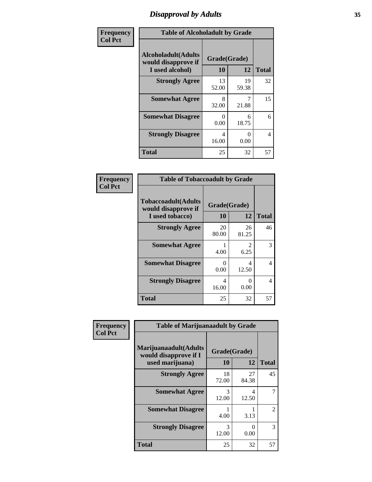# *Disapproval by Adults* **35**

| Frequency      | <b>Table of Alcoholadult by Grade</b>                                 |                    |                       |              |
|----------------|-----------------------------------------------------------------------|--------------------|-----------------------|--------------|
| <b>Col Pct</b> | <b>Alcoholadult</b> (Adults<br>would disapprove if<br>I used alcohol) | Grade(Grade)<br>10 | 12                    | <b>Total</b> |
|                | <b>Strongly Agree</b>                                                 | 13<br>52.00        | 19<br>59.38           | 32           |
|                | <b>Somewhat Agree</b>                                                 | 8<br>32.00         | 21.88                 | 15           |
|                | <b>Somewhat Disagree</b>                                              | 0<br>0.00          | 6<br>18.75            | 6            |
|                | <b>Strongly Disagree</b>                                              | 4<br>16.00         | $\mathcal{O}$<br>0.00 | 4            |
|                | <b>Total</b>                                                          | 25                 | 32                    | 57           |

#### **Frequency Col Pct**

| <b>Table of Tobaccoadult by Grade</b>                                 |                    |                       |    |  |
|-----------------------------------------------------------------------|--------------------|-----------------------|----|--|
| <b>Tobaccoadult</b> (Adults<br>would disapprove if<br>I used tobacco) | Grade(Grade)<br>10 | <b>Total</b>          |    |  |
| <b>Strongly Agree</b>                                                 | 20<br>80.00        | 26<br>81.25           | 46 |  |
| <b>Somewhat Agree</b>                                                 | 4.00               | $\mathcal{L}$<br>6.25 | 3  |  |
| <b>Somewhat Disagree</b>                                              | 0<br>0.00          | 4<br>12.50            | 4  |  |
| <b>Strongly Disagree</b>                                              | 4<br>16.00         | 0.00                  | 4  |  |
| Total                                                                 | 25                 | 32                    | 57 |  |

| Frequency      | <b>Table of Marijuanaadult by Grade</b>                           |                    |                                   |              |
|----------------|-------------------------------------------------------------------|--------------------|-----------------------------------|--------------|
| <b>Col Pct</b> | Marijuanaadult(Adults<br>would disapprove if I<br>used marijuana) | Grade(Grade)<br>10 | 12                                | <b>Total</b> |
|                | <b>Strongly Agree</b>                                             | 18<br>72.00        | 27<br>84.38                       | 45           |
|                | <b>Somewhat Agree</b>                                             | 3<br>12.00         | $\overline{\mathcal{A}}$<br>12.50 |              |
|                | <b>Somewhat Disagree</b>                                          | 4.00               | 3.13                              | 2            |
|                | <b>Strongly Disagree</b>                                          | 3<br>12.00         | $\Omega$<br>0.00                  | 3            |
|                | <b>Total</b>                                                      | 25                 | 32                                | 57           |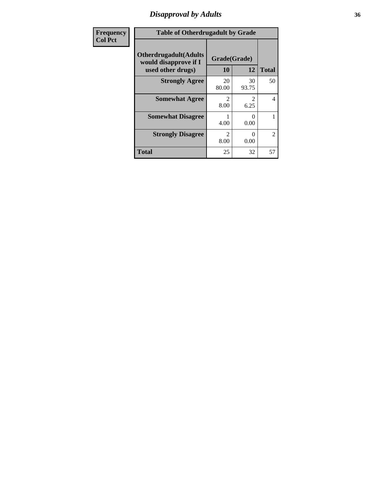### *Disapproval by Adults* **36**

| <b>Frequency</b> | <b>Table of Otherdrugadult by Grade</b>                                     |                                     |             |                |
|------------------|-----------------------------------------------------------------------------|-------------------------------------|-------------|----------------|
| <b>Col Pct</b>   | <b>Otherdrugadult</b> (Adults<br>would disapprove if I<br>used other drugs) | Grade(Grade)<br>10                  | 12          | <b>Total</b>   |
|                  | <b>Strongly Agree</b>                                                       | 20<br>80.00                         | 30<br>93.75 | 50             |
|                  | <b>Somewhat Agree</b>                                                       | $\mathcal{D}$<br>8.00               | 6.25        | 4              |
|                  | <b>Somewhat Disagree</b>                                                    | 4.00                                | 0<br>0.00   |                |
|                  | <b>Strongly Disagree</b>                                                    | $\mathcal{D}_{\mathcal{A}}$<br>8.00 | 0<br>0.00   | $\overline{2}$ |
|                  | <b>Total</b>                                                                | 25                                  | 32          | 57             |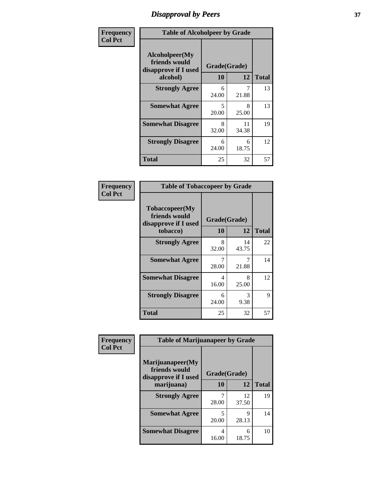## *Disapproval by Peers* **37**

| Frequency      | <b>Table of Alcoholpeer by Grade</b>                    |              |             |              |  |
|----------------|---------------------------------------------------------|--------------|-------------|--------------|--|
| <b>Col Pct</b> | Alcoholpeer(My<br>friends would<br>disapprove if I used | Grade(Grade) |             |              |  |
|                | alcohol)                                                | 10           | 12          | <b>Total</b> |  |
|                | <b>Strongly Agree</b>                                   | 6<br>24.00   | 21.88       | 13           |  |
|                | <b>Somewhat Agree</b>                                   | 5<br>20.00   | 8<br>25.00  | 13           |  |
|                | <b>Somewhat Disagree</b>                                | 8<br>32.00   | 11<br>34.38 | 19           |  |
|                | <b>Strongly Disagree</b>                                | 6<br>24.00   | 6<br>18.75  | 12           |  |
|                | Total                                                   | 25           | 32          | 57           |  |

| Frequency      | <b>Table of Tobaccopeer by Grade</b>                                |                           |             |              |  |
|----------------|---------------------------------------------------------------------|---------------------------|-------------|--------------|--|
| <b>Col Pct</b> | Tobaccopeer(My<br>friends would<br>disapprove if I used<br>tobacco) | Grade(Grade)<br><b>10</b> | 12          | <b>Total</b> |  |
|                | <b>Strongly Agree</b>                                               | 8<br>32.00                | 14<br>43.75 | 22           |  |
|                | <b>Somewhat Agree</b>                                               | 7<br>28.00                | 7<br>21.88  | 14           |  |
|                | <b>Somewhat Disagree</b>                                            | 4<br>16.00                | 8<br>25.00  | 12           |  |
|                | <b>Strongly Disagree</b>                                            | 6<br>24.00                | 3<br>9.38   | 9            |  |
|                | <b>Total</b>                                                        | 25                        | 32          | 57           |  |

| Frequency      | <b>Table of Marijuanapeer by Grade</b>                    |              |             |              |
|----------------|-----------------------------------------------------------|--------------|-------------|--------------|
| <b>Col Pct</b> | Marijuanapeer(My<br>friends would<br>disapprove if I used | Grade(Grade) |             |              |
|                | marijuana)                                                | <b>10</b>    | 12          | <b>Total</b> |
|                | <b>Strongly Agree</b>                                     | 28.00        | 12<br>37.50 | 19           |
|                | <b>Somewhat Agree</b>                                     | 5<br>20.00   | 9<br>28.13  | 14           |
|                | <b>Somewhat Disagree</b>                                  | 4<br>16.00   | 6<br>18.75  | 10           |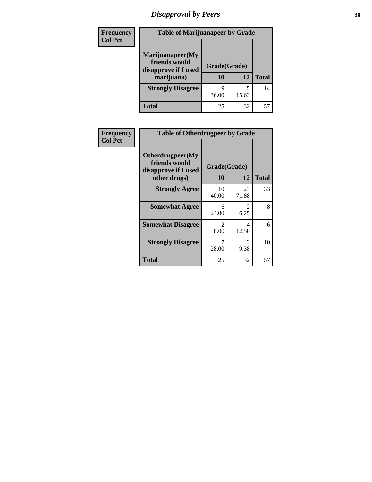# *Disapproval by Peers* **38**

| <b>Frequency</b> | <b>Table of Marijuanapeer by Grade</b>                                  |                    |       |              |  |
|------------------|-------------------------------------------------------------------------|--------------------|-------|--------------|--|
| <b>Col Pct</b>   | Marijuanapeer(My<br>friends would<br>disapprove if I used<br>marijuana) | Grade(Grade)<br>10 | 12    | <b>Total</b> |  |
|                  | <b>Strongly Disagree</b>                                                | Q<br>36.00         | 15.63 | 14           |  |
|                  | <b>Total</b>                                                            | 25                 | 32    | 57           |  |

| Frequency      | <b>Table of Otherdrugpeer by Grade</b>                                    |                    |                        |              |  |
|----------------|---------------------------------------------------------------------------|--------------------|------------------------|--------------|--|
| <b>Col Pct</b> | Otherdrugpeer(My<br>friends would<br>disapprove if I used<br>other drugs) | Grade(Grade)<br>10 | 12                     | <b>Total</b> |  |
|                | <b>Strongly Agree</b>                                                     | 10<br>40.00        | 23<br>71.88            | 33           |  |
|                | <b>Somewhat Agree</b>                                                     | 6<br>24.00         | $\mathfrak{D}$<br>6.25 | 8            |  |
|                | <b>Somewhat Disagree</b>                                                  | 2<br>8.00          | 4<br>12.50             | 6            |  |
|                | <b>Strongly Disagree</b>                                                  | 28.00              | 3<br>9.38              | 10           |  |
|                | <b>Total</b>                                                              | 25                 | 32                     | 57           |  |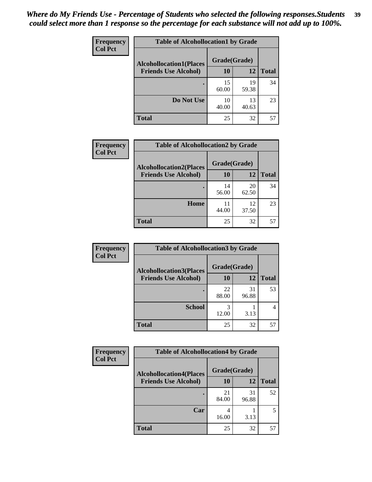| Frequency<br><b>Col Pct</b> | <b>Table of Alcohollocation1 by Grade</b> |              |             |              |
|-----------------------------|-------------------------------------------|--------------|-------------|--------------|
|                             | <b>Alcohollocation1(Places</b>            | Grade(Grade) |             |              |
|                             | <b>Friends Use Alcohol)</b>               | 10           | 12          | <b>Total</b> |
|                             |                                           | 15<br>60.00  | 19<br>59.38 | 34           |
|                             | Do Not Use                                | 10<br>40.00  | 13<br>40.63 | 23           |
|                             | <b>Total</b>                              | 25           | 32          | 57           |

| Frequency      | <b>Table of Alcohollocation2 by Grade</b>                     |                           |             |              |
|----------------|---------------------------------------------------------------|---------------------------|-------------|--------------|
| <b>Col Pct</b> | <b>Alcohollocation2(Places</b><br><b>Friends Use Alcohol)</b> | Grade(Grade)<br><b>10</b> | <b>12</b>   | <b>Total</b> |
|                |                                                               | 14<br>56.00               | 20<br>62.50 | 34           |
|                | Home                                                          | 11<br>44.00               | 12<br>37.50 | 23           |
|                | <b>Total</b>                                                  | 25                        | 32          | 57           |

| Frequency<br><b>Col Pct</b> | <b>Table of Alcohollocation 3 by Grade</b>                    |                    |             |              |
|-----------------------------|---------------------------------------------------------------|--------------------|-------------|--------------|
|                             | <b>Alcohollocation3(Places</b><br><b>Friends Use Alcohol)</b> | Grade(Grade)<br>10 | 12          | <b>Total</b> |
|                             |                                                               |                    |             |              |
|                             |                                                               | 22<br>88.00        | 31<br>96.88 | 53           |
|                             | <b>School</b>                                                 | 12.00              | 3.13        |              |
|                             | <b>Total</b>                                                  | 25                 | 32          | 57           |

| <b>Frequency</b> | <b>Table of Alcohollocation4 by Grade</b> |              |             |              |
|------------------|-------------------------------------------|--------------|-------------|--------------|
| <b>Col Pct</b>   | <b>Alcohollocation4(Places</b>            | Grade(Grade) |             |              |
|                  | <b>Friends Use Alcohol)</b>               | 10           | 12          | <b>Total</b> |
|                  |                                           | 21<br>84.00  | 31<br>96.88 | 52           |
|                  | Car                                       | 4<br>16.00   | 3.13        | 5            |
|                  | <b>Total</b>                              | 25           | 32          | 57           |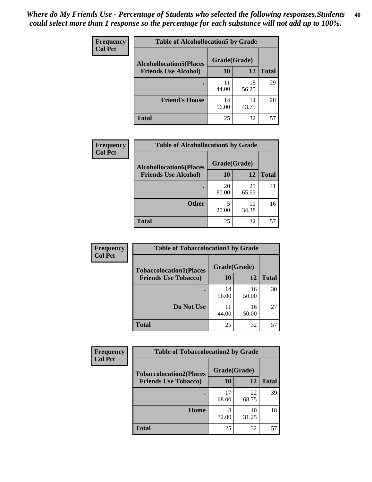| Frequency<br><b>Col Pct</b> | <b>Table of Alcohollocation5 by Grade</b> |              |             |              |
|-----------------------------|-------------------------------------------|--------------|-------------|--------------|
|                             | <b>Alcohollocation5(Places</b>            | Grade(Grade) |             |              |
|                             | <b>Friends Use Alcohol)</b>               | 10           | 12          | <b>Total</b> |
|                             |                                           | 11<br>44.00  | 18<br>56.25 | 29           |
|                             | <b>Friend's House</b>                     | 14<br>56.00  | 14<br>43.75 | 28           |
|                             | <b>Total</b>                              | 25           | 32          | 57           |

| <b>Frequency</b> | <b>Table of Alcohollocation6 by Grade</b> |              |             |              |
|------------------|-------------------------------------------|--------------|-------------|--------------|
| <b>Col Pct</b>   | <b>Alcohollocation6(Places</b>            | Grade(Grade) |             |              |
|                  | <b>Friends Use Alcohol)</b>               | 10           | 12          | <b>Total</b> |
|                  |                                           | 20<br>80.00  | 21<br>65.63 | 41           |
|                  | <b>Other</b>                              | 5<br>20.00   | 11<br>34.38 | 16           |
|                  | <b>Total</b>                              | 25           | 32          | 57           |

| <b>Frequency</b> | <b>Table of Tobaccolocation1 by Grade</b> |              |             |              |
|------------------|-------------------------------------------|--------------|-------------|--------------|
| <b>Col Pct</b>   | <b>Tobaccolocation1(Places</b>            | Grade(Grade) |             |              |
|                  | <b>Friends Use Tobacco)</b>               | 10           | 12          | <b>Total</b> |
|                  |                                           | 14<br>56.00  | 16<br>50.00 | 30           |
|                  | Do Not Use                                | 11<br>44.00  | 16<br>50.00 | 27           |
|                  | <b>Total</b>                              | 25           | 32          | 57           |

| <b>Frequency</b> | <b>Table of Tobaccolocation2 by Grade</b> |              |             |              |  |
|------------------|-------------------------------------------|--------------|-------------|--------------|--|
| <b>Col Pct</b>   | <b>Tobaccolocation2(Places</b>            | Grade(Grade) |             |              |  |
|                  | <b>Friends Use Tobacco)</b>               | 10           | 12          | <b>Total</b> |  |
|                  |                                           | 17<br>68.00  | 22<br>68.75 | 39           |  |
|                  | Home                                      | 8<br>32.00   | 10<br>31.25 | 18           |  |
|                  | <b>Total</b>                              | 25           | 32          | 57           |  |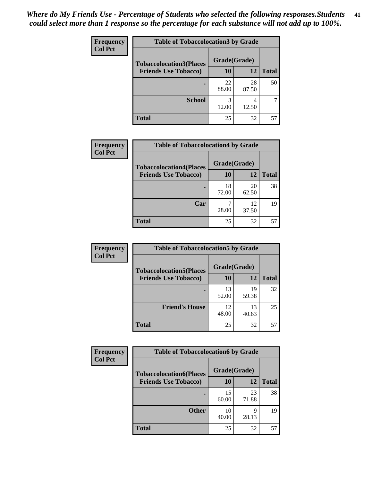| Frequency      | <b>Table of Tobaccolocation 3 by Grade</b> |              |             |              |
|----------------|--------------------------------------------|--------------|-------------|--------------|
| <b>Col Pct</b> | <b>Tobaccolocation3(Places</b>             | Grade(Grade) |             |              |
|                | <b>Friends Use Tobacco)</b>                | 10           | <b>12</b>   | <b>Total</b> |
|                |                                            | 22<br>88.00  | 28<br>87.50 | 50           |
|                | <b>School</b>                              | 3<br>12.00   | 4<br>12.50  |              |
|                | <b>Total</b>                               | 25           | 32          | 57           |

| Frequency      | <b>Table of Tobaccolocation4 by Grade</b>                     |                           |             |              |
|----------------|---------------------------------------------------------------|---------------------------|-------------|--------------|
| <b>Col Pct</b> | <b>Tobaccolocation4(Places</b><br><b>Friends Use Tobacco)</b> | Grade(Grade)<br><b>10</b> | 12          | <b>Total</b> |
|                |                                                               | 18<br>72.00               | 20<br>62.50 | 38           |
|                | Car                                                           | 28.00                     | 12<br>37.50 | 19           |
|                | <b>Total</b>                                                  | 25                        | 32          | 57           |

| Frequency      | <b>Table of Tobaccolocation5 by Grade</b> |              |             |              |
|----------------|-------------------------------------------|--------------|-------------|--------------|
| <b>Col Pct</b> | <b>Tobaccolocation5(Places</b>            | Grade(Grade) |             |              |
|                | <b>Friends Use Tobacco)</b>               | 10           | <b>12</b>   | <b>Total</b> |
|                |                                           | 13<br>52.00  | 19<br>59.38 | 32           |
|                | <b>Friend's House</b>                     | 12<br>48.00  | 13<br>40.63 | 25           |
|                | <b>Total</b>                              | 25           | 32          | 57           |

| <b>Frequency</b> | <b>Table of Tobaccolocation6 by Grade</b> |              |             |              |  |
|------------------|-------------------------------------------|--------------|-------------|--------------|--|
| <b>Col Pct</b>   | <b>Tobaccolocation6(Places</b>            | Grade(Grade) |             |              |  |
|                  | <b>Friends Use Tobacco)</b>               | 10           | 12          | <b>Total</b> |  |
|                  |                                           | 15<br>60.00  | 23<br>71.88 | 38           |  |
|                  | <b>Other</b>                              | 10<br>40.00  | q<br>28.13  | 19           |  |
|                  | <b>Total</b>                              | 25           | 32          | 57           |  |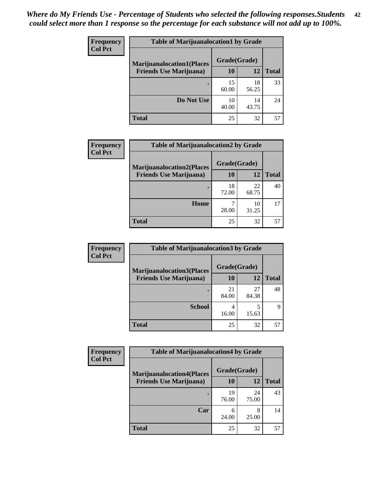| <b>Frequency</b> | <b>Table of Marijuanalocation1 by Grade</b> |              |             |              |
|------------------|---------------------------------------------|--------------|-------------|--------------|
| <b>Col Pct</b>   | <b>Marijuanalocation1(Places</b>            | Grade(Grade) |             |              |
|                  | <b>Friends Use Marijuana</b> )              | 10           | 12          | <b>Total</b> |
|                  |                                             | 15<br>60.00  | 18<br>56.25 | 33           |
|                  | Do Not Use                                  | 10<br>40.00  | 14<br>43.75 | 24           |
|                  | Total                                       | 25           | 32          | 57           |

| <b>Frequency</b> | <b>Table of Marijuanalocation2 by Grade</b>                        |                    |             |              |
|------------------|--------------------------------------------------------------------|--------------------|-------------|--------------|
| <b>Col Pct</b>   | <b>Marijuanalocation2(Places</b><br><b>Friends Use Marijuana</b> ) | Grade(Grade)<br>10 | 12          | <b>Total</b> |
|                  |                                                                    | 18<br>72.00        | 22<br>68.75 | 40           |
|                  | Home                                                               | 28.00              | 10<br>31.25 |              |
|                  | <b>Total</b>                                                       | 25                 | 32          | 57           |

| Frequency<br><b>Col Pct</b> | <b>Table of Marijuanalocation3 by Grade</b> |              |             |              |
|-----------------------------|---------------------------------------------|--------------|-------------|--------------|
|                             | <b>Marijuanalocation3</b> (Places           | Grade(Grade) |             |              |
|                             | <b>Friends Use Marijuana</b> )              | <b>10</b>    | 12          | <b>Total</b> |
|                             |                                             | 21<br>84.00  | 27<br>84.38 | 48           |
|                             | <b>School</b>                               | 4<br>16.00   | 15.63       | Q            |
|                             | <b>Total</b>                                | 25           | 32          | 57           |

| <b>Frequency</b> | <b>Table of Marijuanalocation4 by Grade</b> |              |             |              |  |
|------------------|---------------------------------------------|--------------|-------------|--------------|--|
| <b>Col Pct</b>   | <b>Marijuanalocation4(Places</b>            | Grade(Grade) |             |              |  |
|                  | <b>Friends Use Marijuana</b> )              | <b>10</b>    | 12          | <b>Total</b> |  |
|                  |                                             | 19<br>76.00  | 24<br>75.00 | 43           |  |
|                  | Car                                         | 24.00        | 8<br>25.00  | 14           |  |
|                  | <b>Total</b>                                | 25           | 32          | 57           |  |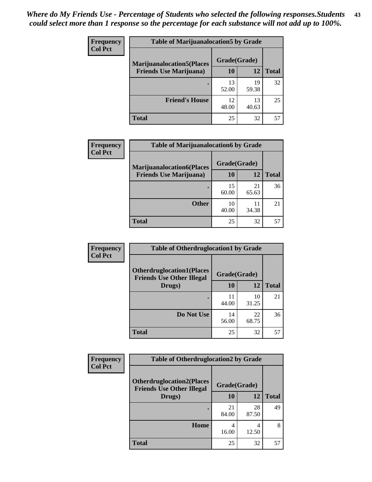| <b>Frequency</b> | <b>Table of Marijuanalocation5 by Grade</b> |              |             |              |
|------------------|---------------------------------------------|--------------|-------------|--------------|
| <b>Col Pct</b>   | <b>Marijuanalocation5</b> (Places           | Grade(Grade) |             |              |
|                  | <b>Friends Use Marijuana</b> )              | 10           | 12          | <b>Total</b> |
|                  |                                             | 13<br>52.00  | 19<br>59.38 | 32           |
|                  | <b>Friend's House</b>                       | 12<br>48.00  | 13<br>40.63 | 25           |
|                  | <b>Total</b>                                | 25           | 32          | 57           |

| <b>Frequency</b> | <b>Table of Marijuanalocation6 by Grade</b>                        |                    |             |              |
|------------------|--------------------------------------------------------------------|--------------------|-------------|--------------|
| <b>Col Pct</b>   | <b>Marijuanalocation6(Places</b><br><b>Friends Use Marijuana</b> ) | Grade(Grade)<br>10 | 12          | <b>Total</b> |
|                  |                                                                    | 15<br>60.00        | 21<br>65.63 | 36           |
|                  | <b>Other</b>                                                       | 10<br>40.00        | 11<br>34.38 | 21           |
|                  | <b>Total</b>                                                       | 25                 | 32          | 57           |

| Frequency      | <b>Table of Otherdruglocation1 by Grade</b>                          |              |             |              |
|----------------|----------------------------------------------------------------------|--------------|-------------|--------------|
| <b>Col Pct</b> | <b>Otherdruglocation1(Places</b><br><b>Friends Use Other Illegal</b> | Grade(Grade) |             |              |
|                | Drugs)                                                               | 10           | 12          | <b>Total</b> |
|                |                                                                      | 11<br>44.00  | 10<br>31.25 | 21           |
|                | Do Not Use                                                           | 14<br>56.00  | 22<br>68.75 | 36           |
|                | <b>Total</b>                                                         | 25           | 32          | 57           |

| Frequency      | <b>Table of Otherdruglocation2 by Grade</b>                          |              |             |              |
|----------------|----------------------------------------------------------------------|--------------|-------------|--------------|
| <b>Col Pct</b> | <b>Otherdruglocation2(Places</b><br><b>Friends Use Other Illegal</b> | Grade(Grade) |             |              |
|                | Drugs)                                                               | 10           | 12          | <b>Total</b> |
|                |                                                                      | 21<br>84.00  | 28<br>87.50 | 49           |
|                | Home                                                                 | 4<br>16.00   | 4<br>12.50  | 8            |
|                | <b>Total</b>                                                         | 25           | 32          | 57           |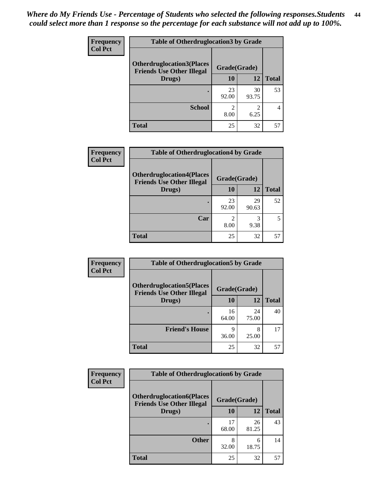| <b>Frequency</b> | <b>Table of Otherdruglocation3 by Grade</b>                          |                        |             |              |
|------------------|----------------------------------------------------------------------|------------------------|-------------|--------------|
| <b>Col Pct</b>   | <b>Otherdruglocation3(Places</b><br><b>Friends Use Other Illegal</b> | Grade(Grade)           |             |              |
|                  | Drugs)                                                               | 10                     | 12          | <b>Total</b> |
|                  |                                                                      | 23<br>92.00            | 30<br>93.75 | 53           |
|                  | <b>School</b>                                                        | $\mathfrak{D}$<br>8.00 | 6.25        |              |
|                  | <b>Total</b>                                                         | 25                     | 32          | 57           |

| <b>Frequency</b> | <b>Table of Otherdruglocation4 by Grade</b>                          |              |             |              |
|------------------|----------------------------------------------------------------------|--------------|-------------|--------------|
| <b>Col Pct</b>   | <b>Otherdruglocation4(Places</b><br><b>Friends Use Other Illegal</b> | Grade(Grade) |             |              |
|                  | Drugs)                                                               | 10           | 12          | <b>Total</b> |
|                  |                                                                      | 23<br>92.00  | 29<br>90.63 | 52           |
|                  | Car                                                                  | 8.00         | 3<br>9.38   | 5            |
|                  | <b>Total</b>                                                         | 25           | 32          | 57           |

| Frequency      | <b>Table of Otherdruglocation5 by Grade</b>                          |              |             |              |
|----------------|----------------------------------------------------------------------|--------------|-------------|--------------|
| <b>Col Pct</b> | <b>Otherdruglocation5(Places</b><br><b>Friends Use Other Illegal</b> | Grade(Grade) |             |              |
|                | Drugs)                                                               | 10           | 12          | <b>Total</b> |
|                |                                                                      | 16<br>64.00  | 24<br>75.00 | 40           |
|                | <b>Friend's House</b>                                                | Q<br>36.00   | 8<br>25.00  | 17           |
|                | <b>Total</b>                                                         | 25           | 32          | 57           |

| <b>Frequency</b> | <b>Table of Otherdruglocation6 by Grade</b>                          |              |             |              |
|------------------|----------------------------------------------------------------------|--------------|-------------|--------------|
| <b>Col Pct</b>   | <b>Otherdruglocation6(Places</b><br><b>Friends Use Other Illegal</b> | Grade(Grade) |             |              |
|                  | Drugs)                                                               | 10           | 12          | <b>Total</b> |
|                  |                                                                      | 17<br>68.00  | 26<br>81.25 | 43           |
|                  | <b>Other</b>                                                         | 8<br>32.00   | 6<br>18.75  | 14           |
|                  | <b>Total</b>                                                         | 25           | 32          | 57           |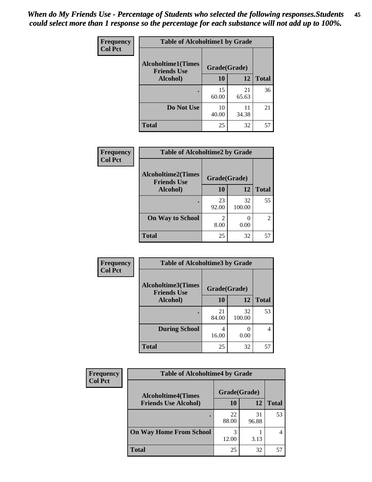| Frequency      | <b>Table of Alcoholtime1 by Grade</b>           |              |             |              |
|----------------|-------------------------------------------------|--------------|-------------|--------------|
| <b>Col Pct</b> | <b>Alcoholtime1(Times</b><br><b>Friends Use</b> | Grade(Grade) |             |              |
|                | Alcohol)                                        | 10           | 12          | <b>Total</b> |
|                |                                                 | 15<br>60.00  | 21<br>65.63 | 36           |
|                | Do Not Use                                      | 10<br>40.00  | 11<br>34.38 | 21           |
|                | <b>Total</b>                                    | 25           | 32          | 57           |

| Frequency      | <b>Table of Alcoholtime2 by Grade</b>           |              |              |                |
|----------------|-------------------------------------------------|--------------|--------------|----------------|
| <b>Col Pct</b> | <b>Alcoholtime2(Times</b><br><b>Friends Use</b> | Grade(Grade) |              |                |
|                | Alcohol)                                        | 10           | 12           | <b>Total</b>   |
|                |                                                 | 23<br>92.00  | 32<br>100.00 | 55             |
|                | <b>On Way to School</b>                         | 8.00         | 0.00         | $\overline{2}$ |
|                | <b>Total</b>                                    | 25           | 32           | 57             |

| Frequency      | <b>Table of Alcoholtime3 by Grade</b>                           |             |              |              |
|----------------|-----------------------------------------------------------------|-------------|--------------|--------------|
| <b>Col Pct</b> | <b>Alcoholtime3(Times</b><br>Grade(Grade)<br><b>Friends Use</b> |             |              |              |
|                | Alcohol)                                                        | 10          | 12           | <b>Total</b> |
|                |                                                                 | 21<br>84.00 | 32<br>100.00 | 53           |
|                | <b>During School</b>                                            | 4<br>16.00  | 0.00         | 4            |
|                | <b>Total</b>                                                    | 25          | 32           | 57           |

| <b>Frequency</b> | <b>Table of Alcoholtime4 by Grade</b> |              |             |              |  |
|------------------|---------------------------------------|--------------|-------------|--------------|--|
| <b>Col Pct</b>   | <b>Alcoholtime4(Times</b>             | Grade(Grade) |             |              |  |
|                  | <b>Friends Use Alcohol)</b>           | 10           | 12          | <b>Total</b> |  |
|                  | ٠                                     | 22<br>88.00  | 31<br>96.88 | 53           |  |
|                  | <b>On Way Home From School</b>        | 3<br>12.00   | 3.13        |              |  |
|                  | <b>Total</b>                          | 25           | 32          | 57           |  |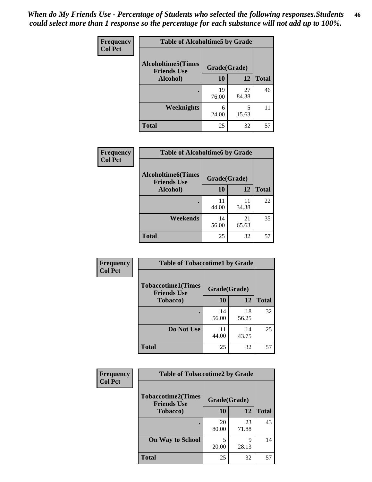*When do My Friends Use - Percentage of Students who selected the following responses.Students could select more than 1 response so the percentage for each substance will not add up to 100%.* **46**

| <b>Frequency</b> | <b>Table of Alcoholtime5 by Grade</b>           |              |             |              |
|------------------|-------------------------------------------------|--------------|-------------|--------------|
| <b>Col Pct</b>   | <b>Alcoholtime5(Times</b><br><b>Friends Use</b> | Grade(Grade) |             |              |
|                  | Alcohol)                                        | 10           | 12          | <b>Total</b> |
|                  |                                                 | 19<br>76.00  | 27<br>84.38 | 46           |
|                  | Weeknights                                      | 6<br>24.00   | 5<br>15.63  | 11           |
|                  | <b>Total</b>                                    | 25           | 32          | 57           |

| <b>Frequency</b> | <b>Table of Alcoholtime6 by Grade</b>           |              |             |              |
|------------------|-------------------------------------------------|--------------|-------------|--------------|
| <b>Col Pct</b>   | <b>Alcoholtime6(Times</b><br><b>Friends Use</b> | Grade(Grade) |             |              |
|                  | Alcohol)                                        | 10           | 12          | <b>Total</b> |
|                  |                                                 | 11<br>44.00  | 11<br>34.38 | 22           |
|                  | Weekends                                        | 14<br>56.00  | 21<br>65.63 | 35           |
|                  | <b>Total</b>                                    | 25           | 32          | 57           |

| <b>Frequency</b><br><b>Col Pct</b> | <b>Table of Tobaccotime1 by Grade</b>           |              |             |              |
|------------------------------------|-------------------------------------------------|--------------|-------------|--------------|
|                                    | <b>Tobaccotime1(Times</b><br><b>Friends Use</b> | Grade(Grade) |             |              |
|                                    | <b>Tobacco</b> )                                | 10           | 12          | <b>Total</b> |
|                                    | ٠                                               | 14<br>56.00  | 18<br>56.25 | 32           |
|                                    | Do Not Use                                      | 11<br>44.00  | 14<br>43.75 | 25           |
|                                    | <b>Total</b>                                    | 25           | 32          | 57           |

| <b>Frequency</b> | <b>Table of Tobaccotime2 by Grade</b>           |              |             |              |
|------------------|-------------------------------------------------|--------------|-------------|--------------|
| <b>Col Pct</b>   | <b>Tobaccotime2(Times</b><br><b>Friends Use</b> | Grade(Grade) |             |              |
|                  | <b>Tobacco</b> )                                | 10           | <b>12</b>   | <b>Total</b> |
|                  |                                                 | 20<br>80.00  | 23<br>71.88 | 43           |
|                  | <b>On Way to School</b>                         | 5<br>20.00   | Q<br>28.13  | 14           |
|                  | <b>Total</b>                                    | 25           | 32          | 57           |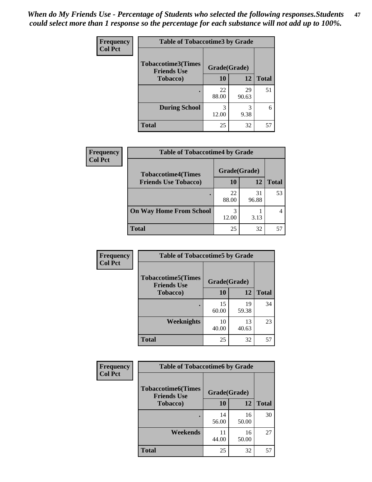*When do My Friends Use - Percentage of Students who selected the following responses.Students could select more than 1 response so the percentage for each substance will not add up to 100%.* **47**

| <b>Frequency</b> | <b>Table of Tobaccotime3 by Grade</b>           |              |             |              |  |
|------------------|-------------------------------------------------|--------------|-------------|--------------|--|
| <b>Col Pct</b>   | <b>Tobaccotime3(Times</b><br><b>Friends Use</b> | Grade(Grade) |             |              |  |
|                  | <b>Tobacco</b> )                                | 10           | 12          | <b>Total</b> |  |
|                  |                                                 | 22<br>88.00  | 29<br>90.63 | 51           |  |
|                  | <b>During School</b>                            | 3<br>12.00   | 3<br>9.38   | 6            |  |
|                  | <b>Total</b>                                    | 25           | 32          | 57           |  |

| <b>Frequency</b> | <b>Table of Tobaccotime4 by Grade</b>                    |              |             |              |
|------------------|----------------------------------------------------------|--------------|-------------|--------------|
| <b>Col Pct</b>   | <b>Tobaccotime4(Times</b><br><b>Friends Use Tobacco)</b> | Grade(Grade) |             |              |
|                  |                                                          | 10           | 12          | <b>Total</b> |
|                  |                                                          | 22<br>88.00  | 31<br>96.88 | 53           |
|                  | <b>On Way Home From School</b>                           | 3<br>12.00   | 3.13        |              |
|                  | <b>Total</b>                                             | 25           | 32          | 57           |

| <b>Frequency</b> | <b>Table of Tobaccotime5 by Grade</b>           |              |             |              |
|------------------|-------------------------------------------------|--------------|-------------|--------------|
| <b>Col Pct</b>   | <b>Tobaccotime5(Times</b><br><b>Friends Use</b> | Grade(Grade) |             |              |
|                  | <b>Tobacco</b> )                                | 10           | 12          | <b>Total</b> |
|                  |                                                 | 15<br>60.00  | 19<br>59.38 | 34           |
|                  | Weeknights                                      | 10<br>40.00  | 13<br>40.63 | 23           |
|                  | <b>Total</b>                                    | 25           | 32          | 57           |

| Frequency      | <b>Table of Tobaccotime6 by Grade</b>           |              |             |              |  |
|----------------|-------------------------------------------------|--------------|-------------|--------------|--|
| <b>Col Pct</b> | <b>Tobaccotime6(Times</b><br><b>Friends Use</b> | Grade(Grade) |             |              |  |
|                | <b>Tobacco</b> )                                | 10           | 12          | <b>Total</b> |  |
|                |                                                 | 14<br>56.00  | 16<br>50.00 | 30           |  |
|                | Weekends                                        | 11<br>44.00  | 16<br>50.00 | 27           |  |
|                | <b>Total</b>                                    | 25           | 32          | 57           |  |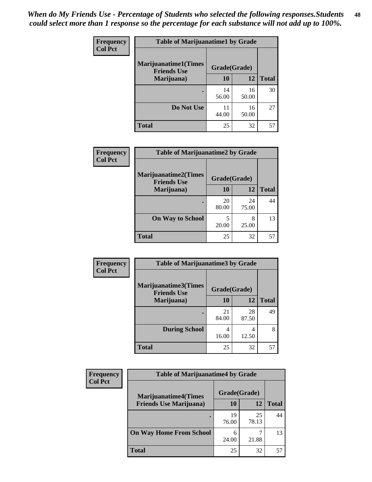| Frequency      | <b>Table of Marijuanatime1 by Grade</b>           |              |             |              |
|----------------|---------------------------------------------------|--------------|-------------|--------------|
| <b>Col Pct</b> | <b>Marijuanatime1(Times</b><br><b>Friends Use</b> | Grade(Grade) |             |              |
|                | Marijuana)                                        | 10           | 12          | <b>Total</b> |
|                |                                                   | 14<br>56.00  | 16<br>50.00 | 30           |
|                | Do Not Use                                        | 11<br>44.00  | 16<br>50.00 | 27           |
|                | <b>Total</b>                                      | 25           | 32          | 57           |

| <b>Frequency</b> | <b>Table of Marijuanatime2 by Grade</b>           |              |             |              |
|------------------|---------------------------------------------------|--------------|-------------|--------------|
| <b>Col Pct</b>   | <b>Marijuanatime2(Times</b><br><b>Friends Use</b> | Grade(Grade) |             |              |
|                  | Marijuana)                                        | 10           | 12          | <b>Total</b> |
|                  |                                                   | 20<br>80.00  | 24<br>75.00 | 44           |
|                  | <b>On Way to School</b>                           | 5<br>20.00   | 8<br>25.00  | 13           |
|                  | <b>Total</b>                                      | 25           | 32          | 57           |

| <b>Frequency</b> | <b>Table of Marijuanatime3 by Grade</b>    |              |             |              |  |
|------------------|--------------------------------------------|--------------|-------------|--------------|--|
| <b>Col Pct</b>   | Marijuanatime3(Times<br><b>Friends Use</b> | Grade(Grade) |             |              |  |
|                  | Marijuana)                                 | 10           | 12          | <b>Total</b> |  |
|                  |                                            | 21<br>84.00  | 28<br>87.50 | 49           |  |
|                  | <b>During School</b>                       | 4<br>16.00   | 4<br>12.50  | 8            |  |
|                  | <b>Total</b>                               | 25           | 32          | 57           |  |

| <b>Frequency</b><br><b>Col Pct</b> | <b>Table of Marijuanatime4 by Grade</b> |              |             |              |
|------------------------------------|-----------------------------------------|--------------|-------------|--------------|
|                                    | <b>Marijuanatime4(Times</b>             | Grade(Grade) |             |              |
|                                    | <b>Friends Use Marijuana</b> )          | 10           | 12          | <b>Total</b> |
|                                    |                                         | 19<br>76.00  | 25<br>78.13 | 44           |
|                                    | <b>On Way Home From School</b>          | 6<br>24.00   | 21.88       | 13           |
|                                    | <b>Total</b>                            | 25           | 32          | 57           |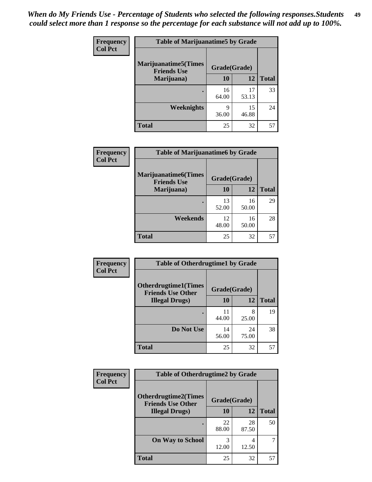| Frequency      | <b>Table of Marijuanatime5 by Grade</b>            |              |             |              |
|----------------|----------------------------------------------------|--------------|-------------|--------------|
| <b>Col Pct</b> | <b>Marijuanatime5</b> (Times<br><b>Friends Use</b> | Grade(Grade) |             |              |
|                | Marijuana)                                         | 10           | 12          | <b>Total</b> |
|                |                                                    | 16<br>64.00  | 17<br>53.13 | 33           |
|                | <b>Weeknights</b>                                  | 9<br>36.00   | 15<br>46.88 | 24           |
|                | <b>Total</b>                                       | 25           | 32          | 57           |

| Frequency      | <b>Table of Marijuanatime6 by Grade</b>            |              |             |              |
|----------------|----------------------------------------------------|--------------|-------------|--------------|
| <b>Col Pct</b> | <b>Marijuanatime6</b> (Times<br><b>Friends Use</b> | Grade(Grade) |             |              |
|                | Marijuana)                                         | 10           | 12          | <b>Total</b> |
|                |                                                    | 13<br>52.00  | 16<br>50.00 | 29           |
|                | Weekends                                           | 12<br>48.00  | 16<br>50.00 | 28           |
|                | <b>Total</b>                                       | 25           | 32          | 57           |

| <b>Frequency</b><br><b>Col Pct</b> | <b>Table of Otherdrugtime1 by Grade</b>                  |              |             |              |
|------------------------------------|----------------------------------------------------------|--------------|-------------|--------------|
|                                    | <b>Otherdrugtime1</b> (Times<br><b>Friends Use Other</b> | Grade(Grade) |             |              |
|                                    | <b>Illegal Drugs</b> )                                   | 10           | 12          | <b>Total</b> |
|                                    |                                                          | 44.00        | 8<br>25.00  | 19           |
|                                    | Do Not Use                                               | 14<br>56.00  | 24<br>75.00 | 38           |
|                                    | <b>Total</b>                                             | 25           | 32          | 57           |

| <b>Frequency</b><br><b>Col Pct</b> | <b>Table of Otherdrugtime2 by Grade</b>                 |              |             |              |  |  |
|------------------------------------|---------------------------------------------------------|--------------|-------------|--------------|--|--|
|                                    | <b>Otherdrugtime2(Times</b><br><b>Friends Use Other</b> | Grade(Grade) |             |              |  |  |
|                                    | <b>Illegal Drugs</b> )                                  | 10           | 12          | <b>Total</b> |  |  |
|                                    |                                                         | 22<br>88.00  | 28<br>87.50 | 50           |  |  |
|                                    | <b>On Way to School</b>                                 | 3<br>12.00   | 4<br>12.50  |              |  |  |
|                                    | Total                                                   | 25           | 32          | 57           |  |  |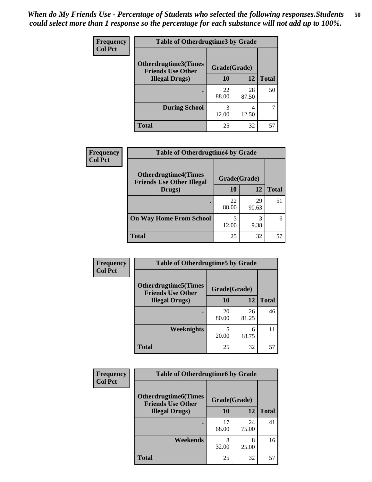| <b>Frequency</b> | <b>Table of Otherdrugtime3 by Grade</b>          |              |             |              |  |  |
|------------------|--------------------------------------------------|--------------|-------------|--------------|--|--|
| <b>Col Pct</b>   | Otherdrugtime3(Times<br><b>Friends Use Other</b> | Grade(Grade) |             |              |  |  |
|                  | <b>Illegal Drugs</b> )                           | 10           | 12          | <b>Total</b> |  |  |
|                  |                                                  | 22<br>88.00  | 28<br>87.50 | 50           |  |  |
|                  | <b>During School</b>                             | 3<br>12.00   | 4<br>12.50  |              |  |  |
|                  | Total                                            | 25           | 32          | 57           |  |  |

| Frequency      | <b>Table of Otherdrugtime4 by Grade</b>                         |              |             |              |  |  |
|----------------|-----------------------------------------------------------------|--------------|-------------|--------------|--|--|
| <b>Col Pct</b> | <b>Otherdrugtime4(Times</b><br><b>Friends Use Other Illegal</b> | Grade(Grade) |             |              |  |  |
|                | Drugs)                                                          | 10           | 12          | <b>Total</b> |  |  |
|                | ٠                                                               | 22<br>88.00  | 29<br>90.63 | 51           |  |  |
|                | <b>On Way Home From School</b>                                  | 3<br>12.00   | 3<br>9.38   | 6            |  |  |
|                | Total                                                           | 25           | 32          | 57           |  |  |

| <b>Frequency</b> | <b>Table of Otherdrugtime5 by Grade</b>                 |              |             |              |  |  |
|------------------|---------------------------------------------------------|--------------|-------------|--------------|--|--|
| <b>Col Pct</b>   | <b>Otherdrugtime5(Times</b><br><b>Friends Use Other</b> | Grade(Grade) |             |              |  |  |
|                  | <b>Illegal Drugs</b> )                                  | 10           | 12          | <b>Total</b> |  |  |
|                  |                                                         | 20<br>80.00  | 26<br>81.25 | 46           |  |  |
|                  | Weeknights                                              | 5<br>20.00   | 6<br>18.75  | 11           |  |  |
|                  | Total                                                   | 25           | 32          | 57           |  |  |

| Frequency      | <b>Table of Otherdrugtime6 by Grade</b>                                 |             |             |              |  |  |
|----------------|-------------------------------------------------------------------------|-------------|-------------|--------------|--|--|
| <b>Col Pct</b> | <b>Otherdrugtime6(Times</b><br>Grade(Grade)<br><b>Friends Use Other</b> |             |             |              |  |  |
|                | <b>Illegal Drugs</b> )                                                  | 10          | 12          | <b>Total</b> |  |  |
|                |                                                                         | 17<br>68.00 | 24<br>75.00 | 41           |  |  |
|                | Weekends                                                                | 8<br>32.00  | 8<br>25.00  | 16           |  |  |
|                | <b>Total</b>                                                            | 25          | 32          | 57           |  |  |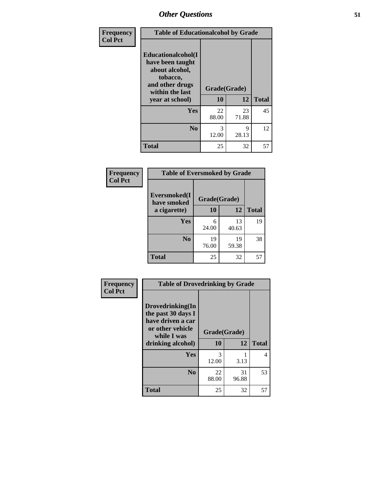| Frequency      | <b>Table of Educationalcohol by Grade</b>                                                                  |              |             |              |  |
|----------------|------------------------------------------------------------------------------------------------------------|--------------|-------------|--------------|--|
| <b>Col Pct</b> | Educationalcohol(I<br>have been taught<br>about alcohol,<br>tobacco,<br>and other drugs<br>within the last | Grade(Grade) |             |              |  |
|                | year at school)                                                                                            | 10           | 12          | <b>Total</b> |  |
|                | <b>Yes</b>                                                                                                 | 22<br>88.00  | 23<br>71.88 | 45           |  |
|                | N <sub>0</sub>                                                                                             | 3<br>12.00   | 9<br>28.13  | 12           |  |
|                | <b>Total</b>                                                                                               | 25           | 32          | 57           |  |

| Frequency      | <b>Table of Eversmoked by Grade</b> |              |             |              |  |  |
|----------------|-------------------------------------|--------------|-------------|--------------|--|--|
| <b>Col Pct</b> | Eversmoked(I<br>have smoked         | Grade(Grade) |             |              |  |  |
|                | a cigarette)                        | 10           | 12          | <b>Total</b> |  |  |
|                | Yes                                 | 6<br>24.00   | 13<br>40.63 | 19           |  |  |
|                | N <sub>0</sub>                      | 19<br>76.00  | 19<br>59.38 | 38           |  |  |
|                | <b>Total</b>                        | 25           | 32          | 57           |  |  |

| Frequency      | <b>Table of Drovedrinking by Grade</b>                                                                              |                    |              |    |  |  |
|----------------|---------------------------------------------------------------------------------------------------------------------|--------------------|--------------|----|--|--|
| <b>Col Pct</b> | Drovedrinking(In<br>the past 30 days I<br>have driven a car<br>or other vehicle<br>while I was<br>drinking alcohol) | Grade(Grade)<br>10 | <b>Total</b> |    |  |  |
|                |                                                                                                                     |                    | 12           |    |  |  |
|                | <b>Yes</b>                                                                                                          | 3<br>12.00         | 3.13         | 4  |  |  |
|                | N <sub>0</sub>                                                                                                      | 22<br>88.00        | 31<br>96.88  | 53 |  |  |
|                | <b>Total</b>                                                                                                        | 25                 | 32           | 57 |  |  |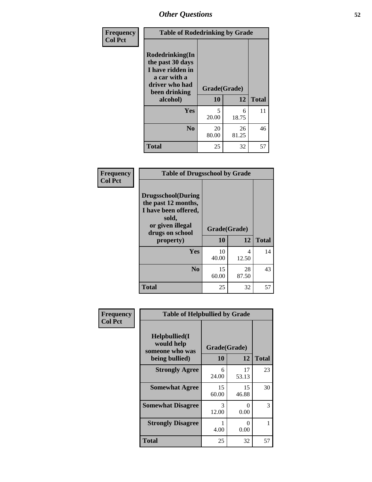| Frequency<br><b>Col Pct</b> | <b>Table of Rodedrinking by Grade</b>                                                                      |              |             |              |  |  |  |
|-----------------------------|------------------------------------------------------------------------------------------------------------|--------------|-------------|--------------|--|--|--|
|                             | Rodedrinking(In<br>the past 30 days<br>I have ridden in<br>a car with a<br>driver who had<br>been drinking | Grade(Grade) |             |              |  |  |  |
|                             | alcohol)                                                                                                   | 10           | 12          | <b>Total</b> |  |  |  |
|                             | <b>Yes</b>                                                                                                 | 5<br>20.00   | 6<br>18.75  | 11           |  |  |  |
|                             | N <sub>0</sub>                                                                                             | 20<br>80.00  | 26<br>81.25 | 46           |  |  |  |
|                             | <b>Total</b>                                                                                               | 25           | 32          | 57           |  |  |  |

#### **Frequency Col Pct**

| <b>Table of Drugsschool by Grade</b>                                                                              |              |       |              |  |  |  |
|-------------------------------------------------------------------------------------------------------------------|--------------|-------|--------------|--|--|--|
| Drugsschool(During<br>the past 12 months,<br>I have been offered,<br>sold,<br>or given illegal<br>drugs on school | Grade(Grade) |       |              |  |  |  |
| property)                                                                                                         | 10           | 12    | <b>Total</b> |  |  |  |
|                                                                                                                   |              |       |              |  |  |  |
| Yes                                                                                                               | 10           | 4     | 14           |  |  |  |
|                                                                                                                   | 40.00        | 12.50 |              |  |  |  |
| N <sub>0</sub>                                                                                                    | 15           | 28    | 43           |  |  |  |
|                                                                                                                   | 60.00        | 87.50 |              |  |  |  |

| Frequency      | <b>Table of Helpbullied by Grade</b>                                          |             |                    |              |  |  |
|----------------|-------------------------------------------------------------------------------|-------------|--------------------|--------------|--|--|
| <b>Col Pct</b> | Helpbullied(I<br>would help<br>someone who was<br><b>10</b><br>being bullied) |             | Grade(Grade)<br>12 |              |  |  |
|                |                                                                               |             |                    | <b>Total</b> |  |  |
|                | <b>Strongly Agree</b>                                                         | 6<br>24.00  | 17<br>53.13        | 23           |  |  |
|                | <b>Somewhat Agree</b>                                                         | 15<br>60.00 | 15<br>46.88        | 30           |  |  |
|                | <b>Somewhat Disagree</b>                                                      | 3<br>12.00  | 0<br>0.00          | 3            |  |  |
|                | <b>Strongly Disagree</b>                                                      | 4.00        | 0<br>0.00          |              |  |  |
|                | <b>Total</b>                                                                  | 25          | 32                 | 57           |  |  |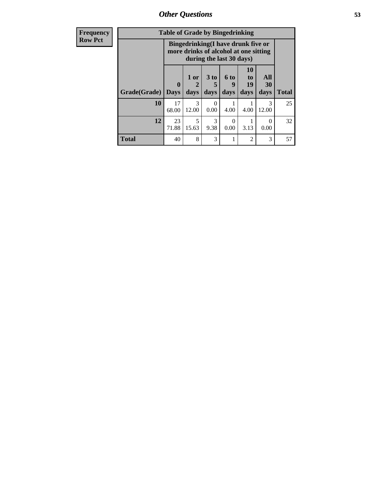*Other Questions* **53**

| <b>Frequency</b> | <b>Table of Grade by Bingedrinking</b> |             |                                                                             |                         |                          |                               |                   |              |
|------------------|----------------------------------------|-------------|-----------------------------------------------------------------------------|-------------------------|--------------------------|-------------------------------|-------------------|--------------|
| <b>Row Pct</b>   |                                        |             | Bingedrinking(I have drunk five or<br>more drinks of alcohol at one sitting |                         | during the last 30 days) |                               |                   |              |
|                  | Grade(Grade)   Days                    | $\mathbf 0$ | $1$ or $ $<br>days                                                          | 3 <sub>to</sub><br>days | 6 to<br>9<br>days        | <b>10</b><br>to<br>19<br>days | All<br>30<br>days | <b>Total</b> |
|                  | 10                                     | 17<br>68.00 | $\mathcal{R}$<br>12.00                                                      | 0<br>0.00               | 4.00                     | 4.00                          | 3<br>12.00        | 25           |
|                  | 12                                     | 23<br>71.88 | 5<br>15.63                                                                  | 3<br>9.38               | $\Omega$<br>0.00         | 3.13                          | 0<br>0.00         | 32           |
|                  | <b>Total</b>                           | 40          | 8                                                                           | 3                       |                          | 2                             | 3                 | 57           |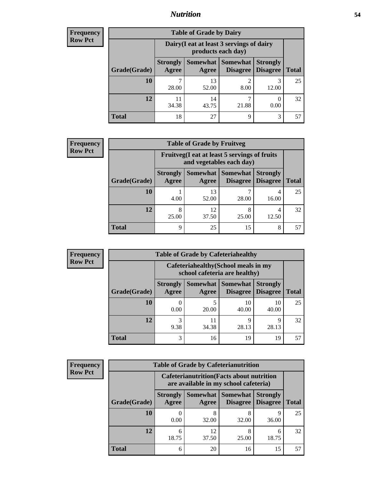### *Nutrition* **54**

| Frequency |
|-----------|
| Row Pct   |

|              |                                                                 | <b>Table of Grade by Dairy</b> |                             |                                    |              |
|--------------|-----------------------------------------------------------------|--------------------------------|-----------------------------|------------------------------------|--------------|
|              | Dairy (I eat at least 3 servings of dairy<br>products each day) |                                |                             |                                    |              |
| Grade(Grade) | <b>Strongly</b><br>Agree                                        | Somewhat  <br>Agree            | <b>Somewhat</b><br>Disagree | <b>Strongly</b><br><b>Disagree</b> | <b>Total</b> |
| 10           | 28.00                                                           | 13<br>52.00                    | 2<br>8.00                   | 3<br>12.00                         | 25           |
| 12           | 11<br>34.38                                                     | 14<br>43.75                    | 21.88                       | 0.00                               | 32           |
| <b>Total</b> | 18                                                              | 27                             | Q                           | 3                                  | 57           |

| <b>Frequency</b> |  |
|------------------|--|
| <b>Row Pct</b>   |  |

| V | <b>Table of Grade by Fruitveg</b> |                          |                                                                          |                             |                                    |              |
|---|-----------------------------------|--------------------------|--------------------------------------------------------------------------|-----------------------------|------------------------------------|--------------|
|   |                                   |                          | Fruitveg(I eat at least 5 servings of fruits<br>and vegetables each day) |                             |                                    |              |
|   | Grade(Grade)                      | <b>Strongly</b><br>Agree | Somewhat  <br>Agree                                                      | <b>Somewhat</b><br>Disagree | <b>Strongly</b><br><b>Disagree</b> | <b>Total</b> |
|   | 10                                | 4.00                     | 13<br>52.00                                                              | 28.00                       | 4<br>16.00                         | 25           |
|   | 12                                | 8<br>25.00               | 12<br>37.50                                                              | 8<br>25.00                  | 4<br>12.50                         | 32           |
|   | <b>Total</b>                      | 9                        | 25                                                                       | 15                          | 8                                  | 57           |

| <b>Frequency</b> |              |                          |             | <b>Table of Grade by Cafeteriahealthy</b>                             |                                    |              |
|------------------|--------------|--------------------------|-------------|-----------------------------------------------------------------------|------------------------------------|--------------|
| <b>Row Pct</b>   |              |                          |             | Cafeteriahealthy (School meals in my<br>school cafeteria are healthy) |                                    |              |
|                  | Grade(Grade) | <b>Strongly</b><br>Agree | Agree       | Somewhat   Somewhat  <br>Disagree                                     | <b>Strongly</b><br><b>Disagree</b> | <b>Total</b> |
|                  | 10           | 0.00                     | 5<br>20.00  | 10<br>40.00                                                           | 10<br>40.00                        | 25           |
|                  | 12           | 9.38                     | 11<br>34.38 | q<br>28.13                                                            | q<br>28.13                         | 32           |
|                  | Total        | 3                        | 16          | 19                                                                    | 19                                 |              |

| <b>Frequency</b> |
|------------------|
| <b>Row Pct</b>   |

|              |                          | <b>Table of Grade by Cafeterianutrition</b>                                               |                                        |                                    |              |
|--------------|--------------------------|-------------------------------------------------------------------------------------------|----------------------------------------|------------------------------------|--------------|
|              |                          | <b>Cafeterianutrition</b> (Facts about nutrition<br>are available in my school cafeteria) |                                        |                                    |              |
| Grade(Grade) | <b>Strongly</b><br>Agree | Agree                                                                                     | Somewhat   Somewhat<br><b>Disagree</b> | <b>Strongly</b><br><b>Disagree</b> | <b>Total</b> |
| 10           | 0.00                     | 8<br>32.00                                                                                | 8<br>32.00                             | 9<br>36.00                         | 25           |
| 12           | 6<br>18.75               | 12<br>37.50                                                                               | 8<br>25.00                             | 6<br>18.75                         | 32           |
| <b>Total</b> | 6                        | 20                                                                                        | 16                                     | 15                                 | 57           |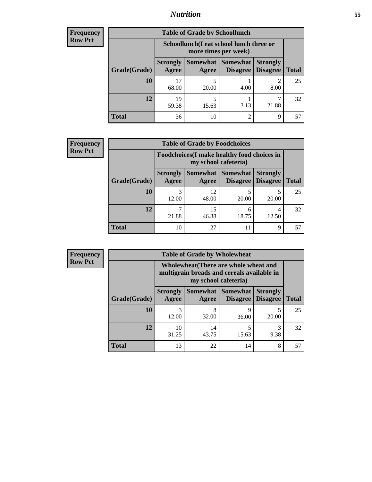## *Nutrition* **55**

| Frequency |
|-----------|
| Row Pct   |

|              |                          | <b>Table of Grade by Schoollunch</b>                            |                      |                                    |              |
|--------------|--------------------------|-----------------------------------------------------------------|----------------------|------------------------------------|--------------|
|              |                          | Schoollunch(I eat school lunch three or<br>more times per week) |                      |                                    |              |
| Grade(Grade) | <b>Strongly</b><br>Agree | Somewhat  <br>Agree                                             | Somewhat<br>Disagree | <b>Strongly</b><br><b>Disagree</b> | <b>Total</b> |
| 10           | 17<br>68.00              | 20.00                                                           | 4.00                 | 8.00                               | 25           |
| 12           | 19<br>59.38              | 15.63                                                           | 3.13                 | 21.88                              | 32           |
| <b>Total</b> | 36                       | 10                                                              | റ                    | 9                                  | 57           |

| <b>Frequency</b> |  |
|------------------|--|
| <b>Row Pct</b>   |  |

| <b>Table of Grade by Foodchoices</b> |                          |                      |                                                    |                                    |              |
|--------------------------------------|--------------------------|----------------------|----------------------------------------------------|------------------------------------|--------------|
|                                      |                          | my school cafeteria) | <b>Foodchoices</b> (I make healthy food choices in |                                    |              |
| Grade(Grade)                         | <b>Strongly</b><br>Agree | Agree                | <b>Somewhat   Somewhat</b><br><b>Disagree</b>      | <b>Strongly</b><br><b>Disagree</b> | <b>Total</b> |
| 10                                   | 12.00                    | 12<br>48.00          | 20.00                                              | 20.00                              | 25           |
| 12                                   | 21.88                    | 15<br>46.88          | 6<br>18.75                                         | 4<br>12.50                         | 32           |
| <b>Total</b>                         | 10                       | 27                   | 11                                                 | 9                                  | 57           |

| Frequency      | <b>Table of Grade by Wholewheat</b> |                          |                                                                                                             |                                             |                                    |              |  |  |
|----------------|-------------------------------------|--------------------------|-------------------------------------------------------------------------------------------------------------|---------------------------------------------|------------------------------------|--------------|--|--|
| <b>Row Pct</b> |                                     |                          | Wholewheat (There are whole wheat and<br>multigrain breads and cereals available in<br>my school cafeteria) |                                             |                                    |              |  |  |
|                | Grade(Grade)                        | <b>Strongly</b><br>Agree | Agree                                                                                                       | <b>Somewhat</b> Somewhat<br><b>Disagree</b> | <b>Strongly</b><br><b>Disagree</b> | <b>Total</b> |  |  |
|                | 10                                  | 3<br>12.00               | 8<br>32.00                                                                                                  | Q<br>36.00                                  | 20.00                              | 25           |  |  |
|                | 12                                  | 10<br>31.25              | 14<br>43.75                                                                                                 | 15.63                                       | 3<br>9.38                          | 32           |  |  |
|                | <b>Total</b>                        | 13                       | 22                                                                                                          | 14                                          | 8                                  | 57           |  |  |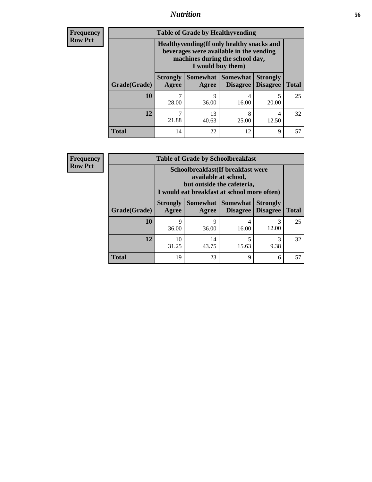### *Nutrition* **56**

**Frequency Row Pct**

| <b>Table of Grade by Healthyvending</b> |                                                                                                                                               |                     |                                    |                                    |              |
|-----------------------------------------|-----------------------------------------------------------------------------------------------------------------------------------------------|---------------------|------------------------------------|------------------------------------|--------------|
|                                         | Healthyvending (If only healthy snacks and<br>beverages were available in the vending<br>machines during the school day,<br>I would buy them) |                     |                                    |                                    |              |
| Grade(Grade)                            | <b>Strongly</b><br>Agree                                                                                                                      | Somewhat  <br>Agree | <b>Somewhat</b><br><b>Disagree</b> | <b>Strongly</b><br><b>Disagree</b> | <b>Total</b> |
| 10                                      | 28.00                                                                                                                                         | q<br>36.00          | 4<br>16.00                         | 20.00                              | 25           |
| 12                                      | 21.88                                                                                                                                         | 13<br>40.63         | 8<br>25.00                         | 4<br>12.50                         | 32           |
| <b>Total</b>                            | 14                                                                                                                                            | 22                  | 12                                 | 9                                  | 57           |

**Frequency Row Pct**

| <b>Table of Grade by Schoolbreakfast</b> |                                                                                                                                         |             |                                 |                                    |              |  |
|------------------------------------------|-----------------------------------------------------------------------------------------------------------------------------------------|-------------|---------------------------------|------------------------------------|--------------|--|
|                                          | Schoolbreakfast (If breakfast were<br>available at school,<br>but outside the cafeteria,<br>I would eat breakfast at school more often) |             |                                 |                                    |              |  |
| Grade(Grade)                             | <b>Strongly</b><br>Agree                                                                                                                | Agree       | Somewhat   Somewhat<br>Disagree | <b>Strongly</b><br><b>Disagree</b> | <b>Total</b> |  |
| 10                                       | 9<br>36.00                                                                                                                              | q<br>36.00  | 4<br>16.00                      | 3<br>12.00                         | 25           |  |
| 12                                       | 10<br>31.25                                                                                                                             | 14<br>43.75 | 5<br>15.63                      | 3<br>9.38                          | 32           |  |
| <b>Total</b>                             | 19                                                                                                                                      | 23          | 9                               | 6                                  | 57           |  |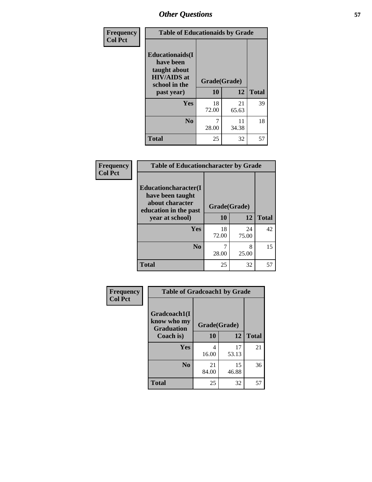| Frequency<br><b>Col Pct</b> | <b>Table of Educationaids by Grade</b>                                                                    |                    |             |              |
|-----------------------------|-----------------------------------------------------------------------------------------------------------|--------------------|-------------|--------------|
|                             | <b>Educationaids</b> (I<br>have been<br>taught about<br><b>HIV/AIDS</b> at<br>school in the<br>past year) | Grade(Grade)<br>10 | 12          | <b>Total</b> |
|                             | Yes                                                                                                       | 18<br>72.00        | 21<br>65.63 | 39           |
|                             | N <sub>0</sub>                                                                                            | 28.00              | 11<br>34.38 | 18           |
|                             | <b>Total</b>                                                                                              | 25                 | 32          | 57           |

| Frequency      | <b>Table of Educationcharacter by Grade</b> |              |             |              |  |
|----------------|---------------------------------------------|--------------|-------------|--------------|--|
| <b>Col Pct</b> | Educationcharacter(I<br>have been taught    |              |             |              |  |
|                | about character<br>education in the past    | Grade(Grade) |             |              |  |
|                | year at school)                             | <b>10</b>    | 12          | <b>Total</b> |  |
|                | Yes                                         | 18<br>72.00  | 24<br>75.00 | 42           |  |
|                | N <sub>0</sub>                              | 28.00        | 8<br>25.00  | 15           |  |
|                | <b>Total</b>                                | 25           | 32          | 57           |  |

| <b>Frequency</b> | <b>Table of Gradcoach1 by Grade</b>              |              |             |              |
|------------------|--------------------------------------------------|--------------|-------------|--------------|
| <b>Col Pct</b>   | Gradcoach1(I<br>know who my<br><b>Graduation</b> | Grade(Grade) |             |              |
|                  | Coach is)                                        | 10           | 12          | <b>Total</b> |
|                  | Yes                                              | 4<br>16.00   | 17<br>53.13 | 21           |
|                  | N <sub>0</sub>                                   | 21<br>84.00  | 15<br>46.88 | 36           |
|                  | <b>Total</b>                                     | 25           | 32          | 57           |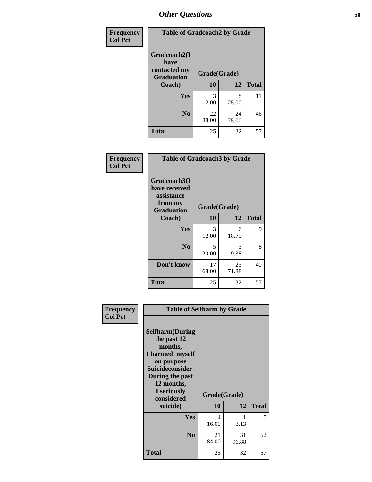| Frequency      | <b>Table of Gradcoach2 by Grade</b>       |              |             |              |
|----------------|-------------------------------------------|--------------|-------------|--------------|
| <b>Col Pct</b> |                                           |              |             |              |
|                | Gradcoach2(I                              |              |             |              |
|                | have<br>contacted my<br><b>Graduation</b> | Grade(Grade) |             |              |
|                | Coach)                                    | 10           | 12          | <b>Total</b> |
|                | Yes                                       | 3<br>12.00   | 8<br>25.00  | 11           |
|                | N <sub>0</sub>                            | 22<br>88.00  | 24<br>75.00 | 46           |
|                | <b>Total</b>                              | 25           | 32          | 57           |

| <b>Frequency</b><br><b>Col Pct</b> | <b>Table of Gradcoach3 by Grade</b>                                         |              |             |              |
|------------------------------------|-----------------------------------------------------------------------------|--------------|-------------|--------------|
|                                    | Gradcoach3(I<br>have received<br>assistance<br>from my<br><b>Graduation</b> | Grade(Grade) |             |              |
|                                    | Coach)                                                                      | 10           | 12          | <b>Total</b> |
|                                    | Yes                                                                         | 3<br>12.00   | 6<br>18.75  | 9            |
|                                    | N <sub>0</sub>                                                              | 5<br>20.00   | 3<br>9.38   | 8            |
|                                    | Don't know                                                                  | 17<br>68.00  | 23<br>71.88 | 40           |
|                                    | <b>Total</b>                                                                | 25           | 32          | 57           |

| Frequency<br><b>Col Pct</b> | <b>Table of Selfharm by Grade</b>                                                                                                                                                      |             |                    |              |
|-----------------------------|----------------------------------------------------------------------------------------------------------------------------------------------------------------------------------------|-------------|--------------------|--------------|
|                             | <b>Selfharm</b> (During<br>the past 12<br>months,<br>I harmed myself<br>on purpose<br><b>Suicideconsider</b><br>During the past<br>12 months,<br>I seriously<br>considered<br>suicide) | 10          | Grade(Grade)<br>12 | <b>Total</b> |
|                             | <b>Yes</b>                                                                                                                                                                             | 4<br>16.00  | 1<br>3.13          | 5            |
|                             | N <sub>0</sub>                                                                                                                                                                         | 21<br>84.00 | 31<br>96.88        | 52           |
|                             | Total                                                                                                                                                                                  | 25          | 32                 | 57           |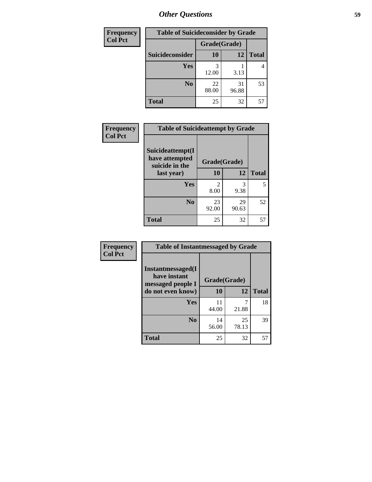| <b>Frequency</b> | <b>Table of Suicideconsider by Grade</b> |              |             |              |
|------------------|------------------------------------------|--------------|-------------|--------------|
| <b>Col Pct</b>   |                                          | Grade(Grade) |             |              |
|                  | Suicideconsider                          | <b>10</b>    | 12          | <b>Total</b> |
|                  | <b>Yes</b>                               | 3<br>12.00   | 3.13        | 4            |
|                  | N <sub>0</sub>                           | 22<br>88.00  | 31<br>96.88 | 53           |
|                  | <b>Total</b>                             | 25           | 32          | 57           |

| Frequency<br><b>Col Pct</b> | <b>Table of Suicideattempt by Grade</b>                            |                                     |             |              |
|-----------------------------|--------------------------------------------------------------------|-------------------------------------|-------------|--------------|
|                             | Suicideattempt(I<br>have attempted<br>suicide in the<br>last year) | Grade(Grade)                        |             |              |
|                             |                                                                    | 10                                  | 12          | <b>Total</b> |
|                             | Yes                                                                | $\mathcal{D}_{\mathcal{L}}$<br>8.00 | 3<br>9.38   | 5            |
|                             | $\bf No$                                                           | 23<br>92.00                         | 29<br>90.63 | 52           |
|                             | <b>Total</b>                                                       | 25                                  | 32          | 57           |

| Frequency      | <b>Table of Instantmessaged by Grade</b>               |              |             |              |
|----------------|--------------------------------------------------------|--------------|-------------|--------------|
| <b>Col Pct</b> | Instantmessaged(I<br>have instant<br>messaged people I | Grade(Grade) |             |              |
|                | do not even know)                                      | 10           | 12          | <b>Total</b> |
|                | Yes                                                    | 11<br>44.00  | 7<br>21.88  | 18           |
|                | N <sub>0</sub>                                         | 14<br>56.00  | 25<br>78.13 | 39           |
|                | <b>Total</b>                                           | 25           | 32          | 57           |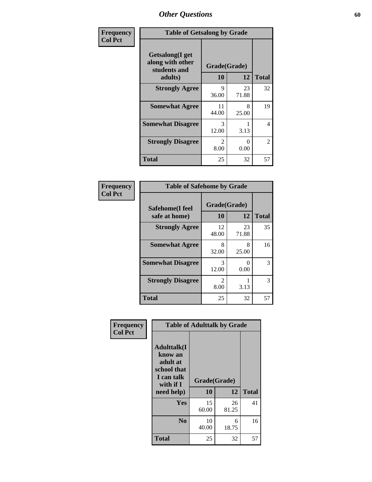| Frequency      | <b>Table of Getsalong by Grade</b>                          |                        |             |                |
|----------------|-------------------------------------------------------------|------------------------|-------------|----------------|
| <b>Col Pct</b> | <b>Getsalong</b> (I get<br>along with other<br>students and | Grade(Grade)           |             |                |
|                | adults)                                                     | 10                     | 12          | <b>Total</b>   |
|                | <b>Strongly Agree</b>                                       | 9<br>36.00             | 23<br>71.88 | 32             |
|                | <b>Somewhat Agree</b>                                       | 11<br>44.00            | 8<br>25.00  | 19             |
|                | <b>Somewhat Disagree</b>                                    | $\mathcal{R}$<br>12.00 | 3.13        | 4              |
|                | <b>Strongly Disagree</b>                                    | $\mathcal{L}$<br>8.00  | 0<br>0.00   | $\mathfrak{D}$ |
|                | <b>Total</b>                                                | 25                     | 32          | 57             |

| Frequency      | <b>Table of Safehome by Grade</b> |                        |                           |    |  |  |  |  |
|----------------|-----------------------------------|------------------------|---------------------------|----|--|--|--|--|
| <b>Col Pct</b> | Safehome(I feel<br>safe at home)  | Grade(Grade)<br>10     | <b>Total</b>              |    |  |  |  |  |
|                | <b>Strongly Agree</b>             | 12<br>48.00            | 23<br>71.88               | 35 |  |  |  |  |
|                | <b>Somewhat Agree</b>             | 8<br>32.00             | 8<br>25.00                | 16 |  |  |  |  |
|                | <b>Somewhat Disagree</b>          | 3<br>12.00             | $\mathbf{\Omega}$<br>0.00 | 3  |  |  |  |  |
|                | <b>Strongly Disagree</b>          | $\mathfrak{D}$<br>8.00 | 3.13                      | 3  |  |  |  |  |
|                | <b>Total</b>                      | 25                     | 32                        | 57 |  |  |  |  |

| Frequency      | <b>Table of Adulttalk by Grade</b>                                                                |                    |             |              |  |  |  |  |
|----------------|---------------------------------------------------------------------------------------------------|--------------------|-------------|--------------|--|--|--|--|
| <b>Col Pct</b> | <b>Adulttalk(I</b><br>know an<br>adult at<br>school that<br>I can talk<br>with if I<br>need help) | Grade(Grade)<br>10 | 12          | <b>Total</b> |  |  |  |  |
|                | <b>Yes</b>                                                                                        | 15<br>60.00        | 26<br>81.25 | 41           |  |  |  |  |
|                | N <sub>0</sub>                                                                                    | 10<br>40.00        | 6<br>18.75  | 16           |  |  |  |  |
|                | <b>Total</b>                                                                                      | 25                 | 32          | 57           |  |  |  |  |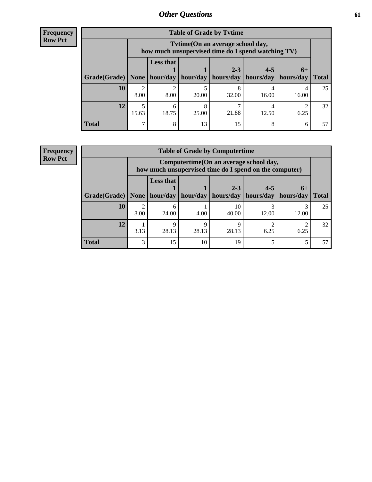| <b>Frequency</b> |
|------------------|
| <b>Row Pct</b>   |

| <b>Table of Grade by Tytime</b> |                                                                                                                                      |                                                                                        |       |            |       |       |    |  |  |  |
|---------------------------------|--------------------------------------------------------------------------------------------------------------------------------------|----------------------------------------------------------------------------------------|-------|------------|-------|-------|----|--|--|--|
|                                 |                                                                                                                                      | Tvtime(On an average school day,<br>how much unsupervised time do I spend watching TV) |       |            |       |       |    |  |  |  |
|                                 | <b>Less that</b><br>$4 - 5$<br>$2 - 3$<br>$6+$<br>  Grade(Grade)   None   hour/day<br>hours/day   hours/day<br>hour/day<br>hours/day |                                                                                        |       |            |       |       |    |  |  |  |
| 10                              | $\mathfrak{D}$<br>8.00                                                                                                               | 8.00                                                                                   | 20.00 | 8<br>32.00 | 16.00 | 16.00 | 25 |  |  |  |
| 12                              | 15.63                                                                                                                                | 6<br>18.75                                                                             | 25.00 | 21.88      | 12.50 | 6.25  | 32 |  |  |  |
| <b>Total</b>                    | ┑                                                                                                                                    | 8                                                                                      | 13    | 15         | 8     | 6     |    |  |  |  |

#### **Frequency Row Pct**

| <b>Table of Grade by Computertime</b> |      |                                                                                                                              |            |             |            |       |    |  |  |  |
|---------------------------------------|------|------------------------------------------------------------------------------------------------------------------------------|------------|-------------|------------|-------|----|--|--|--|
|                                       |      | Computertime (On an average school day,<br>how much unsupervised time do I spend on the computer)                            |            |             |            |       |    |  |  |  |
| Grade(Grade)                          | None | <b>Less that</b><br>$4 - 5$<br>$2 - 3$<br>$6+$<br>hour/day   hour/day<br>hours/day<br>hours/day<br>hours/day<br><b>Total</b> |            |             |            |       |    |  |  |  |
| 10                                    | 8.00 | 6<br>24.00                                                                                                                   | 4.00       | 10<br>40.00 | 2<br>12.00 | 12.00 | 25 |  |  |  |
| 12                                    | 3.13 | Q<br>28.13                                                                                                                   | Ω<br>28.13 | Q<br>28.13  | 6.25       | 6.25  | 32 |  |  |  |
| <b>Total</b>                          | 3    | 15                                                                                                                           | 10         | 19          |            |       |    |  |  |  |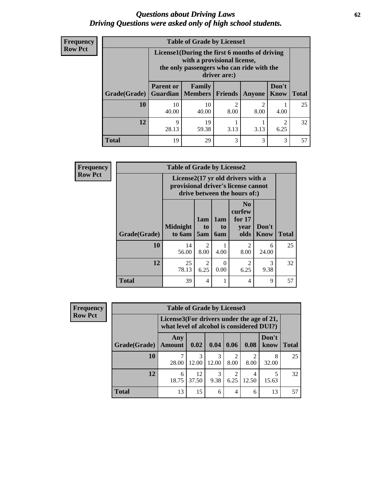#### *Questions about Driving Laws* **62** *Driving Questions were asked only of high school students.*

| <b>Frequency</b> |
|------------------|
| <b>Row Pct</b>   |

| <b>Table of Grade by License1</b> |                  |                                                                                                                                           |                |                                     |               |              |  |  |  |
|-----------------------------------|------------------|-------------------------------------------------------------------------------------------------------------------------------------------|----------------|-------------------------------------|---------------|--------------|--|--|--|
|                                   |                  | License1(During the first 6 months of driving<br>with a provisional license,<br>the only passengers who can ride with the<br>driver are:) |                |                                     |               |              |  |  |  |
| Grade(Grade)                      | <b>Parent or</b> | <b>Family</b><br><b>Guardian   Members  </b>                                                                                              | <b>Friends</b> | <b>Anyone</b>                       | Don't<br>Know | <b>Total</b> |  |  |  |
| 10                                | 10<br>40.00      | 10<br>40.00                                                                                                                               | 2<br>8.00      | $\mathcal{D}_{\mathcal{A}}$<br>8.00 | 4.00          | 25           |  |  |  |
| 12                                | Q<br>28.13       | 19<br>59.38                                                                                                                               | 3.13           | 3.13                                | 2<br>6.25     | 32           |  |  |  |
| <b>Total</b>                      | 19               | 29                                                                                                                                        | 3              | 3                                   | 3             |              |  |  |  |

| <b>Frequency</b> | <b>Table of Grade by License2</b> |                           |                              |                         |                                                                                                                      |               |              |  |  |  |
|------------------|-----------------------------------|---------------------------|------------------------------|-------------------------|----------------------------------------------------------------------------------------------------------------------|---------------|--------------|--|--|--|
| <b>Row Pct</b>   |                                   |                           |                              |                         | License $2(17 \text{ yr})$ old drivers with a<br>provisional driver's license cannot<br>drive between the hours of:) |               |              |  |  |  |
|                  | Grade(Grade)                      | <b>Midnight</b><br>to 6am | 1am<br>t <sub>0</sub><br>5am | 1am<br>to<br><b>6am</b> | N <sub>0</sub><br>curfew<br>for $17$<br>year<br>olds                                                                 | Don't<br>Know | <b>Total</b> |  |  |  |
|                  | 10                                | 14<br>56.00               | 2<br>8.00                    | 4.00                    | $\overline{2}$<br>8.00                                                                                               | 6<br>24.00    | 25           |  |  |  |
|                  | 12                                | 25<br>78.13               | $\overline{c}$<br>6.25       | $\Omega$<br>0.00        | $\mathfrak{D}$<br>6.25                                                                                               | 3<br>9.38     | 32           |  |  |  |
|                  | <b>Total</b>                      | 39                        | 4                            | 1                       | 4                                                                                                                    | 9             | 57           |  |  |  |

| Frequency      | <b>Table of Grade by License3</b> |                                                                                        |             |       |           |            |               |              |  |  |
|----------------|-----------------------------------|----------------------------------------------------------------------------------------|-------------|-------|-----------|------------|---------------|--------------|--|--|
| <b>Row Pct</b> |                                   | License3(For drivers under the age of 21,<br>what level of alcohol is considered DUI?) |             |       |           |            |               |              |  |  |
|                | Grade(Grade)                      | Any<br><b>Amount</b>                                                                   | 0.02        | 0.04  | 0.06      | 0.08       | Don't<br>know | <b>Total</b> |  |  |
|                | 10                                | 28.00                                                                                  | 12.00       | 12.00 | ↑<br>8.00 | ∍<br>8.00  | 8<br>32.00    | 25           |  |  |
|                | 12                                | 6<br>18.75                                                                             | 12<br>37.50 | 9.38  | 2<br>6.25 | 4<br>12.50 | 15.63         | 32           |  |  |
|                | <b>Total</b>                      | 13                                                                                     | 15          | 6     | 4         | 6          | 13            | 57           |  |  |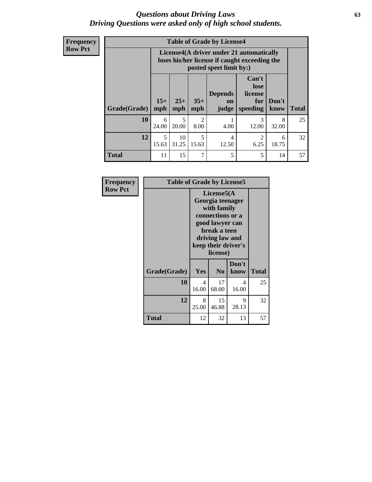#### *Questions about Driving Laws* **63** *Driving Questions were asked only of high school students.*

**Frequency Row Pct**

| <b>Table of Grade by License4</b> |              |                                                                                                                               |                        |                         |            |            |    |  |
|-----------------------------------|--------------|-------------------------------------------------------------------------------------------------------------------------------|------------------------|-------------------------|------------|------------|----|--|
|                                   |              | License4(A driver under 21 automatically<br>loses his/her license if caught exceeding the<br>posted speet limit by:)          |                        |                         |            |            |    |  |
| Grade(Grade)                      | $15+$<br>mph | Can't<br>lose<br><b>Depends</b><br>license<br>$25+$<br>$35+$<br>Don't<br>for<br>on<br>mph<br>mph<br>speeding<br>know<br>judge |                        |                         |            |            |    |  |
| 10                                | 6<br>24.00   | 5<br>20.00                                                                                                                    | $\mathfrak{D}$<br>8.00 | 4.00                    | 3<br>12.00 | 8<br>32.00 | 25 |  |
| 12                                | 5<br>15.63   | 10<br>31.25                                                                                                                   | 5<br>15.63             | $\overline{4}$<br>12.50 | 2<br>6.25  | 6<br>18.75 | 32 |  |
| <b>Total</b>                      | 11           | 15                                                                                                                            | 7                      | 5                       | 5          | 14         | 57 |  |

| Frequency      | <b>Table of Grade by License5</b> |                                                                                                                                                             |                |               |       |  |  |
|----------------|-----------------------------------|-------------------------------------------------------------------------------------------------------------------------------------------------------------|----------------|---------------|-------|--|--|
| <b>Row Pct</b> |                                   | License5(A)<br>Georgia teenager<br>with family<br>connections or a<br>good lawyer can<br>break a teen<br>driving law and<br>keep their driver's<br>license) |                |               |       |  |  |
|                | Grade(Grade)                      | Yes                                                                                                                                                         | N <sub>0</sub> | Don't<br>know | Total |  |  |
|                | 10                                | 4<br>16.00                                                                                                                                                  | 17<br>68.00    | 4<br>16.00    | 25    |  |  |
|                | 12                                | 8<br>25.00                                                                                                                                                  | 15<br>46.88    | 9<br>28.13    | 32    |  |  |
|                | <b>Total</b>                      | 12                                                                                                                                                          | 32             | 13            | 57    |  |  |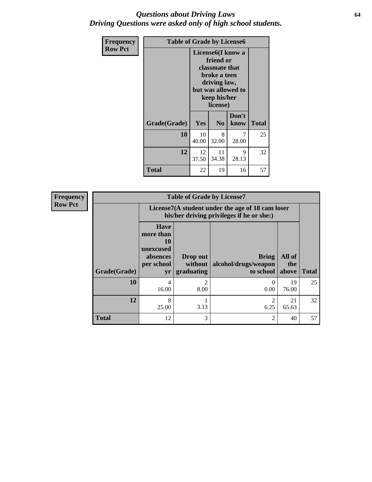#### *Questions about Driving Laws* **64** *Driving Questions were asked only of high school students.*

| <b>Frequency</b> | <b>Table of Grade by License6</b> |                                                                                                                                                 |                |               |              |  |
|------------------|-----------------------------------|-------------------------------------------------------------------------------------------------------------------------------------------------|----------------|---------------|--------------|--|
| <b>Row Pct</b>   |                                   | License <sub>6</sub> (I know a<br>friend or<br>classmate that<br>broke a teen<br>driving law,<br>but was allowed to<br>keep his/her<br>license) |                |               |              |  |
|                  | Grade(Grade)                      | <b>Yes</b>                                                                                                                                      | N <sub>0</sub> | Don't<br>know | <b>Total</b> |  |
|                  | 10                                | 10<br>40.00                                                                                                                                     | 8<br>32.00     | 7<br>28.00    | 25           |  |
|                  | 12                                | 12<br>37.50                                                                                                                                     | 11<br>34.38    | 9<br>28.13    | 32           |  |
|                  | <b>Total</b>                      | 22                                                                                                                                              | 19             | 16            | 57           |  |

| <b>Frequency</b> | <b>Table of Grade by License7</b> |                                                                             |                                                                                               |                                            |                        |              |  |
|------------------|-----------------------------------|-----------------------------------------------------------------------------|-----------------------------------------------------------------------------------------------|--------------------------------------------|------------------------|--------------|--|
| <b>Row Pct</b>   |                                   |                                                                             | License7(A student under the age of 18 cam loser<br>his/her driving privileges if he or she:) |                                            |                        |              |  |
|                  | Grade(Grade)                      | <b>Have</b><br>more than<br>10<br>unexcused<br>absences<br>per school<br>yr | Drop out<br>without<br>graduating                                                             | Bring<br>alcohol/drugs/weapon<br>to school | All of<br>the<br>above | <b>Total</b> |  |
|                  | 10                                | 4<br>16.00                                                                  | $\mathfrak{D}$<br>8.00                                                                        | $\Omega$<br>0.00                           | 19<br>76.00            | 25           |  |
|                  | 12                                | 8<br>25.00                                                                  | 3.13                                                                                          | 2<br>6.25                                  | 21<br>65.63            | 32           |  |
|                  | <b>Total</b>                      | 12                                                                          | 3                                                                                             | $\mathfrak{D}$                             | 40                     | 57           |  |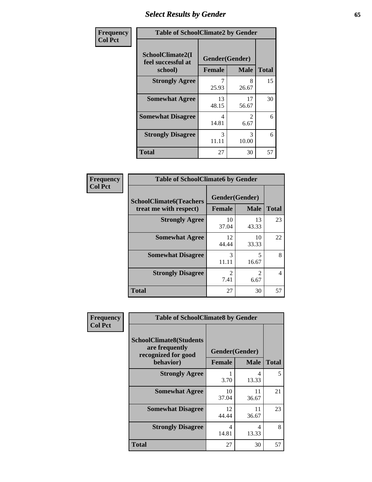## *Select Results by Gender* **65**

| Frequency      | <b>Table of SchoolClimate2 by Gender</b> |                |                                     |              |
|----------------|------------------------------------------|----------------|-------------------------------------|--------------|
| <b>Col Pct</b> | SchoolClimate2(I<br>feel successful at   | Gender(Gender) |                                     |              |
|                | school)                                  | <b>Female</b>  | <b>Male</b>                         | <b>Total</b> |
|                | <b>Strongly Agree</b>                    | 25.93          | 8<br>26.67                          | 15           |
|                | <b>Somewhat Agree</b>                    | 13<br>48.15    | 17<br>56.67                         | 30           |
|                | <b>Somewhat Disagree</b>                 | 4<br>14.81     | $\mathcal{D}_{\mathcal{L}}$<br>6.67 | 6            |
|                | <b>Strongly Disagree</b>                 | 3<br>11.11     | $\mathcal{R}$<br>10.00              | 6            |
|                | <b>Total</b>                             | 27             | 30                                  | 57           |

| Frequency      | <b>Table of SchoolClimate6 by Gender</b>                 |                                 |                                                                                                                                                                         |                |  |
|----------------|----------------------------------------------------------|---------------------------------|-------------------------------------------------------------------------------------------------------------------------------------------------------------------------|----------------|--|
| <b>Col Pct</b> | <b>SchoolClimate6(Teachers</b><br>treat me with respect) | Gender(Gender)<br><b>Female</b> | <b>Male</b>                                                                                                                                                             | <b>Total</b>   |  |
|                | <b>Strongly Agree</b>                                    | 10<br>37.04                     | 13<br>43.33                                                                                                                                                             | 23             |  |
|                | <b>Somewhat Agree</b>                                    | 12<br>44.44                     | 10<br>33.33                                                                                                                                                             | 22             |  |
|                | <b>Somewhat Disagree</b>                                 | 3<br>11.11                      | 5<br>16.67                                                                                                                                                              | 8              |  |
|                | <b>Strongly Disagree</b>                                 | $\mathfrak{D}$<br>7.41          | $\mathcal{D}_{\mathcal{A}}^{\mathcal{A}}(\mathcal{A})=\mathcal{D}_{\mathcal{A}}^{\mathcal{A}}(\mathcal{A})\mathcal{D}_{\mathcal{A}}^{\mathcal{A}}(\mathcal{A})$<br>6.67 | $\overline{4}$ |  |
|                | <b>Total</b>                                             | 27                              | 30                                                                                                                                                                      | 57             |  |

| <b>Frequency</b> | <b>Table of SchoolClimate8 by Gender</b>                                             |                                 |              |    |
|------------------|--------------------------------------------------------------------------------------|---------------------------------|--------------|----|
| <b>Col Pct</b>   | <b>SchoolClimate8(Students</b><br>are frequently<br>recognized for good<br>behavior) | Gender(Gender)<br><b>Female</b> | <b>Total</b> |    |
|                  | <b>Strongly Agree</b>                                                                | 3.70                            | 4<br>13.33   | 5  |
|                  | <b>Somewhat Agree</b>                                                                | 10<br>37.04                     | 11<br>36.67  | 21 |
|                  | <b>Somewhat Disagree</b>                                                             | 12<br>44.44                     | 11<br>36.67  | 23 |
|                  | <b>Strongly Disagree</b>                                                             | 4<br>14.81                      | 4<br>13.33   | 8  |
|                  | Total                                                                                | 27                              | 30           | 57 |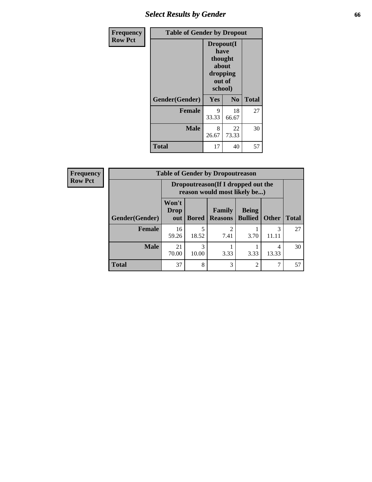## *Select Results by Gender* **66**

| Frequency      | <b>Table of Gender by Dropout</b> |                                                                        |                |              |
|----------------|-----------------------------------|------------------------------------------------------------------------|----------------|--------------|
| <b>Row Pct</b> |                                   | Dropout(I<br>have<br>thought<br>about<br>dropping<br>out of<br>school) |                |              |
|                | Gender(Gender)                    | Yes                                                                    | N <sub>0</sub> | <b>Total</b> |
|                | <b>Female</b>                     | 9<br>33.33                                                             | 18<br>66.67    | 27           |
|                | <b>Male</b>                       | 8<br>26.67                                                             | 22<br>73.33    | 30           |
|                | <b>Total</b>                      | 17                                                                     | 40             | 57           |

| <b>Frequency</b> | <b>Table of Gender by Dropoutreason</b> |                                                                    |              |                                 |                                |              |              |
|------------------|-----------------------------------------|--------------------------------------------------------------------|--------------|---------------------------------|--------------------------------|--------------|--------------|
| <b>Row Pct</b>   |                                         | Dropoutreason(If I dropped out the<br>reason would most likely be) |              |                                 |                                |              |              |
|                  | Gender(Gender)                          | Won't<br><b>Drop</b><br>out                                        | <b>Bored</b> | <b>Family</b><br><b>Reasons</b> | <b>Being</b><br><b>Bullied</b> | <b>Other</b> | <b>Total</b> |
|                  | <b>Female</b>                           | 16<br>59.26                                                        | 5<br>18.52   | っ<br>7.41                       | 3.70                           | 3<br>11.11   | 27           |
|                  | <b>Male</b>                             | 21<br>70.00                                                        | 3<br>10.00   | 3.33                            | 3.33                           | 4<br>13.33   | 30           |
|                  | <b>Total</b>                            | 37                                                                 | 8            | 3                               | $\mathfrak{D}$                 | 7            | 57           |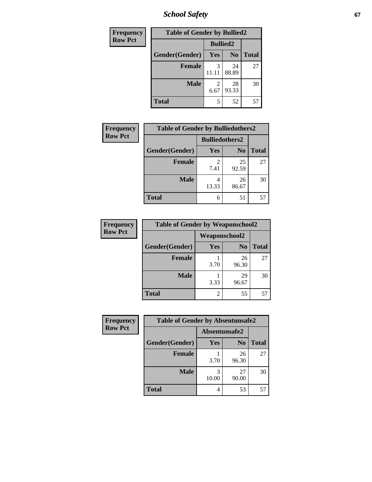*School Safety* **67**

| Frequency      | <b>Table of Gender by Bullied2</b> |                 |                |              |  |
|----------------|------------------------------------|-----------------|----------------|--------------|--|
| <b>Row Pct</b> |                                    | <b>Bullied2</b> |                |              |  |
|                | Gender(Gender)                     | Yes             | N <sub>0</sub> | <b>Total</b> |  |
|                | <b>Female</b>                      | 3               | 24<br>88.89    | 27           |  |
|                | <b>Male</b>                        | 2<br>6.67       | 28<br>93.33    | 30           |  |
|                | <b>Total</b>                       | 5               | 52             | 57           |  |

| <b>Frequency</b> | <b>Table of Gender by Bulliedothers2</b> |                       |                |              |
|------------------|------------------------------------------|-----------------------|----------------|--------------|
| <b>Row Pct</b>   |                                          | <b>Bulliedothers2</b> |                |              |
|                  | Gender(Gender)                           | <b>Yes</b>            | N <sub>0</sub> | <b>Total</b> |
|                  | <b>Female</b>                            | 7.41                  | 25<br>92.59    | 27           |
|                  | <b>Male</b>                              | 4<br>13.33            | 26<br>86.67    | 30           |
|                  | <b>Total</b>                             | 6                     | 51             | 57           |

| Frequency      | <b>Table of Gender by Weaponschool2</b> |                      |                |              |
|----------------|-----------------------------------------|----------------------|----------------|--------------|
| <b>Row Pct</b> |                                         | <b>Weaponschool2</b> |                |              |
|                | Gender(Gender)                          | Yes                  | N <sub>0</sub> | <b>Total</b> |
|                | <b>Female</b>                           | 3.70                 | 26<br>96.30    | 27           |
|                | <b>Male</b>                             | 3.33                 | 29<br>96.67    | 30           |
|                | <b>Total</b>                            | 2                    | 55             | 57           |

| Frequency      | <b>Table of Gender by Absentunsafe2</b> |               |                |              |
|----------------|-----------------------------------------|---------------|----------------|--------------|
| <b>Row Pct</b> |                                         | Absentunsafe2 |                |              |
|                | Gender(Gender)                          | Yes           | N <sub>0</sub> | <b>Total</b> |
|                | <b>Female</b>                           | 3.70          | 26<br>96.30    | 27           |
|                | <b>Male</b>                             | 10.00         | 27<br>90.00    | 30           |
|                | <b>Total</b>                            | 4             | 53             | 57           |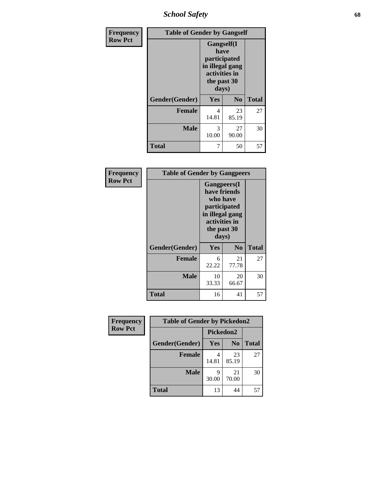*School Safety* **68**

| Frequency      | <b>Table of Gender by Gangself</b> |                                                                                                |                |              |
|----------------|------------------------------------|------------------------------------------------------------------------------------------------|----------------|--------------|
| <b>Row Pct</b> |                                    | Gangself(I<br>have<br>participated<br>in illegal gang<br>activities in<br>the past 30<br>days) |                |              |
|                | Gender(Gender)                     | Yes                                                                                            | N <sub>0</sub> | <b>Total</b> |
|                | <b>Female</b>                      | 4<br>14.81                                                                                     | 23<br>85.19    | 27           |
|                | <b>Male</b>                        | 3<br>10.00                                                                                     | 27<br>90.00    | 30           |
|                | <b>Total</b>                       | 7                                                                                              | 50             | 57           |

| Frequency      | <b>Table of Gender by Gangpeers</b> |                                                                                                                     |                |              |
|----------------|-------------------------------------|---------------------------------------------------------------------------------------------------------------------|----------------|--------------|
| <b>Row Pct</b> |                                     | Gangpeers(I<br>have friends<br>who have<br>participated<br>in illegal gang<br>activities in<br>the past 30<br>days) |                |              |
|                | Gender(Gender)                      | Yes                                                                                                                 | N <sub>0</sub> | <b>Total</b> |
|                | <b>Female</b>                       | 6<br>22.22                                                                                                          | 21<br>77.78    | 27           |
|                | <b>Male</b>                         | 10<br>33.33                                                                                                         | 20<br>66.67    | 30           |
|                | <b>Total</b>                        | 16                                                                                                                  | 41             | 57           |

| Frequency      | <b>Table of Gender by Pickedon2</b> |            |                |              |
|----------------|-------------------------------------|------------|----------------|--------------|
| <b>Row Pct</b> |                                     | Pickedon2  |                |              |
|                | Gender(Gender)                      | <b>Yes</b> | N <sub>0</sub> | <b>Total</b> |
|                | <b>Female</b>                       | 4<br>14.81 | 23<br>85.19    | 27           |
|                | <b>Male</b>                         | 9<br>30.00 | 21<br>70.00    | 30           |
|                | <b>Total</b>                        | 13         | 44             | 57           |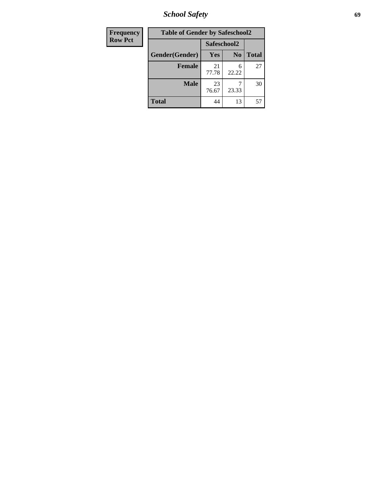*School Safety* **69**

| Frequency      | <b>Table of Gender by Safeschool2</b> |             |                |              |
|----------------|---------------------------------------|-------------|----------------|--------------|
| <b>Row Pct</b> |                                       |             | Safeschool2    |              |
|                | Gender(Gender)                        | Yes         | N <sub>0</sub> | <b>Total</b> |
|                | <b>Female</b>                         | 21<br>77.78 | 6<br>22.22     | 27           |
|                | <b>Male</b>                           | 23<br>76.67 | 23.33          | 30           |
|                | <b>Total</b>                          | 44          | 13             | 57           |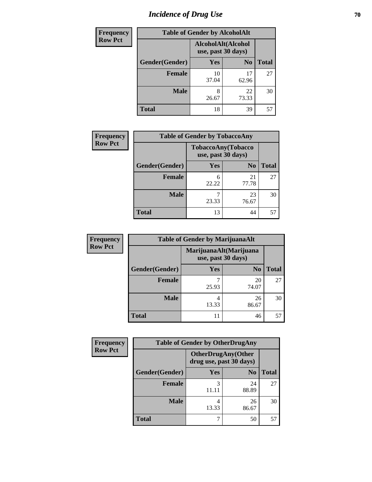# *Incidence of Drug Use* **70**

| <b>Frequency</b> | <b>Table of Gender by AlcoholAlt</b> |                                          |                |              |  |
|------------------|--------------------------------------|------------------------------------------|----------------|--------------|--|
| <b>Row Pct</b>   |                                      | AlcoholAlt(Alcohol<br>use, past 30 days) |                |              |  |
|                  | Gender(Gender)                       | <b>Yes</b>                               | N <sub>0</sub> | <b>Total</b> |  |
|                  | <b>Female</b>                        | 10<br>37.04                              | 17<br>62.96    | 27           |  |
|                  | <b>Male</b>                          | 8<br>26.67                               | 22<br>73.33    | 30           |  |
|                  | <b>Total</b>                         | 18                                       | 39             | 57           |  |

| Frequency      | <b>Table of Gender by TobaccoAny</b> |                                          |                |              |
|----------------|--------------------------------------|------------------------------------------|----------------|--------------|
| <b>Row Pct</b> |                                      | TobaccoAny(Tobacco<br>use, past 30 days) |                |              |
|                | Gender(Gender)                       | Yes                                      | N <sub>0</sub> | <b>Total</b> |
|                | <b>Female</b>                        | 6<br>22.22                               | 21<br>77.78    | 27           |
|                | <b>Male</b>                          | 23.33                                    | 23<br>76.67    | 30           |
|                | <b>Total</b>                         | 13                                       | 44             | 57           |

| <b>Frequency</b> |                | <b>Table of Gender by MarijuanaAlt</b> |                                              |       |
|------------------|----------------|----------------------------------------|----------------------------------------------|-------|
| <b>Row Pct</b>   |                |                                        | MarijuanaAlt(Marijuana<br>use, past 30 days) |       |
|                  | Gender(Gender) | <b>Yes</b>                             | N <sub>0</sub>                               | Total |
|                  | <b>Female</b>  | ¬<br>25.93                             | 20<br>74.07                                  | 27    |
|                  | <b>Male</b>    | 4<br>13.33                             | 26<br>86.67                                  | 30    |
|                  | <b>Total</b>   | 11                                     | 46                                           | 57    |

| <b>Frequency</b> | <b>Table of Gender by OtherDrugAny</b> |                                                      |                |              |
|------------------|----------------------------------------|------------------------------------------------------|----------------|--------------|
| <b>Row Pct</b>   |                                        | <b>OtherDrugAny(Other</b><br>drug use, past 30 days) |                |              |
|                  | Gender(Gender)                         | <b>Yes</b>                                           | N <sub>0</sub> | <b>Total</b> |
|                  | <b>Female</b>                          | 3                                                    | 24<br>88.89    | 27           |
|                  | <b>Male</b>                            | 4<br>13.33                                           | 26<br>86.67    | 30           |
|                  | <b>Total</b>                           | 7                                                    | 50             | 57           |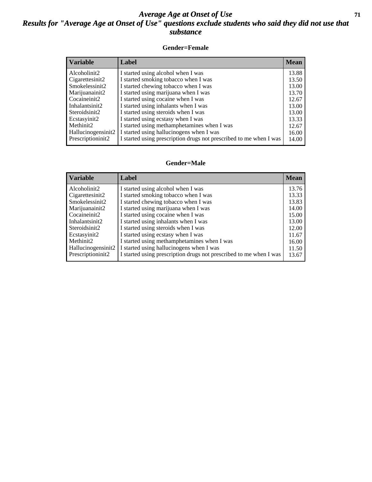#### *Average Age at Onset of Use* **71** *Results for "Average Age at Onset of Use" questions exclude students who said they did not use that substance*

#### **Gender=Female**

| <b>Variable</b>                 | Label                                                              | <b>Mean</b> |
|---------------------------------|--------------------------------------------------------------------|-------------|
| Alcoholinit2                    | I started using alcohol when I was                                 | 13.88       |
| Cigarettesinit2                 | I started smoking tobacco when I was                               | 13.50       |
| Smokelessinit2                  | I started chewing tobacco when I was                               | 13.00       |
| Marijuanainit2                  | I started using marijuana when I was                               | 13.70       |
| Cocaineinit2                    | I started using cocaine when I was                                 | 12.67       |
| Inhalantsinit2                  | I started using inhalants when I was                               | 13.00       |
| Steroidsinit2                   | I started using steroids when I was                                | 13.00       |
| Ecstasyinit2                    | I started using ecstasy when I was                                 | 13.33       |
| Methinit2                       | I started using methamphetamines when I was                        | 12.67       |
| Hallucinogensinit2              | I started using hallucinogens when I was                           | 16.00       |
| Prescription in it <sub>2</sub> | I started using prescription drugs not prescribed to me when I was | 14.00       |

#### **Gender=Male**

| <b>Variable</b>    | Label                                                              | <b>Mean</b> |
|--------------------|--------------------------------------------------------------------|-------------|
| Alcoholinit2       | I started using alcohol when I was                                 | 13.76       |
| Cigarettesinit2    | I started smoking tobacco when I was                               | 13.33       |
| Smokelessinit2     | I started chewing tobacco when I was                               | 13.83       |
| Marijuanainit2     | I started using marijuana when I was                               | 14.00       |
| Cocaineinit2       | I started using cocaine when I was                                 | 15.00       |
| Inhalantsinit2     | I started using inhalants when I was                               | 13.00       |
| Steroidsinit2      | I started using steroids when I was                                | 12.00       |
| Ecstasyinit2       | I started using ecstasy when I was                                 | 11.67       |
| Methinit2          | I started using methamphetamines when I was                        | 16.00       |
| Hallucinogensinit2 | I started using hallucinogens when I was                           | 11.50       |
| Prescriptioninit2  | I started using prescription drugs not prescribed to me when I was | 13.67       |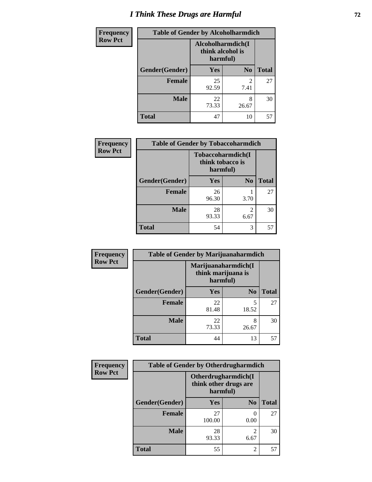# *I Think These Drugs are Harmful* **72**

| <b>Frequency</b> | <b>Table of Gender by Alcoholharmdich</b> |                                                   |                        |              |
|------------------|-------------------------------------------|---------------------------------------------------|------------------------|--------------|
| <b>Row Pct</b>   |                                           | Alcoholharmdich(I<br>think alcohol is<br>harmful) |                        |              |
|                  | Gender(Gender)                            | <b>Yes</b>                                        | N <sub>0</sub>         | <b>Total</b> |
|                  | <b>Female</b>                             | 25<br>92.59                                       | $\mathfrak{D}$<br>7.41 | 27           |
|                  | <b>Male</b>                               | 22<br>73.33                                       | 8<br>26.67             | 30           |
|                  | <b>Total</b>                              | 47                                                | 10                     | 57           |

| Frequency      | <b>Table of Gender by Tobaccoharmdich</b> |                                       |                        |              |
|----------------|-------------------------------------------|---------------------------------------|------------------------|--------------|
| <b>Row Pct</b> |                                           | Tobaccoharmdich(I<br>think tobacco is | harmful)               |              |
|                | Gender(Gender)                            | Yes                                   | N <sub>0</sub>         | <b>Total</b> |
|                | <b>Female</b>                             | 26<br>96.30                           | 3.70                   | 27           |
|                | <b>Male</b>                               | 28<br>93.33                           | $\mathfrak{D}$<br>6.67 | 30           |
|                | <b>Total</b>                              | 54                                    | 3                      | 57           |

| Frequency      | <b>Table of Gender by Marijuanaharmdich</b> |                                                       |                |              |  |
|----------------|---------------------------------------------|-------------------------------------------------------|----------------|--------------|--|
| <b>Row Pct</b> |                                             | Marijuanaharmdich(I<br>think marijuana is<br>harmful) |                |              |  |
|                | Gender(Gender)                              | <b>Yes</b>                                            | N <sub>0</sub> | <b>Total</b> |  |
|                | <b>Female</b>                               | 22<br>81.48                                           | 5<br>18.52     | 27           |  |
|                | <b>Male</b>                                 | 22<br>73.33                                           | 8<br>26.67     | 30           |  |
|                | <b>Total</b>                                | 44                                                    | 13             | 57           |  |

| Frequency      | <b>Table of Gender by Otherdrugharmdich</b> |                                                          |                        |              |  |
|----------------|---------------------------------------------|----------------------------------------------------------|------------------------|--------------|--|
| <b>Row Pct</b> |                                             | Otherdrugharmdich(I<br>think other drugs are<br>harmful) |                        |              |  |
|                | Gender(Gender)                              | <b>Yes</b>                                               | N <sub>0</sub>         | <b>Total</b> |  |
|                | <b>Female</b>                               | 27<br>100.00                                             | 0.00                   | 27           |  |
|                | <b>Male</b>                                 | 28<br>93.33                                              | $\overline{2}$<br>6.67 | 30           |  |
|                | <b>Total</b>                                | 55                                                       | $\overline{2}$         | 57           |  |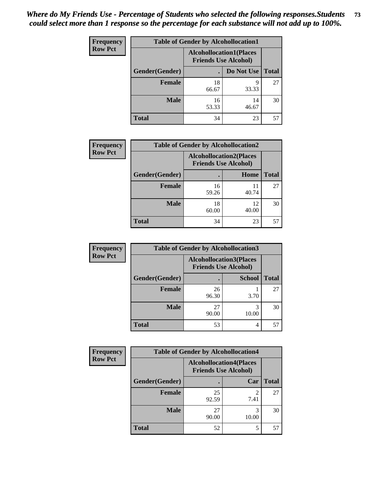| <b>Frequency</b> | <b>Table of Gender by Alcohollocation1</b> |                                                               |             |              |
|------------------|--------------------------------------------|---------------------------------------------------------------|-------------|--------------|
| <b>Row Pct</b>   |                                            | <b>Alcohollocation1(Places</b><br><b>Friends Use Alcohol)</b> |             |              |
|                  | Gender(Gender)                             |                                                               | Do Not Use  | <b>Total</b> |
|                  | <b>Female</b>                              | 18<br>66.67                                                   | 9<br>33.33  | 27           |
|                  | <b>Male</b>                                | 16<br>53.33                                                   | 14<br>46.67 | 30           |
|                  | <b>Total</b>                               | 34                                                            | 23          | 57           |

| <b>Frequency</b> | <b>Table of Gender by Alcohollocation2</b> |                                                               |             |              |
|------------------|--------------------------------------------|---------------------------------------------------------------|-------------|--------------|
| <b>Row Pct</b>   |                                            | <b>Alcohollocation2(Places</b><br><b>Friends Use Alcohol)</b> |             |              |
|                  | Gender(Gender)                             |                                                               | Home        | <b>Total</b> |
|                  | Female                                     | 16<br>59.26                                                   | 11<br>40.74 | 27           |
|                  | <b>Male</b>                                | 18<br>60.00                                                   | 12<br>40.00 | 30           |
|                  | <b>Total</b>                               | 34                                                            | 23          | 57           |

| Frequency      | <b>Table of Gender by Alcohollocation3</b> |             |                                                               |              |
|----------------|--------------------------------------------|-------------|---------------------------------------------------------------|--------------|
| <b>Row Pct</b> |                                            |             | <b>Alcohollocation3(Places</b><br><b>Friends Use Alcohol)</b> |              |
|                | Gender(Gender)                             |             | <b>School</b>                                                 | <b>Total</b> |
|                | <b>Female</b>                              | 26<br>96.30 | 3.70                                                          | 27           |
|                | <b>Male</b>                                | 27<br>90.00 | 10.00                                                         | 30           |
|                | <b>Total</b>                               | 53          | 4                                                             | 57           |

| <b>Frequency</b> | <b>Table of Gender by Alcohollocation4</b> |                                                               |            |              |
|------------------|--------------------------------------------|---------------------------------------------------------------|------------|--------------|
| <b>Row Pct</b>   |                                            | <b>Alcohollocation4(Places</b><br><b>Friends Use Alcohol)</b> |            |              |
|                  | Gender(Gender)                             |                                                               | Car        | <b>Total</b> |
|                  | <b>Female</b>                              | 25<br>92.59                                                   | 7.41       | 27           |
|                  | <b>Male</b>                                | 27<br>90.00                                                   | 3<br>10.00 | 30           |
|                  | <b>Total</b>                               | 52                                                            | 5          | 57           |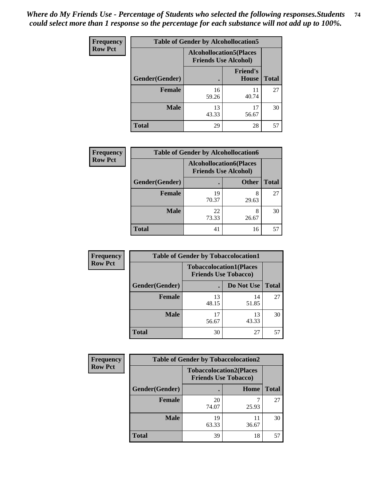| <b>Frequency</b> | <b>Table of Gender by Alcohollocation5</b> |                                                                |                          |              |
|------------------|--------------------------------------------|----------------------------------------------------------------|--------------------------|--------------|
| <b>Row Pct</b>   |                                            | <b>Alcohollocation5</b> (Places<br><b>Friends Use Alcohol)</b> |                          |              |
|                  | <b>Gender</b> (Gender)                     |                                                                | <b>Friend's</b><br>House | <b>Total</b> |
|                  | <b>Female</b>                              | 16<br>59.26                                                    | 11<br>40.74              | 27           |
|                  | <b>Male</b>                                | 13<br>43.33                                                    | 17<br>56.67              | 30           |
|                  | <b>Total</b>                               | 29                                                             | 28                       | 57           |

| Frequency      | <b>Table of Gender by Alcohollocation6</b> |                                                               |              |              |  |
|----------------|--------------------------------------------|---------------------------------------------------------------|--------------|--------------|--|
| <b>Row Pct</b> |                                            | <b>Alcohollocation6(Places</b><br><b>Friends Use Alcohol)</b> |              |              |  |
|                | Gender(Gender)                             |                                                               | <b>Other</b> | <b>Total</b> |  |
|                | <b>Female</b>                              | 19<br>70.37                                                   | 8<br>29.63   | 27           |  |
|                | <b>Male</b>                                | 22<br>73.33                                                   | 8<br>26.67   | 30           |  |
|                | <b>Total</b>                               | 41                                                            | 16           | 57           |  |

| Frequency      | <b>Table of Gender by Tobaccolocation1</b> |                                                               |             |              |  |
|----------------|--------------------------------------------|---------------------------------------------------------------|-------------|--------------|--|
| <b>Row Pct</b> |                                            | <b>Tobaccolocation1(Places</b><br><b>Friends Use Tobacco)</b> |             |              |  |
|                | Gender(Gender)                             |                                                               | Do Not Use  | <b>Total</b> |  |
|                | Female                                     | 13<br>48.15                                                   | 14<br>51.85 | 27           |  |
|                | <b>Male</b>                                | 56.67                                                         | 13<br>43.33 | 30           |  |
|                | <b>Total</b>                               | 30                                                            | 27          | 57           |  |

| <b>Frequency</b> | <b>Table of Gender by Tobaccolocation2</b> |                                                               |             |              |
|------------------|--------------------------------------------|---------------------------------------------------------------|-------------|--------------|
| <b>Row Pct</b>   |                                            | <b>Tobaccolocation2(Places</b><br><b>Friends Use Tobacco)</b> |             |              |
|                  | Gender(Gender)                             |                                                               | Home        | <b>Total</b> |
|                  | Female                                     | 20<br>74.07                                                   | 25.93       | 27           |
|                  | <b>Male</b>                                | 19<br>63.33                                                   | 11<br>36.67 | 30           |
|                  | <b>Total</b>                               | 39                                                            | 18          | 57           |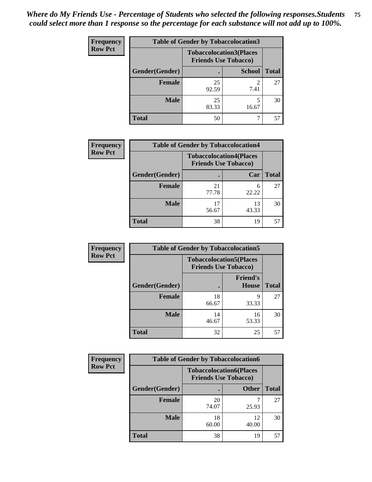| <b>Frequency</b> | <b>Table of Gender by Tobaccolocation3</b> |                                                               |               |              |
|------------------|--------------------------------------------|---------------------------------------------------------------|---------------|--------------|
| <b>Row Pct</b>   |                                            | <b>Tobaccolocation3(Places</b><br><b>Friends Use Tobacco)</b> |               |              |
|                  | Gender(Gender)                             |                                                               | <b>School</b> | <b>Total</b> |
|                  | <b>Female</b>                              | 25<br>92.59                                                   | 7.41          | 27           |
|                  | <b>Male</b>                                | 25<br>83.33                                                   | 16.67         | 30           |
|                  | <b>Total</b>                               | 50                                                            |               | 57           |

| <b>Frequency</b> | <b>Table of Gender by Tobaccolocation4</b> |                             |                                |              |
|------------------|--------------------------------------------|-----------------------------|--------------------------------|--------------|
| <b>Row Pct</b>   |                                            | <b>Friends Use Tobacco)</b> | <b>Tobaccolocation4(Places</b> |              |
|                  | Gender(Gender)                             |                             | Car                            | <b>Total</b> |
|                  | Female                                     | 21<br>77.78                 | 6<br>22.22                     | 27           |
|                  | <b>Male</b>                                | 56.67                       | 13<br>43.33                    | 30           |
|                  | <b>Total</b>                               | 38                          | 19                             | 57           |

| <b>Frequency</b> | <b>Table of Gender by Tobaccolocation5</b> |                                                               |                          |              |
|------------------|--------------------------------------------|---------------------------------------------------------------|--------------------------|--------------|
| <b>Row Pct</b>   |                                            | <b>Tobaccolocation5(Places</b><br><b>Friends Use Tobacco)</b> |                          |              |
|                  | Gender(Gender)                             |                                                               | <b>Friend's</b><br>House | <b>Total</b> |
|                  | <b>Female</b>                              | 18<br>66.67                                                   | q<br>33.33               | 27           |
|                  | <b>Male</b>                                | 14<br>46.67                                                   | 16<br>53.33              | 30           |
|                  | <b>Total</b>                               | 32                                                            | 25                       | 57           |

| <b>Frequency</b> |                | <b>Table of Gender by Tobaccolocation6</b>                    |              |              |
|------------------|----------------|---------------------------------------------------------------|--------------|--------------|
| <b>Row Pct</b>   |                | <b>Tobaccolocation6(Places</b><br><b>Friends Use Tobacco)</b> |              |              |
|                  | Gender(Gender) |                                                               | <b>Other</b> | <b>Total</b> |
|                  | Female         | 20<br>74.07                                                   | 25.93        | 27           |
|                  | <b>Male</b>    | 18<br>60.00                                                   | 12<br>40.00  | 30           |
|                  | <b>Total</b>   | 38                                                            | 19           | 57           |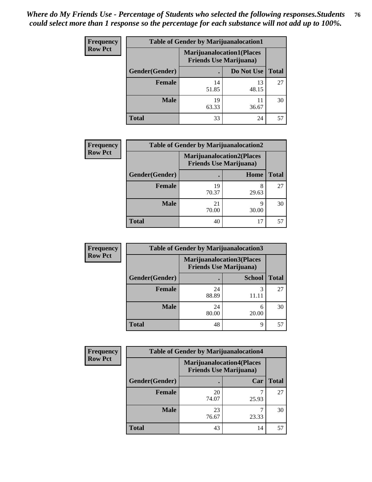| <b>Frequency</b> | <b>Table of Gender by Marijuanalocation1</b> |                                                                    |             |              |
|------------------|----------------------------------------------|--------------------------------------------------------------------|-------------|--------------|
| <b>Row Pct</b>   |                                              | <b>Marijuanalocation1(Places</b><br><b>Friends Use Marijuana</b> ) |             |              |
|                  | Gender(Gender)                               |                                                                    | Do Not Use  | <b>Total</b> |
|                  | <b>Female</b>                                | 14<br>51.85                                                        | 13<br>48.15 | 27           |
|                  | <b>Male</b>                                  | 19<br>63.33                                                        | 11<br>36.67 | 30           |
|                  | <b>Total</b>                                 | 33                                                                 | 24          | 57           |

| <b>Frequency</b> | <b>Table of Gender by Marijuanalocation2</b> |                                                                    |            |              |  |
|------------------|----------------------------------------------|--------------------------------------------------------------------|------------|--------------|--|
| <b>Row Pct</b>   |                                              | <b>Marijuanalocation2(Places</b><br><b>Friends Use Marijuana</b> ) |            |              |  |
|                  | Gender(Gender)                               |                                                                    | Home       | <b>Total</b> |  |
|                  | Female                                       | 19<br>70.37                                                        | 8<br>29.63 | 27           |  |
|                  | <b>Male</b>                                  | 21<br>70.00                                                        | 9<br>30.00 | 30           |  |
|                  | <b>Total</b>                                 | 40                                                                 | 17         | 57           |  |

| Frequency      | <b>Table of Gender by Marijuanalocation3</b> |             |                                                                     |              |
|----------------|----------------------------------------------|-------------|---------------------------------------------------------------------|--------------|
| <b>Row Pct</b> |                                              |             | <b>Marijuanalocation3(Places)</b><br><b>Friends Use Marijuana</b> ) |              |
|                | Gender(Gender)                               |             | <b>School</b>                                                       | <b>Total</b> |
|                | Female                                       | 24<br>88.89 | 3                                                                   | 27           |
|                | <b>Male</b>                                  | 24<br>80.00 | 6<br>20.00                                                          | 30           |
|                | <b>Total</b>                                 | 48          | 9                                                                   | 57           |

| <b>Frequency</b> | <b>Table of Gender by Marijuanalocation4</b> |                                |                                  |              |
|------------------|----------------------------------------------|--------------------------------|----------------------------------|--------------|
| <b>Row Pct</b>   |                                              | <b>Friends Use Marijuana</b> ) | <b>Marijuanalocation4(Places</b> |              |
|                  | Gender(Gender)                               |                                | Car                              | <b>Total</b> |
|                  | <b>Female</b>                                | 20<br>74.07                    | 25.93                            | 27           |
|                  | <b>Male</b>                                  | 23<br>76.67                    | 23.33                            | 30           |
|                  | <b>Total</b>                                 | 43                             | 14                               | 57           |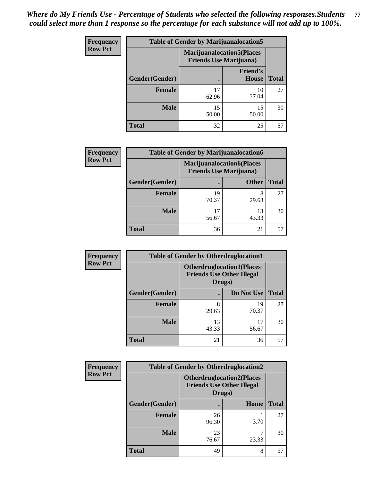| <b>Frequency</b> | <b>Table of Gender by Marijuanalocation5</b> |                                                                    |                                 |              |
|------------------|----------------------------------------------|--------------------------------------------------------------------|---------------------------------|--------------|
| <b>Row Pct</b>   |                                              | <b>Marijuanalocation5(Places</b><br><b>Friends Use Marijuana</b> ) |                                 |              |
|                  | <b>Gender</b> (Gender)                       |                                                                    | <b>Friend's</b><br><b>House</b> | <b>Total</b> |
|                  | <b>Female</b>                                | 17<br>62.96                                                        | 10<br>37.04                     | 27           |
|                  | <b>Male</b>                                  | 15<br>50.00                                                        | 15<br>50.00                     | 30           |
|                  | <b>Total</b>                                 | 32                                                                 | 25                              | 57           |

| <b>Frequency</b> | <b>Table of Gender by Marijuanalocation6</b> |                                                                    |              |              |
|------------------|----------------------------------------------|--------------------------------------------------------------------|--------------|--------------|
| <b>Row Pct</b>   |                                              | <b>Marijuanalocation6(Places</b><br><b>Friends Use Marijuana</b> ) |              |              |
|                  | <b>Gender</b> (Gender)                       |                                                                    | <b>Other</b> | <b>Total</b> |
|                  | <b>Female</b>                                | 19<br>70.37                                                        | 8<br>29.63   | 27           |
|                  | <b>Male</b>                                  | 17<br>56.67                                                        | 13<br>43.33  | 30           |
|                  | <b>Total</b>                                 | 36                                                                 | 21           |              |

| <b>Frequency</b> | <b>Table of Gender by Otherdruglocation1</b> |                                            |                                  |              |
|------------------|----------------------------------------------|--------------------------------------------|----------------------------------|--------------|
| <b>Row Pct</b>   |                                              | <b>Friends Use Other Illegal</b><br>Drugs) | <b>Otherdruglocation1(Places</b> |              |
|                  | Gender(Gender)                               |                                            | Do Not Use                       | <b>Total</b> |
|                  | Female                                       | 8<br>29.63                                 | 19<br>70.37                      | 27           |
|                  | <b>Male</b>                                  | 13<br>43.33                                | 17<br>56.67                      | 30           |
|                  | <b>Total</b>                                 | 21                                         | 36                               | 57           |

| Frequency      | <b>Table of Gender by Otherdruglocation2</b> |                                                                                |       |              |
|----------------|----------------------------------------------|--------------------------------------------------------------------------------|-------|--------------|
| <b>Row Pct</b> |                                              | <b>Otherdruglocation2(Places</b><br><b>Friends Use Other Illegal</b><br>Drugs) |       |              |
|                | Gender(Gender)                               |                                                                                | Home  | <b>Total</b> |
|                | <b>Female</b>                                | 26<br>96.30                                                                    | 3.70  | 27           |
|                | <b>Male</b>                                  | 23<br>76.67                                                                    | 23.33 | 30           |
|                | <b>Total</b>                                 | 49                                                                             | 8     | 57           |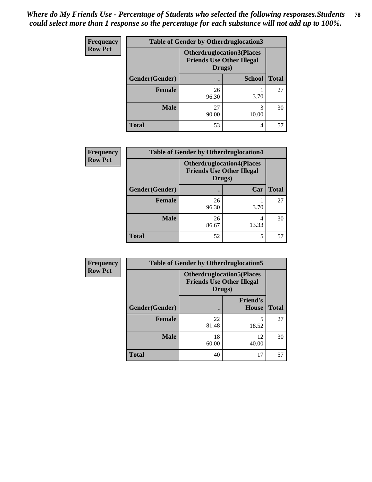| Frequency      | <b>Table of Gender by Otherdruglocation3</b> |                                                                                |               |              |
|----------------|----------------------------------------------|--------------------------------------------------------------------------------|---------------|--------------|
| <b>Row Pct</b> |                                              | <b>Otherdruglocation3(Places</b><br><b>Friends Use Other Illegal</b><br>Drugs) |               |              |
|                | Gender(Gender)                               |                                                                                | <b>School</b> | <b>Total</b> |
|                | <b>Female</b>                                | 26<br>96.30                                                                    | 3.70          | 27           |
|                | <b>Male</b>                                  | 27<br>90.00                                                                    | 3<br>10.00    | 30           |
|                | <b>Total</b>                                 | 53                                                                             | 4             | 57           |

| Frequency      | <b>Table of Gender by Otherdruglocation4</b> |                                                                                |            |              |
|----------------|----------------------------------------------|--------------------------------------------------------------------------------|------------|--------------|
| <b>Row Pct</b> |                                              | <b>Otherdruglocation4(Places</b><br><b>Friends Use Other Illegal</b><br>Drugs) |            |              |
|                | Gender(Gender)                               |                                                                                | Car        | <b>Total</b> |
|                | Female                                       | 26<br>96.30                                                                    | 3.70       | 27           |
|                | <b>Male</b>                                  | 26<br>86.67                                                                    | 4<br>13.33 | 30           |
|                | <b>Total</b>                                 | 52                                                                             | 5          | 57           |

| Frequency      | <b>Table of Gender by Otherdruglocation5</b> |                                                                                |                                 |              |
|----------------|----------------------------------------------|--------------------------------------------------------------------------------|---------------------------------|--------------|
| <b>Row Pct</b> |                                              | <b>Otherdruglocation5(Places</b><br><b>Friends Use Other Illegal</b><br>Drugs) |                                 |              |
|                | Gender(Gender)                               |                                                                                | <b>Friend's</b><br><b>House</b> | <b>Total</b> |
|                | <b>Female</b>                                | 22<br>81.48                                                                    | 18.52                           | 27           |
|                | <b>Male</b>                                  | 18<br>60.00                                                                    | 12<br>40.00                     | 30           |
|                | <b>Total</b>                                 | 40                                                                             | 17                              | 57           |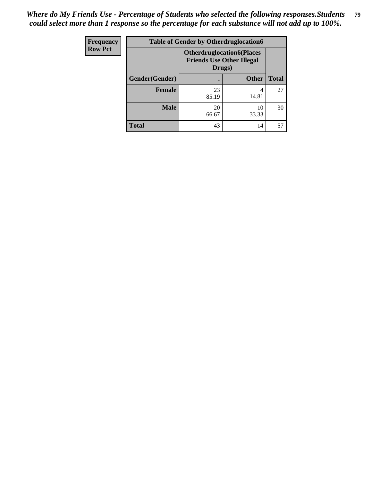| <b>Frequency</b> | <b>Table of Gender by Otherdruglocation6</b> |                                            |                                  |              |
|------------------|----------------------------------------------|--------------------------------------------|----------------------------------|--------------|
| <b>Row Pct</b>   |                                              | <b>Friends Use Other Illegal</b><br>Drugs) | <b>Otherdruglocation6(Places</b> |              |
|                  | Gender(Gender)                               |                                            | <b>Other</b>                     | <b>Total</b> |
|                  | <b>Female</b>                                | 23<br>85.19                                | 4<br>14.81                       | 27           |
|                  | <b>Male</b>                                  | 20<br>66.67                                | 10<br>33.33                      | 30           |
|                  | <b>Total</b>                                 | 43                                         | 14                               | 57           |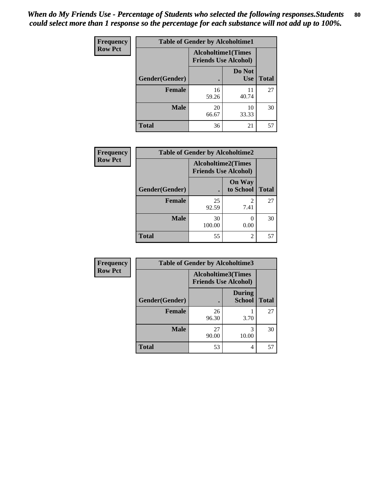| <b>Frequency</b> | <b>Table of Gender by Alcoholtime1</b> |                                                          |                      |              |
|------------------|----------------------------------------|----------------------------------------------------------|----------------------|--------------|
| <b>Row Pct</b>   |                                        | <b>Alcoholtime1(Times</b><br><b>Friends Use Alcohol)</b> |                      |              |
|                  | Gender(Gender)                         | $\bullet$                                                | Do Not<br><b>Use</b> | <b>Total</b> |
|                  | <b>Female</b>                          | 16<br>59.26                                              | 11<br>40.74          | 27           |
|                  | <b>Male</b>                            | 20<br>66.67                                              | 10<br>33.33          | 30           |
|                  | <b>Total</b>                           | 36                                                       | 21                   | 57           |

| <b>Frequency</b> | <b>Table of Gender by Alcoholtime2</b> |                                                          |                            |              |
|------------------|----------------------------------------|----------------------------------------------------------|----------------------------|--------------|
| <b>Row Pct</b>   |                                        | <b>Alcoholtime2(Times</b><br><b>Friends Use Alcohol)</b> |                            |              |
|                  | Gender(Gender)                         |                                                          | <b>On Way</b><br>to School | <b>Total</b> |
|                  | <b>Female</b>                          | 25<br>92.59                                              | 2<br>7.41                  | 27           |
|                  | <b>Male</b>                            | 30<br>100.00                                             | 0<br>0.00                  | 30           |
|                  | <b>Total</b>                           | 55                                                       | 2                          | 57           |

| Frequency      | <b>Table of Gender by Alcoholtime3</b> |                                                          |                                |              |
|----------------|----------------------------------------|----------------------------------------------------------|--------------------------------|--------------|
| <b>Row Pct</b> |                                        | <b>Alcoholtime3(Times</b><br><b>Friends Use Alcohol)</b> |                                |              |
|                | Gender(Gender)                         |                                                          | <b>During</b><br><b>School</b> | <b>Total</b> |
|                | <b>Female</b>                          | 26<br>96.30                                              | 3.70                           | 27           |
|                | <b>Male</b>                            | 27<br>90.00                                              | 3<br>10.00                     | 30           |
|                | <b>Total</b>                           | 53                                                       | 4                              | 57           |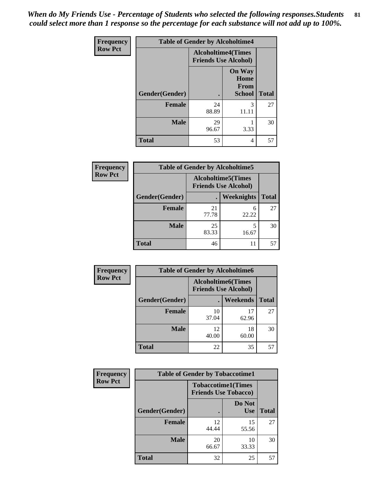*When do My Friends Use - Percentage of Students who selected the following responses.Students could select more than 1 response so the percentage for each substance will not add up to 100%.* **81**

| <b>Frequency</b> | <b>Table of Gender by Alcoholtime4</b> |                                                          |                                                |              |
|------------------|----------------------------------------|----------------------------------------------------------|------------------------------------------------|--------------|
| <b>Row Pct</b>   |                                        | <b>Alcoholtime4(Times</b><br><b>Friends Use Alcohol)</b> |                                                |              |
|                  | Gender(Gender)                         | $\bullet$                                                | <b>On Way</b><br>Home<br>From<br><b>School</b> | <b>Total</b> |
|                  | <b>Female</b>                          | 24<br>88.89                                              | 3<br>11.11                                     | 27           |
|                  | <b>Male</b>                            | 29<br>96.67                                              | 3.33                                           | 30           |
|                  | <b>Total</b>                           | 53                                                       | 4                                              | 57           |

| <b>Frequency</b> | <b>Table of Gender by Alcoholtime5</b> |                                                   |            |              |
|------------------|----------------------------------------|---------------------------------------------------|------------|--------------|
| <b>Row Pct</b>   |                                        | Alcoholtime5(Times<br><b>Friends Use Alcohol)</b> |            |              |
|                  | Gender(Gender)                         |                                                   | Weeknights | <b>Total</b> |
|                  | <b>Female</b>                          | 21<br>77.78                                       | 6<br>22.22 | 27           |
|                  | <b>Male</b>                            | 25<br>83.33                                       | 5<br>16.67 | 30           |
|                  | <b>Total</b>                           | 46                                                | 11         | 57           |

| <b>Frequency</b> | <b>Table of Gender by Alcoholtime6</b> |             |                                                           |              |
|------------------|----------------------------------------|-------------|-----------------------------------------------------------|--------------|
| <b>Row Pct</b>   |                                        |             | <b>Alcoholtime6</b> (Times<br><b>Friends Use Alcohol)</b> |              |
|                  | Gender(Gender)                         |             | Weekends                                                  | <b>Total</b> |
|                  | Female                                 | 10<br>37.04 | 17<br>62.96                                               | 27           |
|                  | <b>Male</b>                            | 12<br>40.00 | 18<br>60.00                                               | 30           |
|                  | <b>Total</b>                           | 22          | 35                                                        | 57           |

| <b>Frequency</b> | <b>Table of Gender by Tobaccotime1</b> |                                                          |                      |              |
|------------------|----------------------------------------|----------------------------------------------------------|----------------------|--------------|
| <b>Row Pct</b>   |                                        | <b>Tobaccotime1(Times</b><br><b>Friends Use Tobacco)</b> |                      |              |
|                  | Gender(Gender)                         |                                                          | Do Not<br><b>Use</b> | <b>Total</b> |
|                  | <b>Female</b>                          | 12<br>44.44                                              | 15<br>55.56          | 27           |
|                  | <b>Male</b>                            | 20<br>66.67                                              | 10<br>33.33          | 30           |
|                  | <b>Total</b>                           | 32                                                       | 25                   | 57           |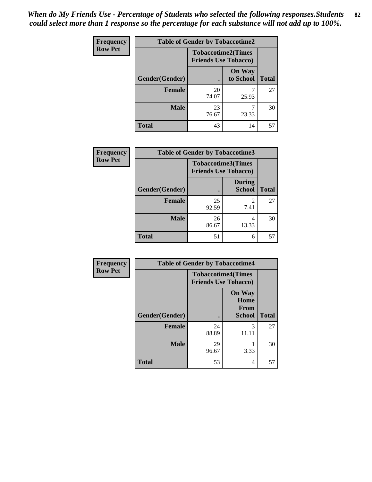| <b>Frequency</b> | <b>Table of Gender by Tobaccotime2</b> |                                                          |                            |              |
|------------------|----------------------------------------|----------------------------------------------------------|----------------------------|--------------|
| <b>Row Pct</b>   |                                        | <b>Tobaccotime2(Times</b><br><b>Friends Use Tobacco)</b> |                            |              |
|                  | Gender(Gender)                         |                                                          | <b>On Way</b><br>to School | <b>Total</b> |
|                  | <b>Female</b>                          | 20<br>74.07                                              | 25.93                      | 27           |
|                  | <b>Male</b>                            | 23<br>76.67                                              | 23.33                      | 30           |
|                  | <b>Total</b>                           | 43                                                       | 14                         | 57           |

| Frequency      | <b>Table of Gender by Tobaccotime3</b> |                             |                                |              |
|----------------|----------------------------------------|-----------------------------|--------------------------------|--------------|
| <b>Row Pct</b> |                                        | <b>Friends Use Tobacco)</b> | <b>Tobaccotime3(Times</b>      |              |
|                | Gender(Gender)                         |                             | <b>During</b><br><b>School</b> | <b>Total</b> |
|                | <b>Female</b>                          | 25<br>92.59                 | 2<br>7.41                      | 27           |
|                | <b>Male</b>                            | 26<br>86.67                 | 4<br>13.33                     | 30           |
|                | <b>Total</b>                           | 51                          | 6                              | 57           |

| <b>Frequency</b> | <b>Table of Gender by Tobaccotime4</b> |                                                          |                                                       |              |
|------------------|----------------------------------------|----------------------------------------------------------|-------------------------------------------------------|--------------|
| <b>Row Pct</b>   |                                        | <b>Tobaccotime4(Times</b><br><b>Friends Use Tobacco)</b> |                                                       |              |
|                  | Gender(Gender)                         |                                                          | <b>On Way</b><br>Home<br><b>From</b><br><b>School</b> | <b>Total</b> |
|                  | <b>Female</b>                          | 24<br>88.89                                              | 3<br>11.11                                            | 27           |
|                  | <b>Male</b>                            | 29<br>96.67                                              | 3.33                                                  | 30           |
|                  | <b>Total</b>                           | 53                                                       | 4                                                     | 57           |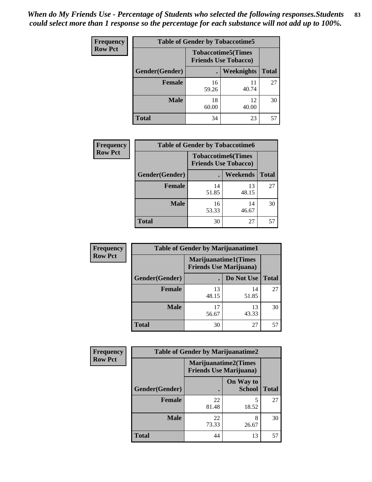| <b>Frequency</b> | <b>Table of Gender by Tobaccotime5</b> |             |                                                           |              |  |
|------------------|----------------------------------------|-------------|-----------------------------------------------------------|--------------|--|
| <b>Row Pct</b>   |                                        |             | <b>Tobaccotime5</b> (Times<br><b>Friends Use Tobacco)</b> |              |  |
|                  | Gender(Gender)                         |             | Weeknights                                                | <b>Total</b> |  |
|                  | <b>Female</b>                          | 16<br>59.26 | 11<br>40.74                                               | 27           |  |
|                  | <b>Male</b>                            | 18<br>60.00 | 12<br>40.00                                               | 30           |  |
|                  | <b>Total</b>                           | 34          | 23                                                        | 57           |  |

| <b>Frequency</b> | <b>Table of Gender by Tobaccotime6</b> |                                                          |             |              |
|------------------|----------------------------------------|----------------------------------------------------------|-------------|--------------|
| <b>Row Pct</b>   |                                        | <b>Tobaccotime6(Times</b><br><b>Friends Use Tobacco)</b> |             |              |
|                  | Gender(Gender)                         |                                                          | Weekends    | <b>Total</b> |
|                  | Female                                 | 14<br>51.85                                              | 13<br>48.15 | 27           |
|                  | <b>Male</b>                            | 16<br>53.33                                              | 14<br>46.67 | 30           |
|                  | <b>Total</b>                           | 30                                                       | 27          | 57           |

| <b>Frequency</b> | <b>Table of Gender by Marijuanatime1</b> |                                                               |             |              |
|------------------|------------------------------------------|---------------------------------------------------------------|-------------|--------------|
| <b>Row Pct</b>   |                                          | <b>Marijuanatime1(Times</b><br><b>Friends Use Marijuana</b> ) |             |              |
|                  | Gender(Gender)                           |                                                               | Do Not Use  | <b>Total</b> |
|                  | <b>Female</b>                            | 13<br>48.15                                                   | 14<br>51.85 | 27           |
|                  | <b>Male</b>                              | 17<br>56.67                                                   | 13<br>43.33 | 30           |
|                  | <b>Total</b>                             | 30                                                            | 27          | 57           |

| <b>Frequency</b> | <b>Table of Gender by Marijuanatime2</b> |                                                               |                            |              |
|------------------|------------------------------------------|---------------------------------------------------------------|----------------------------|--------------|
| <b>Row Pct</b>   |                                          | <b>Marijuanatime2(Times</b><br><b>Friends Use Marijuana</b> ) |                            |              |
|                  | Gender(Gender)                           |                                                               | On Way to<br><b>School</b> | <b>Total</b> |
|                  | Female                                   | 22<br>81.48                                                   | 5<br>18.52                 | 27           |
|                  | <b>Male</b>                              | 22<br>73.33                                                   | 8<br>26.67                 | 30           |
|                  | <b>Total</b>                             | 44                                                            | 13                         | 57           |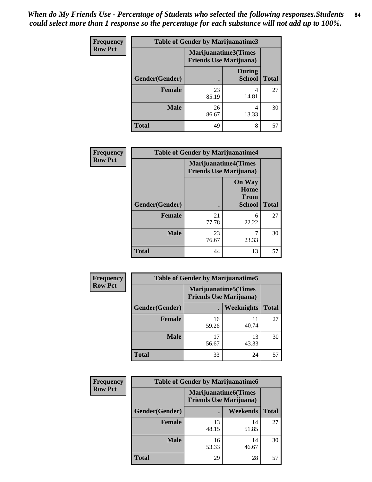| <b>Frequency</b> | <b>Table of Gender by Marijuanatime3</b> |                                                        |                                |              |
|------------------|------------------------------------------|--------------------------------------------------------|--------------------------------|--------------|
| <b>Row Pct</b>   |                                          | Marijuanatime3(Times<br><b>Friends Use Marijuana</b> ) |                                |              |
|                  | Gender(Gender)                           | $\bullet$                                              | <b>During</b><br><b>School</b> | <b>Total</b> |
|                  | <b>Female</b>                            | 23<br>85.19                                            | 4<br>14.81                     | 27           |
|                  | <b>Male</b>                              | 26<br>86.67                                            | 4<br>13.33                     | 30           |
|                  | <b>Total</b>                             | 49                                                     | 8                              | 57           |

| <b>Frequency</b> | <b>Table of Gender by Marijuanatime4</b> |                                                               |                                                       |              |
|------------------|------------------------------------------|---------------------------------------------------------------|-------------------------------------------------------|--------------|
| <b>Row Pct</b>   |                                          | <b>Marijuanatime4(Times</b><br><b>Friends Use Marijuana</b> ) |                                                       |              |
|                  | Gender(Gender)                           |                                                               | <b>On Way</b><br>Home<br><b>From</b><br><b>School</b> | <b>Total</b> |
|                  | <b>Female</b>                            | 21<br>77.78                                                   | 6<br>22.22                                            | 27           |
|                  | <b>Male</b>                              | 23<br>76.67                                                   | ┑<br>23.33                                            | 30           |
|                  | <b>Total</b>                             | 44                                                            | 13                                                    | 57           |

| Frequency      | <b>Table of Gender by Marijuanatime5</b> |                                                                |             |              |  |
|----------------|------------------------------------------|----------------------------------------------------------------|-------------|--------------|--|
| <b>Row Pct</b> |                                          | <b>Marijuanatime5</b> (Times<br><b>Friends Use Marijuana</b> ) |             |              |  |
|                | Gender(Gender)                           |                                                                | Weeknights  | <b>Total</b> |  |
|                | <b>Female</b>                            | 16<br>59.26                                                    | 11<br>40.74 | 27           |  |
|                | <b>Male</b>                              | 17<br>56.67                                                    | 13<br>43.33 | 30           |  |
|                | <b>Total</b>                             | 33                                                             | 24          | 57           |  |

| Frequency      | <b>Table of Gender by Marijuanatime6</b> |                                                               |                 |              |  |
|----------------|------------------------------------------|---------------------------------------------------------------|-----------------|--------------|--|
| <b>Row Pct</b> |                                          | <b>Marijuanatime6(Times</b><br><b>Friends Use Marijuana</b> ) |                 |              |  |
|                | Gender(Gender)                           |                                                               | <b>Weekends</b> | <b>Total</b> |  |
|                | <b>Female</b>                            | 13<br>48.15                                                   | 14<br>51.85     | 27           |  |
|                | <b>Male</b>                              | 16<br>53.33                                                   | 14<br>46.67     | 30           |  |
|                | <b>Total</b>                             | 29                                                            | 28              | 57           |  |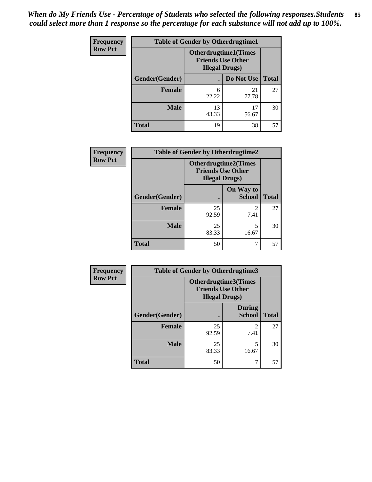*When do My Friends Use - Percentage of Students who selected the following responses.Students could select more than 1 response so the percentage for each substance will not add up to 100%.* **85**

| <b>Frequency</b> | <b>Table of Gender by Otherdrugtime1</b> |                                                                                    |             |              |
|------------------|------------------------------------------|------------------------------------------------------------------------------------|-------------|--------------|
| <b>Row Pct</b>   |                                          | <b>Otherdrugtime1</b> (Times<br><b>Friends Use Other</b><br><b>Illegal Drugs</b> ) |             |              |
|                  | Gender(Gender)                           |                                                                                    | Do Not Use  | <b>Total</b> |
|                  | <b>Female</b>                            | 6<br>22.22                                                                         | 21<br>77.78 | 27           |
|                  | <b>Male</b>                              | 13<br>43.33                                                                        | 17<br>56.67 | 30           |
|                  | <b>Total</b>                             | 19                                                                                 | 38          | 57           |

| Frequency      | <b>Table of Gender by Otherdrugtime2</b> |                                                                                   |                                     |              |
|----------------|------------------------------------------|-----------------------------------------------------------------------------------|-------------------------------------|--------------|
| <b>Row Pct</b> |                                          | <b>Otherdrugtime2(Times</b><br><b>Friends Use Other</b><br><b>Illegal Drugs</b> ) |                                     |              |
|                | Gender(Gender)                           |                                                                                   | On Way to<br><b>School</b>          | <b>Total</b> |
|                | <b>Female</b>                            | 25<br>92.59                                                                       | $\mathcal{D}_{\mathcal{L}}$<br>7.41 | 27           |
|                | <b>Male</b>                              | 25<br>83.33                                                                       | 5<br>16.67                          | 30           |
|                | <b>Total</b>                             | 50                                                                                |                                     | 57           |

| Frequency      | <b>Table of Gender by Otherdrugtime3</b> |                                                    |                                |              |
|----------------|------------------------------------------|----------------------------------------------------|--------------------------------|--------------|
| <b>Row Pct</b> |                                          | <b>Friends Use Other</b><br><b>Illegal Drugs</b> ) | Otherdrugtime3(Times           |              |
|                | Gender(Gender)                           |                                                    | <b>During</b><br><b>School</b> | <b>Total</b> |
|                | <b>Female</b>                            | 25<br>92.59                                        | $\mathfrak{D}$<br>7.41         | 27           |
|                | <b>Male</b>                              | 25<br>83.33                                        | 5<br>16.67                     | 30           |
|                | <b>Total</b>                             | 50                                                 | 7                              | 57           |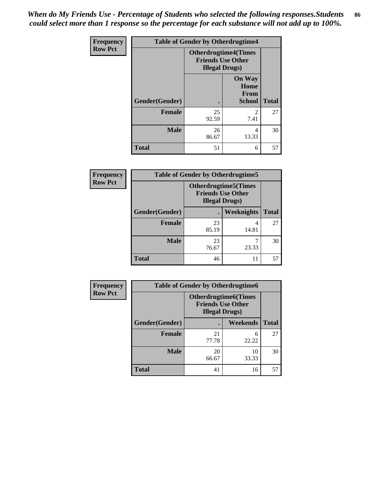*When do My Friends Use - Percentage of Students who selected the following responses.Students could select more than 1 response so the percentage for each substance will not add up to 100%.* **86**

| <b>Frequency</b> | <b>Table of Gender by Otherdrugtime4</b> |                                                    |                                                |              |
|------------------|------------------------------------------|----------------------------------------------------|------------------------------------------------|--------------|
| <b>Row Pct</b>   |                                          | <b>Friends Use Other</b><br><b>Illegal Drugs</b> ) | <b>Otherdrugtime4(Times</b>                    |              |
|                  | Gender(Gender)                           |                                                    | <b>On Way</b><br>Home<br>From<br><b>School</b> | <b>Total</b> |
|                  | <b>Female</b>                            | 25<br>92.59                                        | っ<br>7.41                                      | 27           |
|                  | <b>Male</b>                              | 26<br>86.67                                        | 4<br>13.33                                     | 30           |
|                  | <b>Total</b>                             | 51                                                 | 6                                              | 57           |

| <b>Frequency</b> | <b>Table of Gender by Otherdrugtime5</b> |             |                                                                                    |              |
|------------------|------------------------------------------|-------------|------------------------------------------------------------------------------------|--------------|
| <b>Row Pct</b>   |                                          |             | <b>Otherdrugtime5</b> (Times<br><b>Friends Use Other</b><br><b>Illegal Drugs</b> ) |              |
|                  | Gender(Gender)                           |             | Weeknights                                                                         | <b>Total</b> |
|                  | <b>Female</b>                            | 23<br>85.19 | 14.81                                                                              | 27           |
|                  | <b>Male</b>                              | 23<br>76.67 | 23.33                                                                              | 30           |
|                  | <b>Total</b>                             | 46          | 11                                                                                 | 57           |

| Frequency      | <b>Table of Gender by Otherdrugtime6</b> |                                                                                   |             |              |  |
|----------------|------------------------------------------|-----------------------------------------------------------------------------------|-------------|--------------|--|
| <b>Row Pct</b> |                                          | <b>Otherdrugtime6(Times</b><br><b>Friends Use Other</b><br><b>Illegal Drugs</b> ) |             |              |  |
|                | Gender(Gender)                           |                                                                                   | Weekends    | <b>Total</b> |  |
|                | <b>Female</b>                            | 21<br>77.78                                                                       | 6<br>22.22  | 27           |  |
|                | <b>Male</b>                              | 20<br>66.67                                                                       | 10<br>33.33 | 30           |  |
|                | <b>Total</b>                             | 41                                                                                | 16          | 57           |  |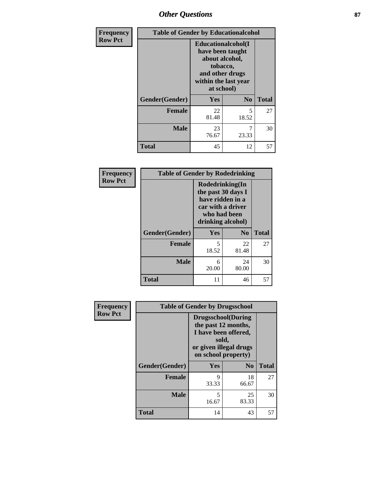# *Other Questions* **87**

| Frequency      | <b>Table of Gender by Educationalcohol</b> |                                                                                                                               |                |              |  |
|----------------|--------------------------------------------|-------------------------------------------------------------------------------------------------------------------------------|----------------|--------------|--|
| <b>Row Pct</b> |                                            | Educationalcohol(I<br>have been taught<br>about alcohol,<br>tobacco,<br>and other drugs<br>within the last year<br>at school) |                |              |  |
|                | Gender(Gender)                             | Yes                                                                                                                           | N <sub>0</sub> | <b>Total</b> |  |
|                | Female                                     | 22<br>81.48                                                                                                                   | 5<br>18.52     | 27           |  |
|                | <b>Male</b>                                | 23<br>76.67                                                                                                                   | 7<br>23.33     | 30           |  |
|                | <b>Total</b>                               | 45                                                                                                                            | 12             | 57           |  |

| Frequency      | <b>Table of Gender by Rodedrinking</b> |                                                                                                                     |                        |              |  |
|----------------|----------------------------------------|---------------------------------------------------------------------------------------------------------------------|------------------------|--------------|--|
| <b>Row Pct</b> |                                        | Rodedrinking(In<br>the past 30 days I<br>have ridden in a<br>car with a driver<br>who had been<br>drinking alcohol) |                        |              |  |
|                | Gender(Gender)                         | Yes                                                                                                                 | $\mathbf{N}\mathbf{0}$ | <b>Total</b> |  |
|                | <b>Female</b>                          | 5<br>18.52                                                                                                          | 22<br>81.48            | 27           |  |
|                | <b>Male</b>                            | 6<br>20.00                                                                                                          | 24<br>80.00            | 30           |  |
|                | <b>Total</b>                           | 11                                                                                                                  | 46                     | 57           |  |

| Frequency      | <b>Table of Gender by Drugsschool</b> |                                                                                                                                     |                |              |  |
|----------------|---------------------------------------|-------------------------------------------------------------------------------------------------------------------------------------|----------------|--------------|--|
| <b>Row Pct</b> |                                       | <b>Drugsschool</b> (During<br>the past 12 months,<br>I have been offered,<br>sold,<br>or given illegal drugs<br>on school property) |                |              |  |
|                | Gender(Gender)                        | <b>Yes</b>                                                                                                                          | N <sub>0</sub> | <b>Total</b> |  |
|                | <b>Female</b>                         | 9<br>33.33                                                                                                                          | 18<br>66.67    | 27           |  |
|                | <b>Male</b>                           | 5<br>16.67                                                                                                                          | 25<br>83.33    | 30           |  |
|                | <b>Total</b>                          | 14                                                                                                                                  | 43             | 57           |  |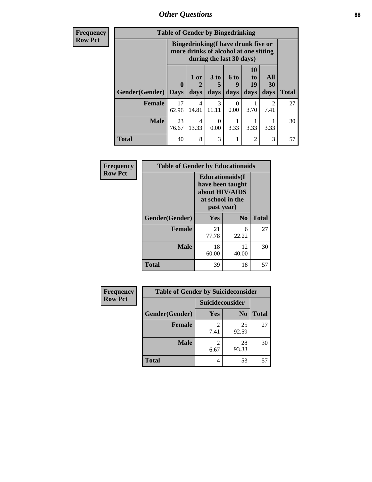# *Other Questions* **88**

**Frequency Row Pct**

| <b>Table of Gender by Bingedrinking</b> |                                                                                                         |                         |                   |                   |                        |                   |              |
|-----------------------------------------|---------------------------------------------------------------------------------------------------------|-------------------------|-------------------|-------------------|------------------------|-------------------|--------------|
|                                         | Bingedrinking(I have drunk five or<br>more drinks of alcohol at one sitting<br>during the last 30 days) |                         |                   |                   |                        |                   |              |
| Gender(Gender)                          | $\bf{0}$<br><b>Days</b>                                                                                 | $1$ or $ $<br>2<br>days | 3 to<br>5<br>days | 6 to<br>9<br>days | 10<br>to<br>19<br>days | All<br>30<br>days | <b>Total</b> |
| <b>Female</b>                           | 17                                                                                                      | 4                       | 3                 | $\Omega$          |                        | $\mathcal{D}$     | 27           |
|                                         | 62.96                                                                                                   | 14.81                   | 11.11             | 0.00              | 3.70                   | 7.41              |              |
| <b>Male</b>                             | 23<br>76.67                                                                                             | 4<br>13.33              | 0<br>0.00         | 3.33              | 3.33                   | 3.33              | 30           |

| Frequency      | <b>Table of Gender by Educationaids</b> |                                                                                                 |                |              |  |
|----------------|-----------------------------------------|-------------------------------------------------------------------------------------------------|----------------|--------------|--|
| <b>Row Pct</b> |                                         | <b>Educationaids</b> (I<br>have been taught<br>about HIV/AIDS<br>at school in the<br>past year) |                |              |  |
|                | Gender(Gender)                          | Yes                                                                                             | N <sub>0</sub> | <b>Total</b> |  |
|                | <b>Female</b>                           | 21<br>77.78                                                                                     | 6<br>22.22     | 27           |  |
|                | <b>Male</b>                             | 18<br>60.00                                                                                     | 12<br>40.00    | 30           |  |
|                | <b>Total</b>                            | 39                                                                                              | 18             | 57           |  |

| <b>Frequency</b> | <b>Table of Gender by Suicideconsider</b> |                        |                |              |  |
|------------------|-------------------------------------------|------------------------|----------------|--------------|--|
| <b>Row Pct</b>   |                                           | Suicideconsider        |                |              |  |
|                  | Gender(Gender)                            | Yes                    | N <sub>0</sub> | <b>Total</b> |  |
|                  | <b>Female</b>                             | $\mathfrak{D}$<br>7.41 | 25<br>92.59    | 27           |  |
|                  | <b>Male</b>                               | $\mathfrak{D}$<br>6.67 | 28<br>93.33    | 30           |  |
|                  | <b>Total</b>                              | 4                      | 53             | 57           |  |